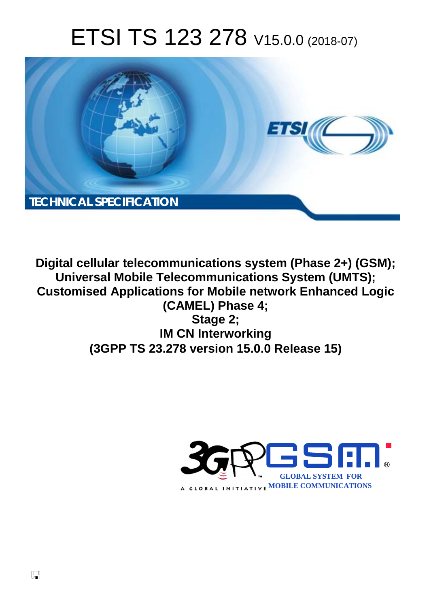# ETSI TS 123 278 V15.0.0 (2018-07)



**Digital cellular telecommunications system (Phase 2+) (GSM); Universal Mobile Telecommunications System (UMTS); Customised Applications for Mobile network Enhanced Logic (CAMEL) Phase 4; Stage 2; IM CN Interworking (3GPP TS 23.278 version 15.0.0 Release 15)** 

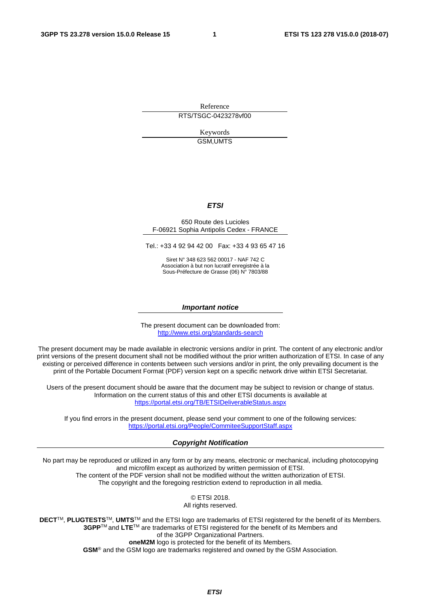Reference RTS/TSGC-0423278vf00

> Keywords GSM,UMTS

### *ETSI*

#### 650 Route des Lucioles F-06921 Sophia Antipolis Cedex - FRANCE

Tel.: +33 4 92 94 42 00 Fax: +33 4 93 65 47 16

Siret N° 348 623 562 00017 - NAF 742 C Association à but non lucratif enregistrée à la Sous-Préfecture de Grasse (06) N° 7803/88

#### *Important notice*

The present document can be downloaded from: <http://www.etsi.org/standards-search>

The present document may be made available in electronic versions and/or in print. The content of any electronic and/or print versions of the present document shall not be modified without the prior written authorization of ETSI. In case of any existing or perceived difference in contents between such versions and/or in print, the only prevailing document is the print of the Portable Document Format (PDF) version kept on a specific network drive within ETSI Secretariat.

Users of the present document should be aware that the document may be subject to revision or change of status. Information on the current status of this and other ETSI documents is available at <https://portal.etsi.org/TB/ETSIDeliverableStatus.aspx>

If you find errors in the present document, please send your comment to one of the following services: <https://portal.etsi.org/People/CommiteeSupportStaff.aspx>

#### *Copyright Notification*

No part may be reproduced or utilized in any form or by any means, electronic or mechanical, including photocopying and microfilm except as authorized by written permission of ETSI. The content of the PDF version shall not be modified without the written authorization of ETSI. The copyright and the foregoing restriction extend to reproduction in all media.

> © ETSI 2018. All rights reserved.

**DECT**TM, **PLUGTESTS**TM, **UMTS**TM and the ETSI logo are trademarks of ETSI registered for the benefit of its Members. **3GPP**TM and **LTE**TM are trademarks of ETSI registered for the benefit of its Members and of the 3GPP Organizational Partners. **oneM2M** logo is protected for the benefit of its Members.

**GSM**® and the GSM logo are trademarks registered and owned by the GSM Association.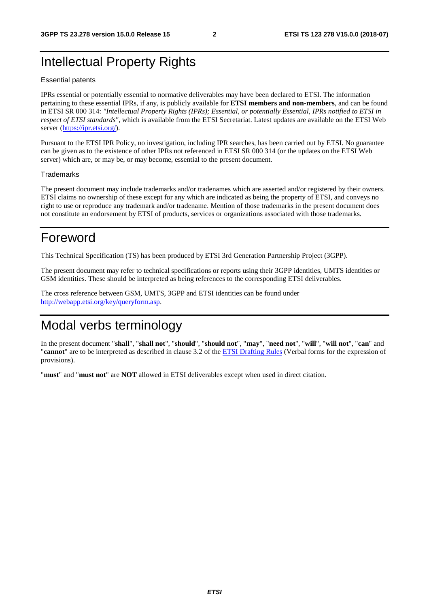## Intellectual Property Rights

#### Essential patents

IPRs essential or potentially essential to normative deliverables may have been declared to ETSI. The information pertaining to these essential IPRs, if any, is publicly available for **ETSI members and non-members**, and can be found in ETSI SR 000 314: *"Intellectual Property Rights (IPRs); Essential, or potentially Essential, IPRs notified to ETSI in respect of ETSI standards"*, which is available from the ETSI Secretariat. Latest updates are available on the ETSI Web server ([https://ipr.etsi.org/\)](https://ipr.etsi.org/).

Pursuant to the ETSI IPR Policy, no investigation, including IPR searches, has been carried out by ETSI. No guarantee can be given as to the existence of other IPRs not referenced in ETSI SR 000 314 (or the updates on the ETSI Web server) which are, or may be, or may become, essential to the present document.

#### **Trademarks**

The present document may include trademarks and/or tradenames which are asserted and/or registered by their owners. ETSI claims no ownership of these except for any which are indicated as being the property of ETSI, and conveys no right to use or reproduce any trademark and/or tradename. Mention of those trademarks in the present document does not constitute an endorsement by ETSI of products, services or organizations associated with those trademarks.

## Foreword

This Technical Specification (TS) has been produced by ETSI 3rd Generation Partnership Project (3GPP).

The present document may refer to technical specifications or reports using their 3GPP identities, UMTS identities or GSM identities. These should be interpreted as being references to the corresponding ETSI deliverables.

The cross reference between GSM, UMTS, 3GPP and ETSI identities can be found under [http://webapp.etsi.org/key/queryform.asp.](http://webapp.etsi.org/key/queryform.asp)

## Modal verbs terminology

In the present document "**shall**", "**shall not**", "**should**", "**should not**", "**may**", "**need not**", "**will**", "**will not**", "**can**" and "**cannot**" are to be interpreted as described in clause 3.2 of the [ETSI Drafting Rules](https://portal.etsi.org/Services/editHelp!/Howtostart/ETSIDraftingRules.aspx) (Verbal forms for the expression of provisions).

"**must**" and "**must not**" are **NOT** allowed in ETSI deliverables except when used in direct citation.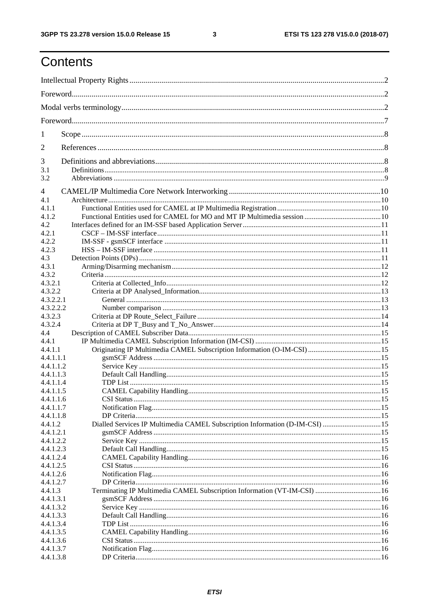$\mathbf{3}$ 

## Contents

| 1              |                                                                              |  |  |
|----------------|------------------------------------------------------------------------------|--|--|
| 2              |                                                                              |  |  |
| 3              |                                                                              |  |  |
| 3.1<br>3.2     |                                                                              |  |  |
| $\overline{4}$ |                                                                              |  |  |
| 4.1            |                                                                              |  |  |
| 4.1.1          |                                                                              |  |  |
| 4.1.2          |                                                                              |  |  |
| 4.2            |                                                                              |  |  |
| 4.2.1          |                                                                              |  |  |
| 4.2.2          |                                                                              |  |  |
| 4.2.3          |                                                                              |  |  |
| 4.3            |                                                                              |  |  |
| 4.3.1          |                                                                              |  |  |
|                |                                                                              |  |  |
| 4.3.2          |                                                                              |  |  |
| 4.3.2.1        |                                                                              |  |  |
| 4.3.2.2        |                                                                              |  |  |
| 4.3.2.2.1      |                                                                              |  |  |
| 4.3.2.2.2      |                                                                              |  |  |
| 4.3.2.3        |                                                                              |  |  |
| 4.3.2.4        |                                                                              |  |  |
| 4.4            |                                                                              |  |  |
| 4.4.1          |                                                                              |  |  |
| 4.4.1.1        |                                                                              |  |  |
| 4.4.1.1.1      |                                                                              |  |  |
| 4.4.1.1.2      |                                                                              |  |  |
| 4.4.1.1.3      |                                                                              |  |  |
| 4.4.1.1.4      |                                                                              |  |  |
| 4.4.1.1.5      |                                                                              |  |  |
| 4.4.1.1.6      |                                                                              |  |  |
| 4.4.1.1.7      |                                                                              |  |  |
| 4.4.1.1.8      |                                                                              |  |  |
| 4.4.1.2        | Dialled Services IP Multimedia CAMEL Subscription Information (D-IM-CSI)  15 |  |  |
| 4.4.1.2.1      |                                                                              |  |  |
| 4.4.1.2.2      |                                                                              |  |  |
| 4.4.1.2.3      |                                                                              |  |  |
| 4.4.1.2.4      |                                                                              |  |  |
| 4.4.1.2.5      |                                                                              |  |  |
| 4.4.1.2.6      |                                                                              |  |  |
| 4.4.1.2.7      |                                                                              |  |  |
| 4.4.1.3        | Terminating IP Multimedia CAMEL Subscription Information (VT-IM-CSI)  16     |  |  |
| 4.4.1.3.1      |                                                                              |  |  |
| 4.4.1.3.2      |                                                                              |  |  |
| 4.4.1.3.3      |                                                                              |  |  |
| 4.4.1.3.4      |                                                                              |  |  |
| 4.4.1.3.5      |                                                                              |  |  |
| 4.4.1.3.6      |                                                                              |  |  |
| 4.4.1.3.7      |                                                                              |  |  |
|                |                                                                              |  |  |
| 4.4.1.3.8      |                                                                              |  |  |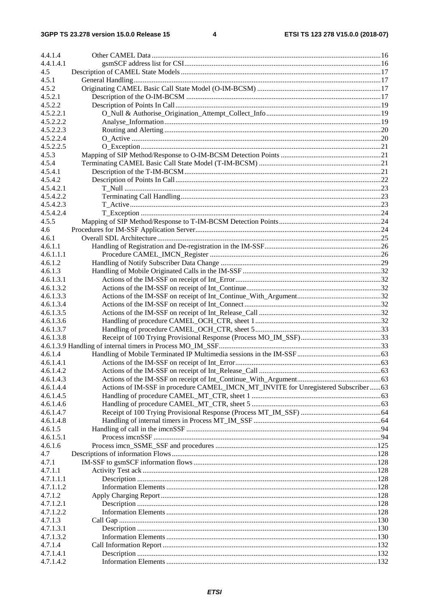#### $\overline{\mathbf{4}}$

| 4.4.1.4   |                                                                                   |  |
|-----------|-----------------------------------------------------------------------------------|--|
| 4.4.1.4.1 |                                                                                   |  |
| 4.5       |                                                                                   |  |
| 4.5.1     |                                                                                   |  |
| 4.5.2     |                                                                                   |  |
| 4.5.2.1   |                                                                                   |  |
| 4.5.2.2   |                                                                                   |  |
| 4.5.2.2.1 |                                                                                   |  |
| 4.5.2.2.2 |                                                                                   |  |
|           |                                                                                   |  |
| 4.5.2.2.3 |                                                                                   |  |
| 4.5.2.2.4 |                                                                                   |  |
| 4.5.2.2.5 |                                                                                   |  |
| 4.5.3     |                                                                                   |  |
| 4.5.4     |                                                                                   |  |
| 4.5.4.1   |                                                                                   |  |
| 4.5.4.2   |                                                                                   |  |
| 4.5.4.2.1 |                                                                                   |  |
| 4.5.4.2.2 |                                                                                   |  |
| 4.5.4.2.3 |                                                                                   |  |
| 4.5.4.2.4 |                                                                                   |  |
| 4.5.5     |                                                                                   |  |
|           |                                                                                   |  |
| 4.6       |                                                                                   |  |
| 4.6.1     |                                                                                   |  |
| 4.6.1.1   |                                                                                   |  |
| 4.6.1.1.1 |                                                                                   |  |
| 4.6.1.2   |                                                                                   |  |
| 4.6.1.3   |                                                                                   |  |
| 4.6.1.3.1 |                                                                                   |  |
| 4.6.1.3.2 |                                                                                   |  |
| 4.6.1.3.3 |                                                                                   |  |
| 4.6.1.3.4 |                                                                                   |  |
| 4.6.1.3.5 |                                                                                   |  |
| 4.6.1.3.6 |                                                                                   |  |
|           |                                                                                   |  |
| 4.6.1.3.7 |                                                                                   |  |
| 4.6.1.3.8 |                                                                                   |  |
|           |                                                                                   |  |
| 4.6.1.4   |                                                                                   |  |
| 4.6.1.4.1 |                                                                                   |  |
| 4.6.1.4.2 |                                                                                   |  |
| 4.6.1.4.3 |                                                                                   |  |
| 4.6.1.4.4 | Actions of IM-SSF in procedure CAMEL_IMCN_MT_INVITE for Unregistered Subscriber63 |  |
| 4.6.1.4.5 |                                                                                   |  |
| 4.6.1.4.6 |                                                                                   |  |
| 4.6.1.4.7 |                                                                                   |  |
| 4.6.1.4.8 |                                                                                   |  |
| 4.6.1.5   |                                                                                   |  |
| 4.6.1.5.1 |                                                                                   |  |
|           |                                                                                   |  |
| 4.6.1.6   |                                                                                   |  |
| 4.7       |                                                                                   |  |
| 4.7.1     |                                                                                   |  |
| 4.7.1.1   |                                                                                   |  |
| 4.7.1.1.1 |                                                                                   |  |
| 4.7.1.1.2 |                                                                                   |  |
| 4.7.1.2   |                                                                                   |  |
| 4.7.1.2.1 |                                                                                   |  |
| 4.7.1.2.2 |                                                                                   |  |
| 4.7.1.3   |                                                                                   |  |
| 4.7.1.3.1 |                                                                                   |  |
| 4.7.1.3.2 |                                                                                   |  |
| 4.7.1.4   |                                                                                   |  |
| 4.7.1.4.1 |                                                                                   |  |
|           |                                                                                   |  |
| 4.7.1.4.2 |                                                                                   |  |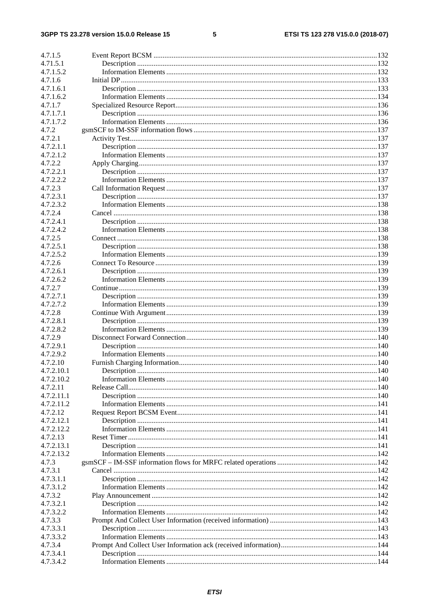### $5\phantom{a}$

| 4.7.1.5    |  |
|------------|--|
| 4.71.5.1   |  |
| 4.7.1.5.2  |  |
| 4.7.1.6    |  |
| 4.7.1.6.1  |  |
| 4.7.1.6.2  |  |
| 4.7.1.7    |  |
| 4.7.1.7.1  |  |
| 4.7.1.7.2  |  |
| 4.7.2      |  |
|            |  |
| 4.7.2.1    |  |
| 4.7.2.1.1  |  |
| 4.7.2.1.2  |  |
| 4.7.2.2    |  |
| 4.7.2.2.1  |  |
| 4.7.2.2.2  |  |
| 4.7.2.3    |  |
| 4.7.2.3.1  |  |
| 4.7.2.3.2  |  |
| 4.7.2.4    |  |
| 4.7.2.4.1  |  |
| 4.7.2.4.2  |  |
| 4.7.2.5    |  |
| 4.7.2.5.1  |  |
| 4.7.2.5.2  |  |
|            |  |
| 4.7.2.6    |  |
| 4.7.2.6.1  |  |
| 4.7.2.6.2  |  |
| 4.7.2.7    |  |
| 4.7.2.7.1  |  |
| 4.7.2.7.2  |  |
| 4.7.2.8    |  |
| 4.7.2.8.1  |  |
| 4.7.2.8.2  |  |
| 4.7.2.9    |  |
| 4.7.2.9.1  |  |
| 4.7.2.9.2  |  |
| 4.7.2.10   |  |
| 4.7.2.10.1 |  |
| 4.7.2.10.2 |  |
| 4.7.2.11   |  |
|            |  |
| 4.7.2.11.1 |  |
| 4.7.2.11.2 |  |
| 4.7.2.12   |  |
| 4.7.2.12.1 |  |
| 4.7.2.12.2 |  |
| 4.7.2.13   |  |
| 4.7.2.13.1 |  |
| 4.7.2.13.2 |  |
| 4.7.3      |  |
| 4.7.3.1    |  |
| 4.7.3.1.1  |  |
| 4.7.3.1.2  |  |
| 4.7.3.2    |  |
| 4.7.3.2.1  |  |
| 4.7.3.2.2  |  |
|            |  |
| 4.7.3.3    |  |
| 4.7.3.3.1  |  |
| 4.7.3.3.2  |  |
| 4.7.3.4    |  |
| 4.7.3.4.1  |  |
| 4.7.3.4.2  |  |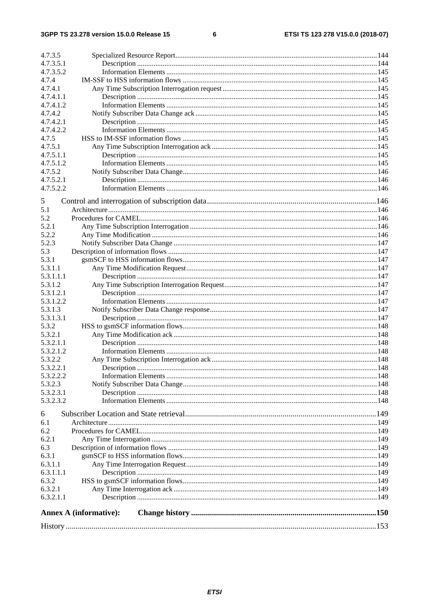#### $\bf 6$

| 4.7.3.5   |                        |  |
|-----------|------------------------|--|
| 4.7.3.5.1 |                        |  |
| 4.7.3.5.2 |                        |  |
| 4.7.4     |                        |  |
| 4.7.4.1   |                        |  |
| 4.7.4.1.1 |                        |  |
| 4.7.4.1.2 |                        |  |
| 4.7.4.2   |                        |  |
| 4.7.4.2.1 |                        |  |
| 4.7.4.2.2 |                        |  |
| 4.7.5     |                        |  |
| 4.7.5.1   |                        |  |
| 4.7.5.1.1 |                        |  |
| 4.7.5.1.2 |                        |  |
| 4.7.5.2   |                        |  |
| 4.7.5.2.1 |                        |  |
| 4.7.5.2.2 |                        |  |
|           |                        |  |
| 5         |                        |  |
| 5.1       |                        |  |
| 5.2       |                        |  |
| 5.2.1     |                        |  |
| 5.2.2     |                        |  |
| 5.2.3     |                        |  |
| 5.3       |                        |  |
| 5.3.1     |                        |  |
| 5.3.1.1   |                        |  |
| 5.3.1.1.1 |                        |  |
| 5.3.1.2   |                        |  |
| 5.3.1.2.1 |                        |  |
| 5.3.1.2.2 |                        |  |
| 5.3.1.3   |                        |  |
| 5.3.1.3.1 |                        |  |
| 5.3.2     |                        |  |
| 5.3.2.1   |                        |  |
| 5.3.2.1.1 |                        |  |
| 5.3.2.1.2 |                        |  |
| 5.3.2.2   |                        |  |
| 5.3.2.2.1 |                        |  |
| 5.3.2.2.2 |                        |  |
| 5.3.2.3   |                        |  |
| 5.3.2.3.1 |                        |  |
| 5.3.2.3.2 |                        |  |
|           |                        |  |
| 6         |                        |  |
| 6.1       |                        |  |
| 6.2       |                        |  |
| 6.2.1     |                        |  |
| 6.3       |                        |  |
| 6.3.1     |                        |  |
| 6.3.1.1   |                        |  |
| 6.3.1.1.1 |                        |  |
| 6.3.2     |                        |  |
| 6.3.2.1   |                        |  |
| 6.3.2.1.1 |                        |  |
|           |                        |  |
|           | Annex A (informative): |  |
|           |                        |  |
|           |                        |  |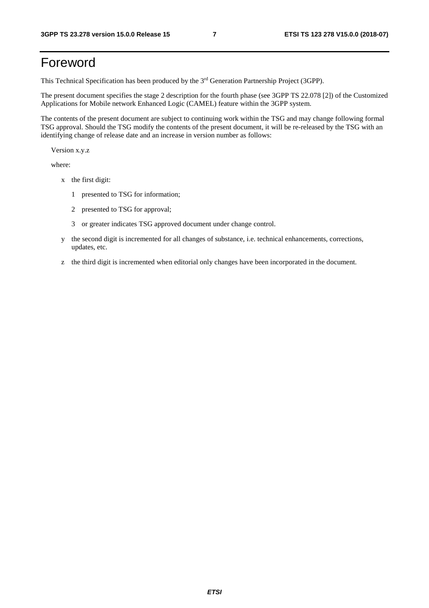## Foreword

This Technical Specification has been produced by the 3rd Generation Partnership Project (3GPP).

The present document specifies the stage 2 description for the fourth phase (see 3GPP TS 22.078 [2]) of the Customized Applications for Mobile network Enhanced Logic (CAMEL) feature within the 3GPP system.

The contents of the present document are subject to continuing work within the TSG and may change following formal TSG approval. Should the TSG modify the contents of the present document, it will be re-released by the TSG with an identifying change of release date and an increase in version number as follows:

Version x.y.z

where:

- x the first digit:
	- 1 presented to TSG for information;
	- 2 presented to TSG for approval;
	- 3 or greater indicates TSG approved document under change control.
- y the second digit is incremented for all changes of substance, i.e. technical enhancements, corrections, updates, etc.
- z the third digit is incremented when editorial only changes have been incorporated in the document.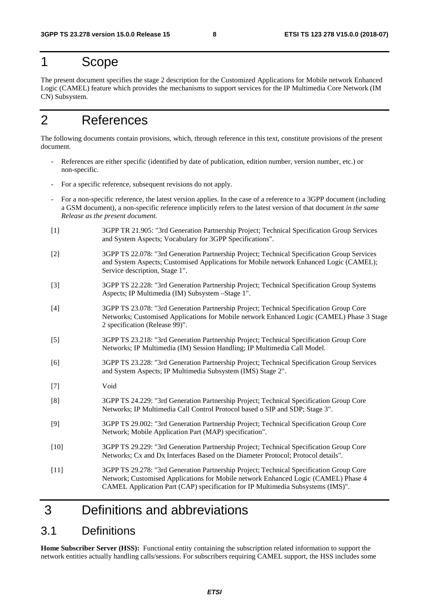## 1 Scope

The present document specifies the stage 2 description for the Customized Applications for Mobile network Enhanced Logic (CAMEL) feature which provides the mechanisms to support services for the IP Multimedia Core Network (IM CN) Subsystem.

## 2 References

The following documents contain provisions, which, through reference in this text, constitute provisions of the present document.

- References are either specific (identified by date of publication, edition number, version number, etc.) or non-specific.
- For a specific reference, subsequent revisions do not apply.
- For a non-specific reference, the latest version applies. In the case of a reference to a 3GPP document (including a GSM document), a non-specific reference implicitly refers to the latest version of that document *in the same Release as the present document.*
- [1] 3GPP TR 21.905: "3rd Generation Partnership Project; Technical Specification Group Services and System Aspects; Vocabulary for 3GPP Specifications".
- [2] 3GPP TS 22.078: "3rd Generation Partnership Project; Technical Specification Group Services and System Aspects; Customised Applications for Mobile network Enhanced Logic (CAMEL); Service description, Stage 1".
- [3] 3GPP TS 22.228: "3rd Generation Partnership Project; Technical Specification Group Systems Aspects; IP Multimedia (IM) Subsystem –Stage 1".
- [4] 3GPP TS 23.078: "3rd Generation Partnership Project; Technical Specification Group Core Networks; Customised Applications for Mobile network Enhanced Logic (CAMEL) Phase 3 Stage 2 specification (Release 99)".
- [5] 3GPP TS 23.218: "3rd Generation Partnership Project; Technical Specification Group Core Networks; IP Multimedia (IM) Session Handling; IP Multimedia Call Model.
- [6] 3GPP TS 23.228: "3rd Generation Partnership Project; Technical Specification Group Services and System Aspects; IP Multimedia Subsystem (IMS) Stage 2".
- [7] Void
- [8] 3GPP TS 24.229: "3rd Generation Partnership Project; Technical Specification Group Core Networks; IP Multimedia Call Control Protocol based o SIP and SDP; Stage 3".
- [9] 3GPP TS 29.002: "3rd Generation Partnership Project; Technical Specification Group Core Network; Mobile Application Part (MAP) specification".
- [10] 3GPP TS 29.229: "3rd Generation Partnership Project; Technical Specification Group Core Networks; Cx and Dx Interfaces Based on the Diameter Protocol; Protocol details".
- [11] 3GPP TS 29.278: "3rd Generation Partnership Project; Technical Specification Group Core Network; Customised Applications for Mobile network Enhanced Logic (CAMEL) Phase 4 CAMEL Application Part (CAP) specification for IP Multimedia Subsystems (IMS)".

## 3 Definitions and abbreviations

### 3.1 Definitions

**Home Subscriber Server (HSS):** Functional entity containing the subscription related information to support the network entities actually handling calls/sessions. For subscribers requiring CAMEL support, the HSS includes some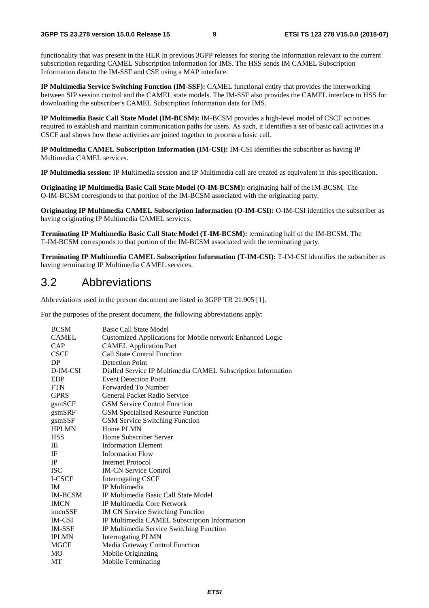functionality that was present in the HLR in previous 3GPP releases for storing the information relevant to the current subscription regarding CAMEL Subscription Information for IMS. The HSS sends IM CAMEL Subscription Information data to the IM-SSF and CSE using a MAP interface.

**IP Multimedia Service Switching Function (IM-SSF):** CAMEL functional entity that provides the interworking between SIP session control and the CAMEL state models. The IM-SSF also provides the CAMEL interface to HSS for downloading the subscriber's CAMEL Subscription Information data for IMS.

**IP Multimedia Basic Call State Model (IM-BCSM):** IM-BCSM provides a high-level model of CSCF activities required to establish and maintain communication paths for users. As such, it identifies a set of basic call activities in a CSCF and shows how these activities are joined together to process a basic call.

**IP Multimedia CAMEL Subscription Information (IM-CSI):** IM-CSI identifies the subscriber as having IP Multimedia CAMEL services.

**IP Multimedia session:** IP Multimedia session and IP Multimedia call are treated as equivalent in this specification.

**Originating IP Multimedia Basic Call State Model (O-IM-BCSM):** originating half of the IM-BCSM. The O-IM-BCSM corresponds to that portion of the IM-BCSM associated with the originating party.

**Originating IP Multimedia CAMEL Subscription Information (O-IM-CSI):** O-IM-CSI identifies the subscriber as having originating IP Multimedia CAMEL services.

**Terminating IP Multimedia Basic Call State Model (T-IM-BCSM):** terminating half of the IM-BCSM. The T-IM-BCSM corresponds to that portion of the IM-BCSM associated with the terminating party.

**Terminating IP Multimedia CAMEL Subscription Information (T-IM-CSI):** T-IM-CSI identifies the subscriber as having terminating IP Multimedia CAMEL services.

### 3.2 Abbreviations

Abbreviations used in the present document are listed in 3GPP TR 21.905 [1].

For the purposes of the present document, the following abbreviations apply:

| <b>BCSM</b>    | Basic Call State Model                                       |
|----------------|--------------------------------------------------------------|
| <b>CAMEL</b>   | Customized Applications for Mobile network Enhanced Logic    |
| <b>CAP</b>     | <b>CAMEL Application Part</b>                                |
| <b>CSCF</b>    | <b>Call State Control Function</b>                           |
| DP             | <b>Detection Point</b>                                       |
| D-IM-CSI       | Dialled Service IP Multimedia CAMEL Subscription Information |
| <b>EDP</b>     | <b>Event Detection Point</b>                                 |
| <b>FTN</b>     | <b>Forwarded To Number</b>                                   |
| <b>GPRS</b>    | General Packet Radio Service                                 |
| gsmSCF         | <b>GSM Service Control Function</b>                          |
| gsmSRF         | <b>GSM Specialised Resource Function</b>                     |
| gsmSSF         | <b>GSM Service Switching Function</b>                        |
| <b>HPLMN</b>   | Home PLMN                                                    |
| <b>HSS</b>     | Home Subscriber Server                                       |
| IE             | <b>Information Element</b>                                   |
| IF             | <b>Information Flow</b>                                      |
| IP             | <b>Internet Protocol</b>                                     |
| <b>ISC</b>     | <b>IM-CN Service Control</b>                                 |
| I-CSCF         | <b>Interrogating CSCF</b>                                    |
| <b>IM</b>      | IP Multimedia                                                |
| <b>IM-BCSM</b> | IP Multimedia Basic Call State Model                         |
| <b>IMCN</b>    | IP Multimedia Core Network                                   |
| imenSSF        | <b>IM CN Service Switching Function</b>                      |
| <b>IM-CSI</b>  | IP Multimedia CAMEL Subscription Information                 |
| <b>IM-SSF</b>  | IP Multimedia Service Switching Function                     |
| <b>IPLMN</b>   | <b>Interrogating PLMN</b>                                    |
| <b>MGCF</b>    | Media Gateway Control Function                               |
| MO             | Mobile Originating                                           |
| МT             | <b>Mobile Terminating</b>                                    |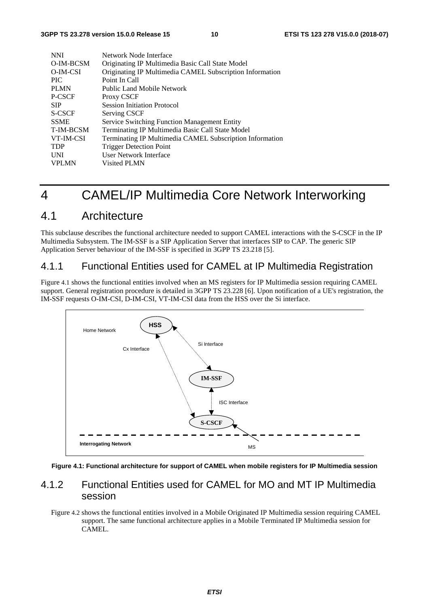| <b>NNI</b>   | Network Node Interface                                   |
|--------------|----------------------------------------------------------|
| O-IM-BCSM    | Originating IP Multimedia Basic Call State Model         |
| O-IM-CSI     | Originating IP Multimedia CAMEL Subscription Information |
| <b>PIC</b>   | Point In Call                                            |
| <b>PLMN</b>  | Public Land Mobile Network                               |
| P-CSCF       | Proxy CSCF                                               |
| <b>SIP</b>   | <b>Session Initiation Protocol</b>                       |
| S-CSCF       | Serving CSCF                                             |
| <b>SSME</b>  | <b>Service Switching Function Management Entity</b>      |
| T-IM-BCSM    | Terminating IP Multimedia Basic Call State Model         |
| VT-IM-CSI    | Terminating IP Multimedia CAMEL Subscription Information |
| <b>TDP</b>   | <b>Trigger Detection Point</b>                           |
| <b>UNI</b>   | User Network Interface                                   |
| <b>VPLMN</b> | Visited PLMN                                             |
|              |                                                          |

## 4 CAMEL/IP Multimedia Core Network Interworking

### 4.1 Architecture

This subclause describes the functional architecture needed to support CAMEL interactions with the S-CSCF in the IP Multimedia Subsystem. The IM-SSF is a SIP Application Server that interfaces SIP to CAP. The generic SIP Application Server behaviour of the IM-SSF is specified in 3GPP TS 23.218 [5].

### 4.1.1 Functional Entities used for CAMEL at IP Multimedia Registration

Figure 4.1 shows the functional entities involved when an MS registers for IP Multimedia session requiring CAMEL support. General registration procedure is detailed in 3GPP TS 23.228 [6]. Upon notification of a UE's registration, the IM-SSF requests O-IM-CSI, D-IM-CSI, VT-IM-CSI data from the HSS over the Si interface.



**Figure 4.1: Functional architecture for support of CAMEL when mobile registers for IP Multimedia session** 

### 4.1.2 Functional Entities used for CAMEL for MO and MT IP Multimedia session

Figure 4.2 shows the functional entities involved in a Mobile Originated IP Multimedia session requiring CAMEL support. The same functional architecture applies in a Mobile Terminated IP Multimedia session for CAMEL.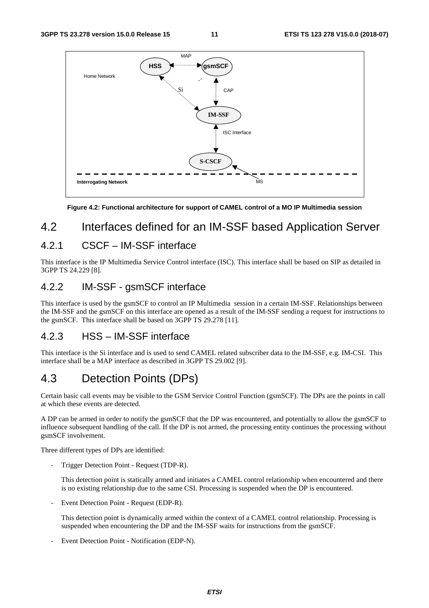

#### **Figure 4.2: Functional architecture for support of CAMEL control of a MO IP Multimedia session**

## 4.2 Interfaces defined for an IM-SSF based Application Server

### 4.2.1 CSCF – IM-SSF interface

This interface is the IP Multimedia Service Control interface (ISC). This interface shall be based on SIP as detailed in 3GPP TS 24.229 [8].

### 4.2.2 IM-SSF - gsmSCF interface

This interface is used by the gsmSCF to control an IP Multimedia session in a certain IM-SSF. Relationships between the IM-SSF and the gsmSCF on this interface are opened as a result of the IM-SSF sending a request for instructions to the gsmSCF. This interface shall be based on 3GPP TS 29.278 [11].

### 4.2.3 HSS – IM-SSF interface

This interface is the Si interface and is used to send CAMEL related subscriber data to the IM-SSF, e.g. IM-CSI. This interface shall be a MAP interface as described in 3GPP TS 29.002 [9].

## 4.3 Detection Points (DPs)

Certain basic call events may be visible to the GSM Service Control Function (gsmSCF). The DPs are the points in call at which these events are detected.

A DP can be armed in order to notify the gsmSCF that the DP was encountered, and potentially to allow the gsmSCF to influence subsequent handling of the call. If the DP is not armed, the processing entity continues the processing without gsmSCF involvement.

Three different types of DPs are identified:

- Trigger Detection Point - Request (TDP-R).

 This detection point is statically armed and initiates a CAMEL control relationship when encountered and there is no existing relationship due to the same CSI. Processing is suspended when the DP is encountered.

Event Detection Point - Request (EDP-R).

 This detection point is dynamically armed within the context of a CAMEL control relationship. Processing is suspended when encountering the DP and the IM-SSF waits for instructions from the gsmSCF.

Event Detection Point - Notification (EDP-N).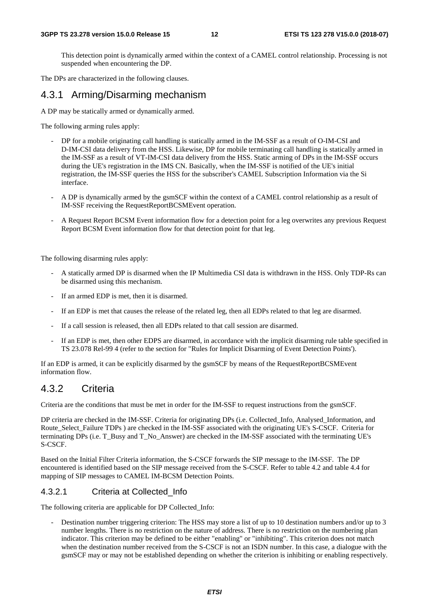This detection point is dynamically armed within the context of a CAMEL control relationship. Processing is not suspended when encountering the DP.

The DPs are characterized in the following clauses.

### 4.3.1 Arming/Disarming mechanism

A DP may be statically armed or dynamically armed.

The following arming rules apply:

- DP for a mobile originating call handling is statically armed in the IM-SSF as a result of O-IM-CSI and D-IM-CSI data delivery from the HSS. Likewise, DP for mobile terminating call handling is statically armed in the IM-SSF as a result of VT-IM-CSI data delivery from the HSS. Static arming of DPs in the IM-SSF occurs during the UE's registration in the IMS CN. Basically, when the IM-SSF is notified of the UE's initial registration, the IM-SSF queries the HSS for the subscriber's CAMEL Subscription Information via the Si interface.
- A DP is dynamically armed by the gsmSCF within the context of a CAMEL control relationship as a result of IM-SSF receiving the RequestReportBCSMEvent operation.
- A Request Report BCSM Event information flow for a detection point for a leg overwrites any previous Request Report BCSM Event information flow for that detection point for that leg.

The following disarming rules apply:

- A statically armed DP is disarmed when the IP Multimedia CSI data is withdrawn in the HSS. Only TDP-Rs can be disarmed using this mechanism.
- If an armed EDP is met, then it is disarmed.
- If an EDP is met that causes the release of the related leg, then all EDPs related to that leg are disarmed.
- If a call session is released, then all EDPs related to that call session are disarmed.
- If an EDP is met, then other EDPS are disarmed, in accordance with the implicit disarming rule table specified in TS 23.078 Rel-99 4 (refer to the section for "Rules for Implicit Disarming of Event Detection Points').

If an EDP is armed, it can be explicitly disarmed by the gsmSCF by means of the RequestReportBCSMEvent information flow.

### 4.3.2 Criteria

Criteria are the conditions that must be met in order for the IM-SSF to request instructions from the gsmSCF.

DP criteria are checked in the IM-SSF. Criteria for originating DPs (i.e. Collected\_Info, Analysed\_Information, and Route Select Failure TDPs ) are checked in the IM-SSF associated with the originating UE's S-CSCF. Criteria for terminating DPs (i.e. T\_Busy and T\_No\_Answer) are checked in the IM-SSF associated with the terminating UE's S-CSCF.

Based on the Initial Filter Criteria information, the S-CSCF forwards the SIP message to the IM-SSF. The DP encountered is identified based on the SIP message received from the S-CSCF. Refer to table 4.2 and table 4.4 for mapping of SIP messages to CAMEL IM-BCSM Detection Points.

### 4.3.2.1 Criteria at Collected\_Info

The following criteria are applicable for DP Collected\_Info:

Destination number triggering criterion: The HSS may store a list of up to 10 destination numbers and/or up to 3 number lengths. There is no restriction on the nature of address. There is no restriction on the numbering plan indicator. This criterion may be defined to be either "enabling" or "inhibiting". This criterion does not match when the destination number received from the S-CSCF is not an ISDN number. In this case, a dialogue with the gsmSCF may or may not be established depending on whether the criterion is inhibiting or enabling respectively.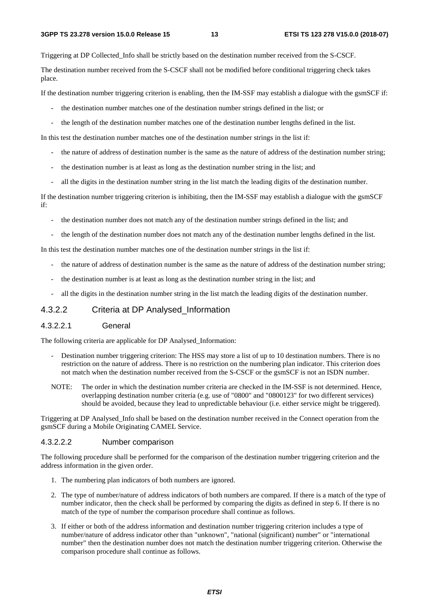Triggering at DP Collected\_Info shall be strictly based on the destination number received from the S-CSCF.

The destination number received from the S-CSCF shall not be modified before conditional triggering check takes place.

If the destination number triggering criterion is enabling, then the IM-SSF may establish a dialogue with the gsmSCF if:

- the destination number matches one of the destination number strings defined in the list; or
- the length of the destination number matches one of the destination number lengths defined in the list.

In this test the destination number matches one of the destination number strings in the list if:

- the nature of address of destination number is the same as the nature of address of the destination number string;
- the destination number is at least as long as the destination number string in the list; and
- all the digits in the destination number string in the list match the leading digits of the destination number.

If the destination number triggering criterion is inhibiting, then the IM-SSF may establish a dialogue with the gsmSCF if:

- the destination number does not match any of the destination number strings defined in the list; and
- the length of the destination number does not match any of the destination number lengths defined in the list.

In this test the destination number matches one of the destination number strings in the list if:

- the nature of address of destination number is the same as the nature of address of the destination number string;
- the destination number is at least as long as the destination number string in the list; and
- all the digits in the destination number string in the list match the leading digits of the destination number.

### 4.3.2.2 Criteria at DP Analysed\_Information

#### 4.3.2.2.1 General

The following criteria are applicable for DP Analysed\_Information:

- Destination number triggering criterion: The HSS may store a list of up to 10 destination numbers. There is no restriction on the nature of address. There is no restriction on the numbering plan indicator. This criterion does not match when the destination number received from the S-CSCF or the gsmSCF is not an ISDN number.
- NOTE: The order in which the destination number criteria are checked in the IM-SSF is not determined. Hence, overlapping destination number criteria (e.g. use of "0800" and "0800123" for two different services) should be avoided, because they lead to unpredictable behaviour (i.e. either service might be triggered).

Triggering at DP Analysed\_Info shall be based on the destination number received in the Connect operation from the gsmSCF during a Mobile Originating CAMEL Service.

### 4.3.2.2.2 Number comparison

The following procedure shall be performed for the comparison of the destination number triggering criterion and the address information in the given order.

- 1. The numbering plan indicators of both numbers are ignored.
- 2. The type of number/nature of address indicators of both numbers are compared. If there is a match of the type of number indicator, then the check shall be performed by comparing the digits as defined in step 6. If there is no match of the type of number the comparison procedure shall continue as follows.
- 3. If either or both of the address information and destination number triggering criterion includes a type of number/nature of address indicator other than "unknown", "national (significant) number" or "international number" then the destination number does not match the destination number triggering criterion. Otherwise the comparison procedure shall continue as follows.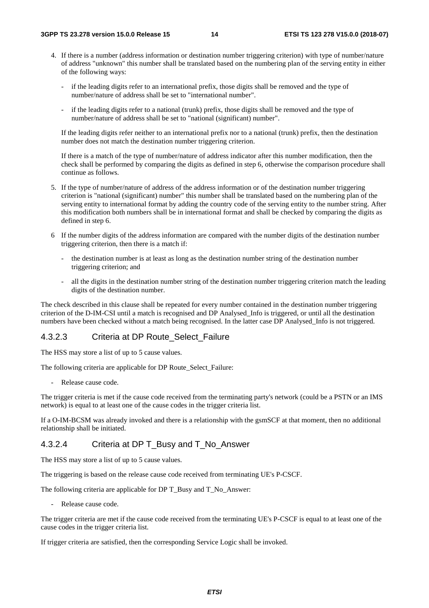- 4. If there is a number (address information or destination number triggering criterion) with type of number/nature of address "unknown" this number shall be translated based on the numbering plan of the serving entity in either of the following ways:
	- if the leading digits refer to an international prefix, those digits shall be removed and the type of number/nature of address shall be set to "international number".
	- if the leading digits refer to a national (trunk) prefix, those digits shall be removed and the type of number/nature of address shall be set to "national (significant) number".

If the leading digits refer neither to an international prefix nor to a national (trunk) prefix, then the destination number does not match the destination number triggering criterion.

If there is a match of the type of number/nature of address indicator after this number modification, then the check shall be performed by comparing the digits as defined in step 6, otherwise the comparison procedure shall continue as follows.

- 5. If the type of number/nature of address of the address information or of the destination number triggering criterion is "national (significant) number" this number shall be translated based on the numbering plan of the serving entity to international format by adding the country code of the serving entity to the number string. After this modification both numbers shall be in international format and shall be checked by comparing the digits as defined in step 6.
- 6 If the number digits of the address information are compared with the number digits of the destination number triggering criterion, then there is a match if:
	- the destination number is at least as long as the destination number string of the destination number triggering criterion; and
	- all the digits in the destination number string of the destination number triggering criterion match the leading digits of the destination number.

The check described in this clause shall be repeated for every number contained in the destination number triggering criterion of the D-IM-CSI until a match is recognised and DP Analysed\_Info is triggered, or until all the destination numbers have been checked without a match being recognised. In the latter case DP Analysed\_Info is not triggered.

### 4.3.2.3 Criteria at DP Route\_Select\_Failure

The HSS may store a list of up to 5 cause values.

The following criteria are applicable for DP Route\_Select\_Failure:

- Release cause code.

The trigger criteria is met if the cause code received from the terminating party's network (could be a PSTN or an IMS network) is equal to at least one of the cause codes in the trigger criteria list.

If a O-IM-BCSM was already invoked and there is a relationship with the gsmSCF at that moment, then no additional relationship shall be initiated.

### 4.3.2.4 Criteria at DP T\_Busy and T\_No\_Answer

The HSS may store a list of up to 5 cause values.

The triggering is based on the release cause code received from terminating UE's P-CSCF.

The following criteria are applicable for DP T\_Busy and T\_No\_Answer:

- Release cause code.

The trigger criteria are met if the cause code received from the terminating UE's P-CSCF is equal to at least one of the cause codes in the trigger criteria list.

If trigger criteria are satisfied, then the corresponding Service Logic shall be invoked.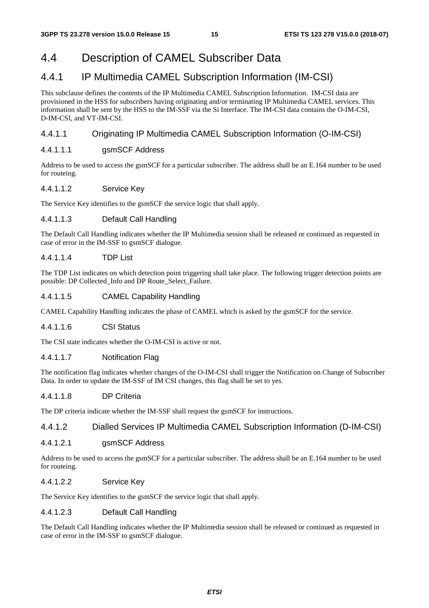## 4.4 Description of CAMEL Subscriber Data

### 4.4.1 IP Multimedia CAMEL Subscription Information (IM-CSI)

This subclause defines the contents of the IP Multimedia CAMEL Subscription Information. IM-CSI data are provisioned in the HSS for subscribers having originating and/or terminating IP Multimedia CAMEL services. This information shall be sent by the HSS to the IM-SSF via the Si Interface. The IM-CSI data contains the O-IM-CSI, D-IM-CSI, and VT-IM-CSI.

### 4.4.1.1 Originating IP Multimedia CAMEL Subscription Information (O-IM-CSI)

### 4.4.1.1.1 gsmSCF Address

Address to be used to access the gsmSCF for a particular subscriber. The address shall be an E.164 number to be used for routeing.

### 4.4.1.1.2 Service Key

The Service Key identifies to the gsmSCF the service logic that shall apply.

### 4.4.1.1.3 Default Call Handling

The Default Call Handling indicates whether the IP Multimedia session shall be released or continued as requested in case of error in the IM-SSF to gsmSCF dialogue.

### 4.4.1.1.4 TDP List

The TDP List indicates on which detection point triggering shall take place. The following trigger detection points are possible: DP Collected\_Info and DP Route\_Select\_Failure.

### 4.4.1.1.5 CAMEL Capability Handling

CAMEL Capability Handling indicates the phase of CAMEL which is asked by the gsmSCF for the service.

### 4.4.1.1.6 CSI Status

The CSI state indicates whether the O-IM-CSI is active or not.

### 4.4.1.1.7 Notification Flag

The notification flag indicates whether changes of the O-IM-CSI shall trigger the Notification on Change of Subscriber Data. In order to update the IM-SSF of IM CSI changes, this flag shall be set to yes.

### 4.4.1.1.8 DP Criteria

The DP criteria indicate whether the IM-SSF shall request the gsmSCF for instructions.

### 4.4.1.2 Dialled Services IP Multimedia CAMEL Subscription Information (D-IM-CSI)

### 4.4.1.2.1 gsmSCF Address

Address to be used to access the gsmSCF for a particular subscriber. The address shall be an E.164 number to be used for routeing.

### 4.4.1.2.2 Service Key

The Service Key identifies to the gsmSCF the service logic that shall apply.

### 4.4.1.2.3 Default Call Handling

The Default Call Handling indicates whether the IP Multimedia session shall be released or continued as requested in case of error in the IM-SSF to gsmSCF dialogue.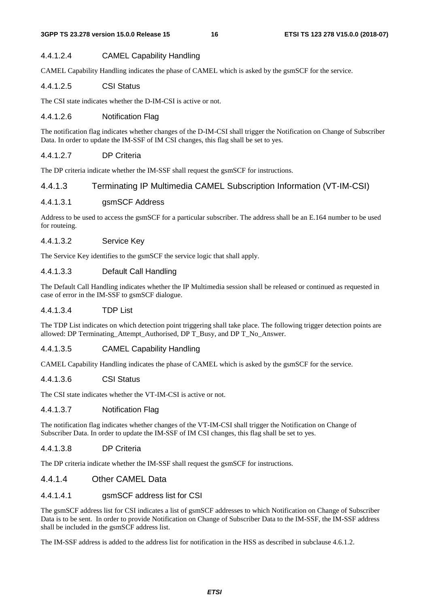### 4.4.1.2.4 CAMEL Capability Handling

CAMEL Capability Handling indicates the phase of CAMEL which is asked by the gsmSCF for the service.

### 4.4.1.2.5 CSI Status

The CSI state indicates whether the D-IM-CSI is active or not.

### 4.4.1.2.6 Notification Flag

The notification flag indicates whether changes of the D-IM-CSI shall trigger the Notification on Change of Subscriber Data. In order to update the IM-SSF of IM CSI changes, this flag shall be set to yes.

### 4.4.1.2.7 DP Criteria

The DP criteria indicate whether the IM-SSF shall request the gsmSCF for instructions.

### 4.4.1.3 Terminating IP Multimedia CAMEL Subscription Information (VT-IM-CSI)

### 4.4.1.3.1 gsmSCF Address

Address to be used to access the gsmSCF for a particular subscriber. The address shall be an E.164 number to be used for routeing.

### 4.4.1.3.2 Service Key

The Service Key identifies to the gsmSCF the service logic that shall apply.

### 4.4.1.3.3 Default Call Handling

The Default Call Handling indicates whether the IP Multimedia session shall be released or continued as requested in case of error in the IM-SSF to gsmSCF dialogue.

### 4.4.1.3.4 TDP List

The TDP List indicates on which detection point triggering shall take place. The following trigger detection points are allowed: DP Terminating\_Attempt\_Authorised, DP T\_Busy, and DP T\_No\_Answer.

### 4.4.1.3.5 CAMEL Capability Handling

CAMEL Capability Handling indicates the phase of CAMEL which is asked by the gsmSCF for the service.

### 4.4.1.3.6 CSI Status

The CSI state indicates whether the VT-IM-CSI is active or not.

### 4.4.1.3.7 Notification Flag

The notification flag indicates whether changes of the VT-IM-CSI shall trigger the Notification on Change of Subscriber Data. In order to update the IM-SSF of IM CSI changes, this flag shall be set to yes.

### 4.4.1.3.8 DP Criteria

The DP criteria indicate whether the IM-SSF shall request the gsmSCF for instructions.

### 4.4.1.4 Other CAMEL Data

### 4.4.1.4.1 gsmSCF address list for CSI

The gsmSCF address list for CSI indicates a list of gsmSCF addresses to which Notification on Change of Subscriber Data is to be sent. In order to provide Notification on Change of Subscriber Data to the IM-SSF, the IM-SSF address shall be included in the gsmSCF address list.

The IM-SSF address is added to the address list for notification in the HSS as described in subclause 4.6.1.2.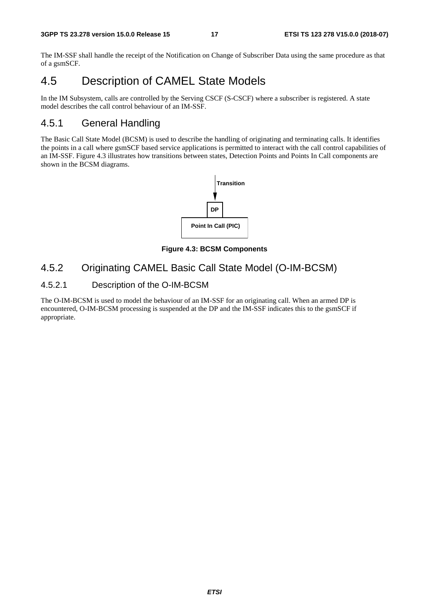The IM-SSF shall handle the receipt of the Notification on Change of Subscriber Data using the same procedure as that of a gsmSCF.

## 4.5 Description of CAMEL State Models

In the IM Subsystem, calls are controlled by the Serving CSCF (S-CSCF) where a subscriber is registered. A state model describes the call control behaviour of an IM-SSF.

### 4.5.1 General Handling

The Basic Call State Model (BCSM) is used to describe the handling of originating and terminating calls. It identifies the points in a call where gsmSCF based service applications is permitted to interact with the call control capabilities of an IM-SSF. Figure 4.3 illustrates how transitions between states, Detection Points and Points In Call components are shown in the BCSM diagrams.



**Figure 4.3: BCSM Components** 

### 4.5.2 Originating CAMEL Basic Call State Model (O-IM-BCSM)

### 4.5.2.1 Description of the O-IM-BCSM

The O-IM-BCSM is used to model the behaviour of an IM-SSF for an originating call. When an armed DP is encountered, O-IM-BCSM processing is suspended at the DP and the IM-SSF indicates this to the gsmSCF if appropriate.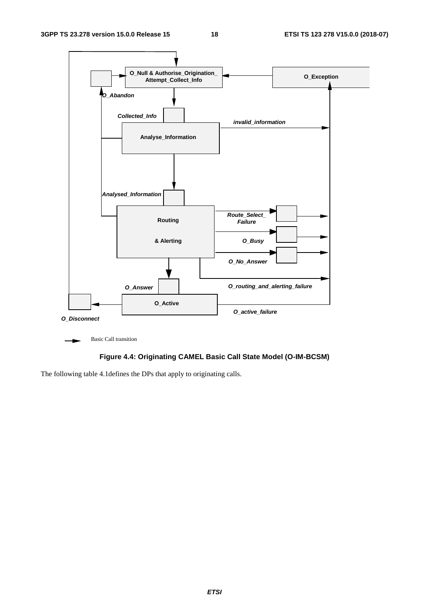



The following table 4.1defines the DPs that apply to originating calls.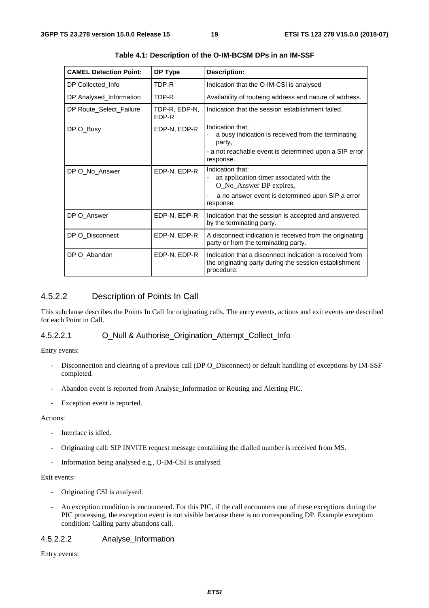| <b>CAMEL Detection Point:</b> | DP Type                       | <b>Description:</b>                                                                                                              |
|-------------------------------|-------------------------------|----------------------------------------------------------------------------------------------------------------------------------|
| DP Collected Info             | TDP-R                         | Indication that the O-IM-CSI is analysed                                                                                         |
| DP Analysed_Information       | TDP-R                         | Availability of routeing address and nature of address.                                                                          |
| DP Route_Select_Failure       | TDP-R, EDP-N,<br><b>FDP-R</b> | Indication that the session establishment failed.                                                                                |
| DP O_Busy                     | EDP-N, EDP-R                  | Indication that:<br>a busy indication is received from the terminating<br>party,                                                 |
|                               |                               | - a not reachable event is determined upon a SIP error<br>response.                                                              |
| DP O_No_Answer                | EDP-N, EDP-R                  | Indication that:<br>an application timer associated with the<br>O_No_Answer DP expires,                                          |
|                               |                               | a no answer event is determined upon SIP a error<br>٠<br>response                                                                |
| DP O_Answer                   | EDP-N, EDP-R                  | Indication that the session is accepted and answered<br>by the terminating party.                                                |
| DP O Disconnect               | EDP-N, EDP-R                  | A disconnect indication is received from the originating<br>party or from the terminating party.                                 |
| DP O Abandon                  | EDP-N, EDP-R                  | Indication that a disconnect indication is received from<br>the originating party during the session establishment<br>procedure. |

**Table 4.1: Description of the O-IM-BCSM DPs in an IM-SSF** 

### 4.5.2.2 Description of Points In Call

This subclause describes the Points In Call for originating calls. The entry events, actions and exit events are described for each Point in Call.

### 4.5.2.2.1 O\_Null & Authorise\_Origination\_Attempt\_Collect\_Info

Entry events:

- Disconnection and clearing of a previous call (DP O\_Disconnect) or default handling of exceptions by IM-SSF completed.
- Abandon event is reported from Analyse\_Information or Routing and Alerting PIC.
- Exception event is reported.

### Actions:

- Interface is idled.
- Originating call: SIP INVITE request message containing the dialled number is received from MS.
- Information being analysed e.g., O-IM-CSI is analysed.

### Exit events:

- Originating CSI is analysed.
- An exception condition is encountered. For this PIC, if the call encounters one of these exceptions during the PIC processing, the exception event is not visible because there is no corresponding DP. Example exception condition: Calling party abandons call.

### 4.5.2.2.2 Analyse\_Information

Entry events: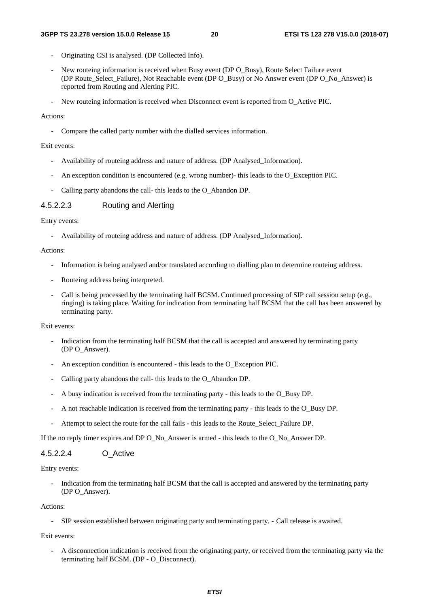- Originating CSI is analysed. (DP Collected Info).
- New routeing information is received when Busy event (DP O\_Busy), Route Select Failure event (DP Route\_Select\_Failure), Not Reachable event (DP O\_Busy) or No Answer event (DP O\_No\_Answer) is reported from Routing and Alerting PIC.
- New routeing information is received when Disconnect event is reported from O\_Active PIC.

### Actions:

- Compare the called party number with the dialled services information.

### Exit events:

- Availability of routeing address and nature of address. (DP Analysed\_Information).
- An exception condition is encountered (e.g. wrong number)- this leads to the O\_Exception PIC.
- Calling party abandons the call- this leads to the O\_Abandon DP.

### 4.5.2.2.3 Routing and Alerting

### Entry events:

- Availability of routeing address and nature of address. (DP Analysed\_Information).

### Actions:

- Information is being analysed and/or translated according to dialling plan to determine routeing address.
- Routeing address being interpreted.
- Call is being processed by the terminating half BCSM. Continued processing of SIP call session setup (e.g., ringing) is taking place. Waiting for indication from terminating half BCSM that the call has been answered by terminating party.

#### Exit events:

- Indication from the terminating half BCSM that the call is accepted and answered by terminating party (DP O\_Answer).
- An exception condition is encountered this leads to the O\_Exception PIC.
- Calling party abandons the call- this leads to the O\_Abandon DP.
- A busy indication is received from the terminating party this leads to the O\_Busy DP.
- A not reachable indication is received from the terminating party this leads to the O\_Busy DP.
- Attempt to select the route for the call fails this leads to the Route Select Failure DP.

If the no reply timer expires and DP O\_No\_Answer is armed - this leads to the O\_No\_Answer DP.

### 4.5.2.2.4 O\_Active

### Entry events:

- Indication from the terminating half BCSM that the call is accepted and answered by the terminating party (DP O\_Answer).

#### Actions:

- SIP session established between originating party and terminating party. - Call release is awaited.

### Exit events:

- A disconnection indication is received from the originating party, or received from the terminating party via the terminating half BCSM. (DP - O\_Disconnect).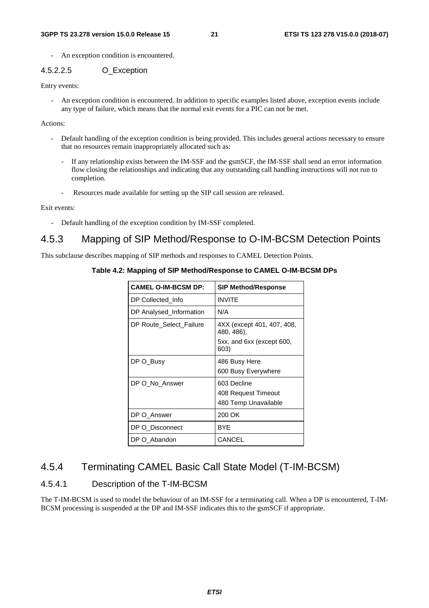An exception condition is encountered.

### 4.5.2.2.5 O\_Exception

Entry events:

- An exception condition is encountered. In addition to specific examples listed above, exception events include any type of failure, which means that the normal exit events for a PIC can not be met.

Actions:

- Default handling of the exception condition is being provided. This includes general actions necessary to ensure that no resources remain inappropriately allocated such as:
	- If any relationship exists between the IM-SSF and the gsmSCF, the IM-SSF shall send an error information flow closing the relationships and indicating that any outstanding call handling instructions will not run to completion.
	- Resources made available for setting up the SIP call session are released.

#### Exit events:

- Default handling of the exception condition by IM-SSF completed.

### 4.5.3 Mapping of SIP Method/Response to O-IM-BCSM Detection Points

This subclause describes mapping of SIP methods and responses to CAMEL Detection Points.

### **Table 4.2: Mapping of SIP Method/Response to CAMEL O-IM-BCSM DPs**

| <b>CAMEL O-IM-BCSM DP:</b> | <b>SIP Method/Response</b>               |
|----------------------------|------------------------------------------|
| DP Collected Info          | <b>INVITE</b>                            |
| DP Analysed_Information    | N/A                                      |
| DP Route Select Failure    | 4XX (except 401, 407, 408,<br>480, 486), |
|                            | 5xx, and 6xx (except 600,<br>603)        |
| DP O_Busy                  | 486 Busy Here                            |
|                            | 600 Busy Everywhere                      |
| DP O_No_Answer             | 603 Decline                              |
|                            | 408 Request Timeout                      |
|                            | 480 Temp Unavailable                     |
| DP O Answer                | 200 OK                                   |
| DP O Disconnect            | BYE                                      |
| DP O Abandon               | <b>CANCEL</b>                            |

### 4.5.4 Terminating CAMEL Basic Call State Model (T-IM-BCSM)

### 4.5.4.1 Description of the T-IM-BCSM

The T-IM-BCSM is used to model the behaviour of an IM-SSF for a terminating call. When a DP is encountered, T-IM-BCSM processing is suspended at the DP and IM-SSF indicates this to the gsmSCF if appropriate.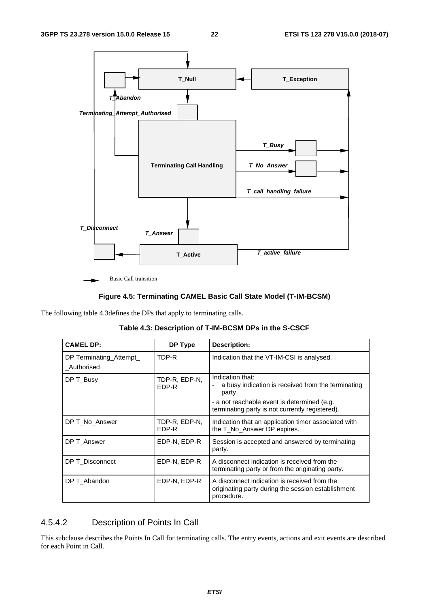

Basic Call transition

### **Figure 4.5: Terminating CAMEL Basic Call State Model (T-IM-BCSM)**

The following table 4.3defines the DPs that apply to terminating calls.

| <b>CAMEL DP:</b>                     | DP Type                | Description:                                                                                                                                                                       |
|--------------------------------------|------------------------|------------------------------------------------------------------------------------------------------------------------------------------------------------------------------------|
| DP Terminating Attempt<br>Authorised | TDP-R                  | Indication that the VT-IM-CSI is analysed.                                                                                                                                         |
| DP T_Busy                            | TDP-R, EDP-N,<br>EDP-R | Indication that:<br>a busy indication is received from the terminating<br>party,<br>- a not reachable event is determined (e.g.<br>terminating party is not currently registered). |
| DP T No Answer                       | TDP-R, EDP-N,<br>EDP-R | Indication that an application timer associated with<br>the T No Answer DP expires.                                                                                                |
| DP T Answer                          | EDP-N, EDP-R           | Session is accepted and answered by terminating<br>party.                                                                                                                          |
| DP T Disconnect                      | EDP-N, EDP-R           | A disconnect indication is received from the<br>terminating party or from the originating party.                                                                                   |
| DP T Abandon                         | EDP-N, EDP-R           | A disconnect indication is received from the<br>originating party during the session establishment<br>procedure.                                                                   |

### 4.5.4.2 Description of Points In Call

This subclause describes the Points In Call for terminating calls. The entry events, actions and exit events are described for each Point in Call.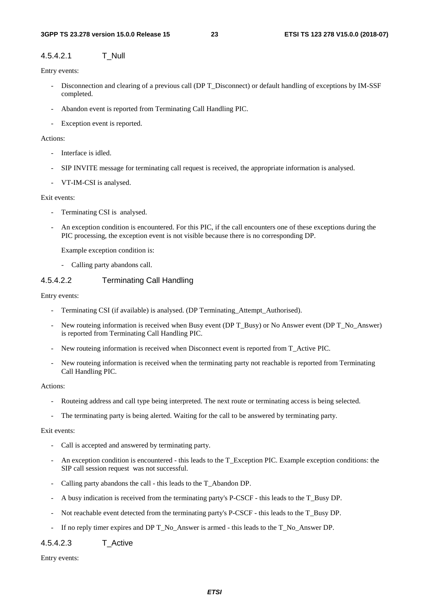### 4.5.4.2.1 T\_Null

#### Entry events:

- Disconnection and clearing of a previous call (DP T\_Disconnect) or default handling of exceptions by IM-SSF completed.
- Abandon event is reported from Terminating Call Handling PIC.
- Exception event is reported.

### Actions:

- Interface is idled.
- SIP INVITE message for terminating call request is received, the appropriate information is analysed.
- VT-IM-CSI is analysed.

#### Exit events:

- Terminating CSI is analysed.
- An exception condition is encountered. For this PIC, if the call encounters one of these exceptions during the PIC processing, the exception event is not visible because there is no corresponding DP.

Example exception condition is:

- Calling party abandons call.

### 4.5.4.2.2 Terminating Call Handling

#### Entry events:

- Terminating CSI (if available) is analysed. (DP Terminating\_Attempt\_Authorised).
- New routeing information is received when Busy event (DP T\_Busy) or No Answer event (DP T\_No\_Answer) is reported from Terminating Call Handling PIC.
- New routeing information is received when Disconnect event is reported from T\_Active PIC.
- New routeing information is received when the terminating party not reachable is reported from Terminating Call Handling PIC.

#### Actions:

- Routeing address and call type being interpreted. The next route or terminating access is being selected.
- The terminating party is being alerted. Waiting for the call to be answered by terminating party.

#### Exit events:

- Call is accepted and answered by terminating party.
- An exception condition is encountered this leads to the T\_Exception PIC. Example exception conditions: the SIP call session request was not successful.
- Calling party abandons the call this leads to the T\_Abandon DP.
- A busy indication is received from the terminating party's P-CSCF this leads to the T\_Busy DP.
- Not reachable event detected from the terminating party's P-CSCF this leads to the T\_Busy DP.
- If no reply timer expires and DP T\_No\_Answer is armed this leads to the T\_No\_Answer DP.

### 4.5.4.2.3 T\_Active

Entry events: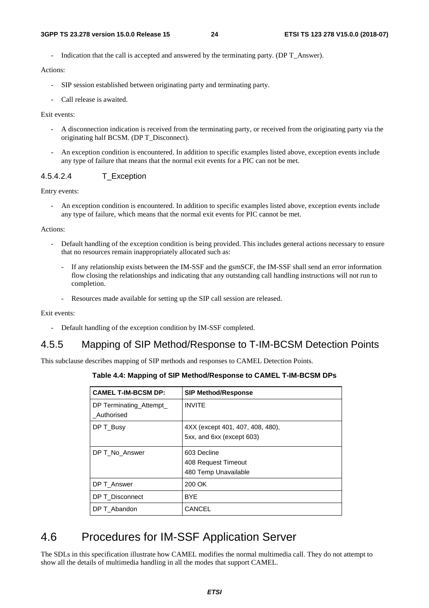Indication that the call is accepted and answered by the terminating party. (DP T\_Answer).

#### Actions:

- SIP session established between originating party and terminating party.
- Call release is awaited.

#### Exit events:

- A disconnection indication is received from the terminating party, or received from the originating party via the originating half BCSM. (DP T\_Disconnect).
- An exception condition is encountered. In addition to specific examples listed above, exception events include any type of failure that means that the normal exit events for a PIC can not be met.

#### 4.5.4.2.4 T\_Exception

#### Entry events:

- An exception condition is encountered. In addition to specific examples listed above, exception events include any type of failure, which means that the normal exit events for PIC cannot be met.

#### Actions:

- Default handling of the exception condition is being provided. This includes general actions necessary to ensure that no resources remain inappropriately allocated such as:
	- If any relationship exists between the IM-SSF and the gsmSCF, the IM-SSF shall send an error information flow closing the relationships and indicating that any outstanding call handling instructions will not run to completion.
	- Resources made available for setting up the SIP call session are released.

#### Exit events:

- Default handling of the exception condition by IM-SSF completed.

### 4.5.5 Mapping of SIP Method/Response to T-IM-BCSM Detection Points

This subclause describes mapping of SIP methods and responses to CAMEL Detection Points.

### **Table 4.4: Mapping of SIP Method/Response to CAMEL T-IM-BCSM DPs**

| <b>CAMEL T-IM-BCSM DP:</b>            | <b>SIP Method/Response</b>       |
|---------------------------------------|----------------------------------|
| DP Terminating_Attempt_<br>Authorised | <b>INVITE</b>                    |
| DP T_Busy                             | 4XX (except 401, 407, 408, 480), |
|                                       | 5xx, and 6xx (except 603)        |
| DP T No Answer                        | 603 Decline                      |
|                                       | 408 Request Timeout              |
|                                       | 480 Temp Unavailable             |
| DP T Answer                           | 200 OK                           |
| DP T Disconnect                       | <b>BYF</b>                       |
| DP T Abandon                          | <b>CANCEL</b>                    |

### 4.6 Procedures for IM-SSF Application Server

The SDLs in this specification illustrate how CAMEL modifies the normal multimedia call. They do not attempt to show all the details of multimedia handling in all the modes that support CAMEL.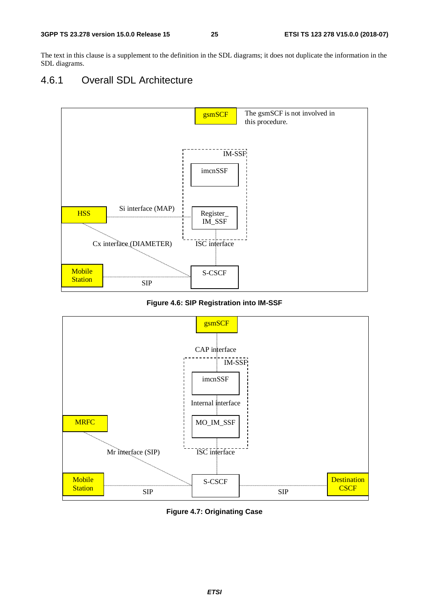The text in this clause is a supplement to the definition in the SDL diagrams; it does not duplicate the information in the SDL diagrams.

### 4.6.1 Overall SDL Architecture



**Figure 4.6: SIP Registration into IM-SSF** 



**Figure 4.7: Originating Case**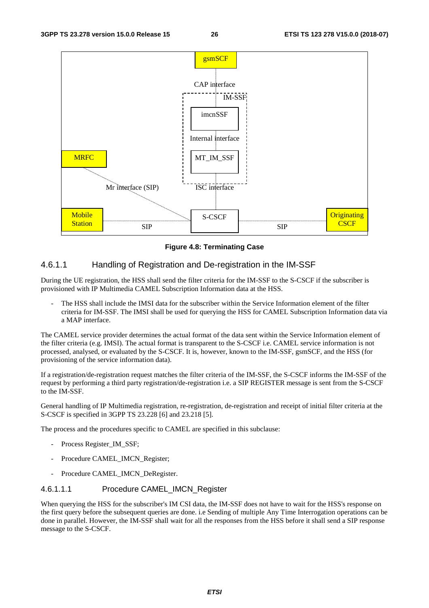

**Figure 4.8: Terminating Case** 

### 4.6.1.1 Handling of Registration and De-registration in the IM-SSF

During the UE registration, the HSS shall send the filter criteria for the IM-SSF to the S-CSCF if the subscriber is provisioned with IP Multimedia CAMEL Subscription Information data at the HSS.

The HSS shall include the IMSI data for the subscriber within the Service Information element of the filter criteria for IM-SSF. The IMSI shall be used for querying the HSS for CAMEL Subscription Information data via a MAP interface.

The CAMEL service provider determines the actual format of the data sent within the Service Information element of the filter criteria (e.g. IMSI). The actual format is transparent to the S-CSCF i.e. CAMEL service information is not processed, analysed, or evaluated by the S-CSCF. It is, however, known to the IM-SSF, gsmSCF, and the HSS (for provisioning of the service information data).

If a registration/de-registration request matches the filter criteria of the IM-SSF, the S-CSCF informs the IM-SSF of the request by performing a third party registration/de-registration i.e. a SIP REGISTER message is sent from the S-CSCF to the IM-SSF.

General handling of IP Multimedia registration, re-registration, de-registration and receipt of initial filter criteria at the S-CSCF is specified in 3GPP TS 23.228 [6] and 23.218 [5].

The process and the procedures specific to CAMEL are specified in this subclause:

- Process Register\_IM\_SSF;
- Procedure CAMEL\_IMCN\_Register;
- Procedure CAMEL\_IMCN\_DeRegister.

### 4.6.1.1.1 Procedure CAMEL\_IMCN\_Register

When querying the HSS for the subscriber's IM CSI data, the IM-SSF does not have to wait for the HSS's response on the first query before the subsequent queries are done. i.e Sending of multiple Any Time Interrogation operations can be done in parallel. However, the IM-SSF shall wait for all the responses from the HSS before it shall send a SIP response message to the S-CSCF.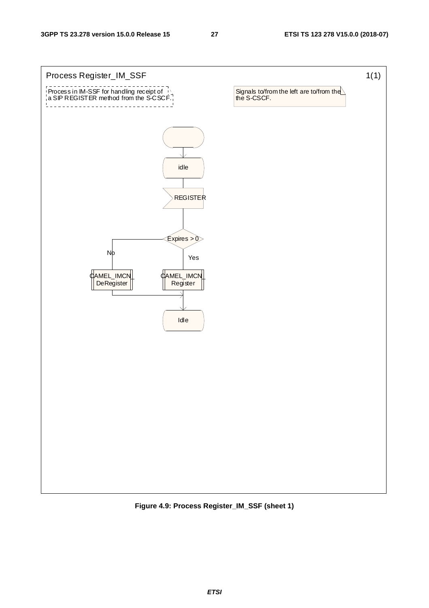

**Figure 4.9: Process Register\_IM\_SSF (sheet 1)**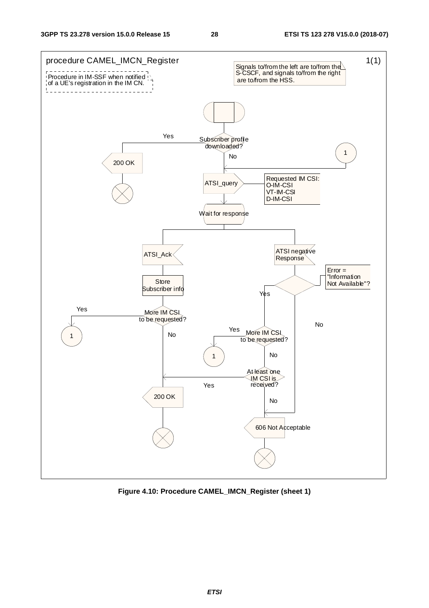

**Figure 4.10: Procedure CAMEL\_IMCN\_Register (sheet 1)**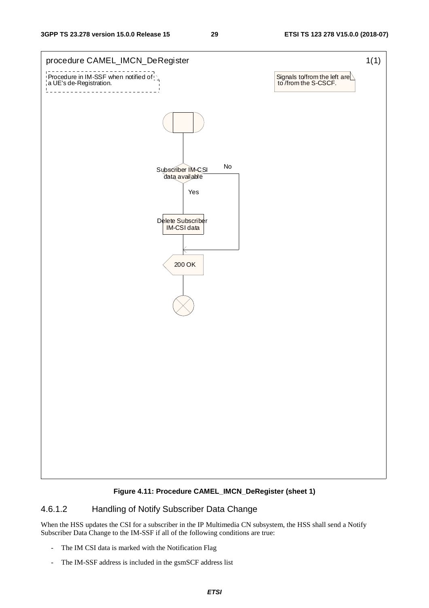

### **Figure 4.11: Procedure CAMEL\_IMCN\_DeRegister (sheet 1)**

### 4.6.1.2 Handling of Notify Subscriber Data Change

When the HSS updates the CSI for a subscriber in the IP Multimedia CN subsystem, the HSS shall send a Notify Subscriber Data Change to the IM-SSF if all of the following conditions are true:

- The IM CSI data is marked with the Notification Flag
- The IM-SSF address is included in the gsmSCF address list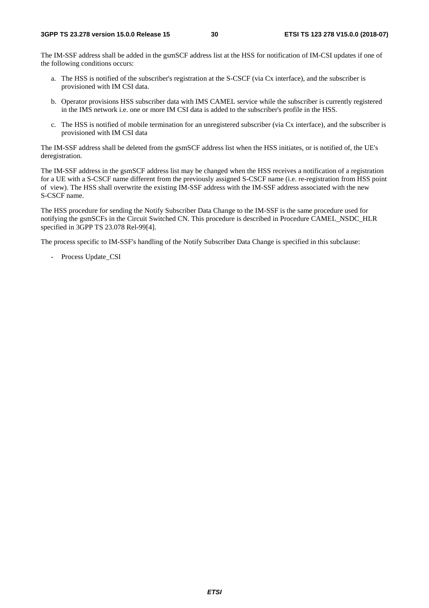The IM-SSF address shall be added in the gsmSCF address list at the HSS for notification of IM-CSI updates if one of the following conditions occurs:

- a. The HSS is notified of the subscriber's registration at the S-CSCF (via Cx interface), and the subscriber is provisioned with IM CSI data.
- b. Operator provisions HSS subscriber data with IMS CAMEL service while the subscriber is currently registered in the IMS network i.e. one or more IM CSI data is added to the subscriber's profile in the HSS.
- c. The HSS is notified of mobile termination for an unregistered subscriber (via Cx interface), and the subscriber is provisioned with IM CSI data

The IM-SSF address shall be deleted from the gsmSCF address list when the HSS initiates, or is notified of, the UE's deregistration.

The IM-SSF address in the gsmSCF address list may be changed when the HSS receives a notification of a registration for a UE with a S-CSCF name different from the previously assigned S-CSCF name (i.e. re-registration from HSS point of view). The HSS shall overwrite the existing IM-SSF address with the IM-SSF address associated with the new S-CSCF name.

The HSS procedure for sending the Notify Subscriber Data Change to the IM-SSF is the same procedure used for notifying the gsmSCFs in the Circuit Switched CN. This procedure is described in Procedure CAMEL\_NSDC\_HLR specified in 3GPP TS 23.078 Rel-99[4].

The process specific to IM-SSF's handling of the Notify Subscriber Data Change is specified in this subclause:

- Process Update\_CSI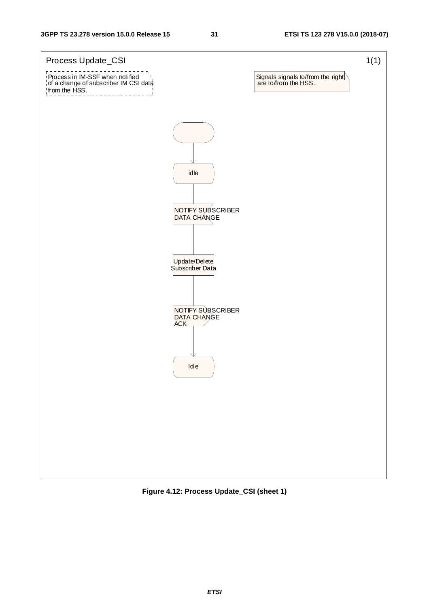#### **3GPP TS 23.278 version 15.0.0 Release 15 31 ETSI TS 123 278 V15.0.0 (2018-07)**



**Figure 4.12: Process Update\_CSI (sheet 1)**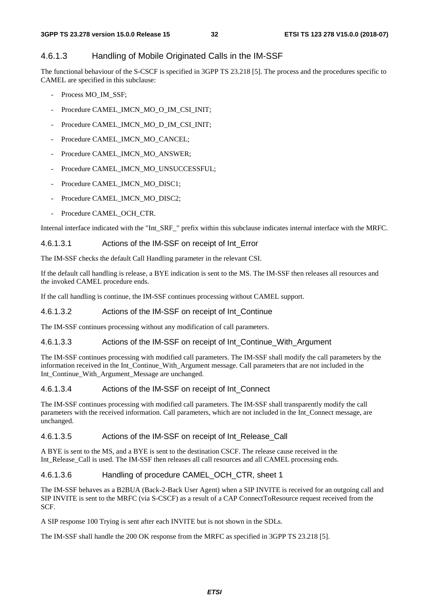### 4.6.1.3 Handling of Mobile Originated Calls in the IM-SSF

The functional behaviour of the S-CSCF is specified in 3GPP TS 23.218 [5]. The process and the procedures specific to CAMEL are specified in this subclause:

- Process MO\_IM\_SSF;
- Procedure CAMEL\_IMCN\_MO\_O\_IM\_CSI\_INIT;
- Procedure CAMEL\_IMCN\_MO\_D\_IM\_CSI\_INIT;
- Procedure CAMEL\_IMCN\_MO\_CANCEL;
- Procedure CAMEL\_IMCN\_MO\_ANSWER;
- Procedure CAMEL\_IMCN\_MO\_UNSUCCESSFUL;
- Procedure CAMEL\_IMCN\_MO\_DISC1;
- Procedure CAMEL\_IMCN\_MO\_DISC2;
- Procedure CAMEL\_OCH\_CTR.

Internal interface indicated with the "Int\_SRF\_" prefix within this subclause indicates internal interface with the MRFC.

### 4.6.1.3.1 Actions of the IM-SSF on receipt of Int\_Error

The IM-SSF checks the default Call Handling parameter in the relevant CSI.

If the default call handling is release, a BYE indication is sent to the MS. The IM-SSF then releases all resources and the invoked CAMEL procedure ends.

If the call handling is continue, the IM-SSF continues processing without CAMEL support.

### 4.6.1.3.2 Actions of the IM-SSF on receipt of Int\_Continue

The IM-SSF continues processing without any modification of call parameters.

### 4.6.1.3.3 Actions of the IM-SSF on receipt of Int\_Continue\_With\_Argument

The IM-SSF continues processing with modified call parameters. The IM-SSF shall modify the call parameters by the information received in the Int\_Continue\_With\_Argument message. Call parameters that are not included in the Int\_Continue\_With\_Argument\_Message are unchanged.

### 4.6.1.3.4 Actions of the IM-SSF on receipt of Int\_Connect

The IM-SSF continues processing with modified call parameters. The IM-SSF shall transparently modify the call parameters with the received information. Call parameters, which are not included in the Int\_Connect message, are unchanged.

### 4.6.1.3.5 Actions of the IM-SSF on receipt of Int\_Release\_Call

A BYE is sent to the MS, and a BYE is sent to the destination CSCF. The release cause received in the Int\_Release\_Call is used. The IM-SSF then releases all call resources and all CAMEL processing ends.

### 4.6.1.3.6 Handling of procedure CAMEL\_OCH\_CTR, sheet 1

The IM-SSF behaves as a B2BUA (Back-2-Back User Agent) when a SIP INVITE is received for an outgoing call and SIP INVITE is sent to the MRFC (via S-CSCF) as a result of a CAP ConnectToResource request received from the SCF.

A SIP response 100 Trying is sent after each INVITE but is not shown in the SDLs.

The IM-SSF shall handle the 200 OK response from the MRFC as specified in 3GPP TS 23.218 [5].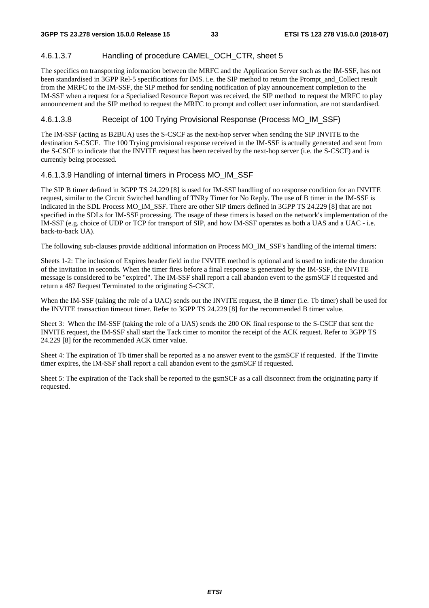### 4.6.1.3.7 Handling of procedure CAMEL\_OCH\_CTR, sheet 5

The specifics on transporting information between the MRFC and the Application Server such as the IM-SSF, has not been standardised in 3GPP Rel-5 specifications for IMS. i.e. the SIP method to return the Prompt\_and\_Collect result from the MRFC to the IM-SSF, the SIP method for sending notification of play announcement completion to the IM-SSF when a request for a Specialised Resource Report was received, the SIP method to request the MRFC to play announcement and the SIP method to request the MRFC to prompt and collect user information, are not standardised.

### 4.6.1.3.8 Receipt of 100 Trying Provisional Response (Process MO\_IM\_SSF)

The IM-SSF (acting as B2BUA) uses the S-CSCF as the next-hop server when sending the SIP INVITE to the destination S-CSCF. The 100 Trying provisional response received in the IM-SSF is actually generated and sent from the S-CSCF to indicate that the INVITE request has been received by the next-hop server (i.e. the S-CSCF) and is currently being processed.

### 4.6.1.3.9 Handling of internal timers in Process MO\_IM\_SSF

The SIP B timer defined in 3GPP TS 24.229 [8] is used for IM-SSF handling of no response condition for an INVITE request, similar to the Circuit Switched handling of TNRy Timer for No Reply. The use of B timer in the IM-SSF is indicated in the SDL Process MO\_IM\_SSF. There are other SIP timers defined in 3GPP TS 24.229 [8] that are not specified in the SDLs for IM-SSF processing. The usage of these timers is based on the network's implementation of the IM-SSF (e.g. choice of UDP or TCP for transport of SIP, and how IM-SSF operates as both a UAS and a UAC - i.e. back-to-back UA).

The following sub-clauses provide additional information on Process MO\_IM\_SSF's handling of the internal timers:

Sheets 1-2: The inclusion of Expires header field in the INVITE method is optional and is used to indicate the duration of the invitation in seconds. When the timer fires before a final response is generated by the IM-SSF, the INVITE message is considered to be "expired". The IM-SSF shall report a call abandon event to the gsmSCF if requested and return a 487 Request Terminated to the originating S-CSCF.

When the IM-SSF (taking the role of a UAC) sends out the INVITE request, the B timer (i.e. Tb timer) shall be used for the INVITE transaction timeout timer. Refer to 3GPP TS 24.229 [8] for the recommended B timer value.

Sheet 3: When the IM-SSF (taking the role of a UAS) sends the 200 OK final response to the S-CSCF that sent the INVITE request, the IM-SSF shall start the Tack timer to monitor the receipt of the ACK request. Refer to 3GPP TS 24.229 [8] for the recommended ACK timer value.

Sheet 4: The expiration of Tb timer shall be reported as a no answer event to the gsmSCF if requested. If the Tinvite timer expires, the IM-SSF shall report a call abandon event to the gsmSCF if requested.

Sheet 5: The expiration of the Tack shall be reported to the gsmSCF as a call disconnect from the originating party if requested.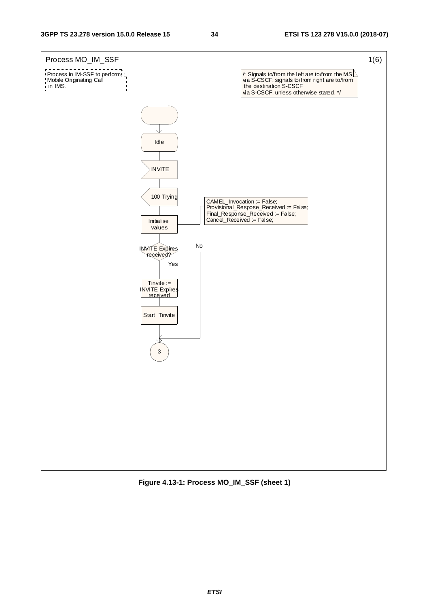

**Figure 4.13-1: Process MO\_IM\_SSF (sheet 1)**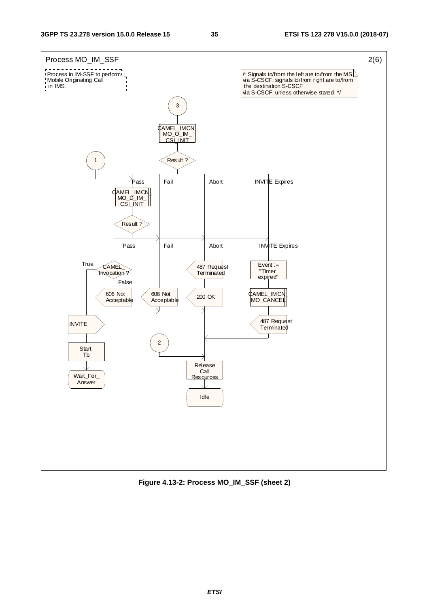

**Figure 4.13-2: Process MO\_IM\_SSF (sheet 2)**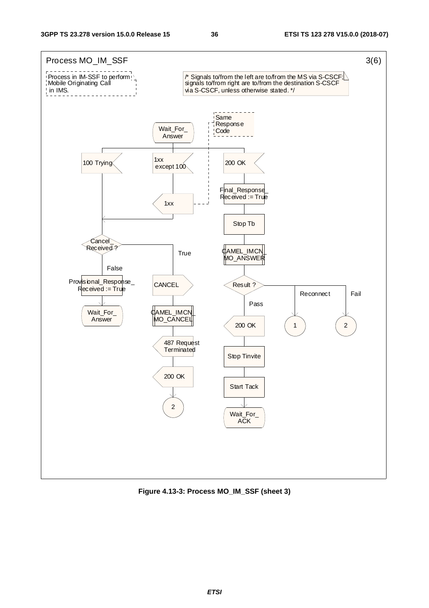

**Figure 4.13-3: Process MO\_IM\_SSF (sheet 3)**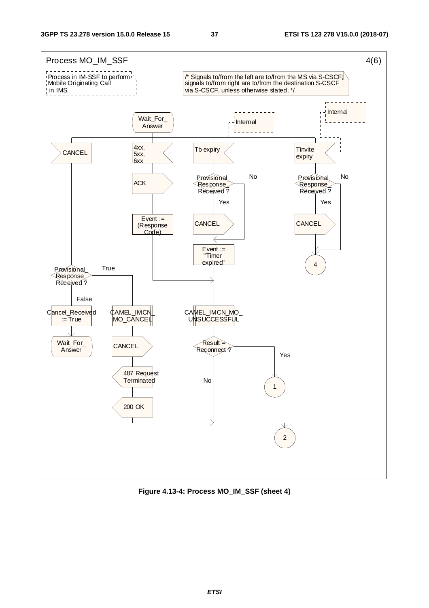

**Figure 4.13-4: Process MO\_IM\_SSF (sheet 4)**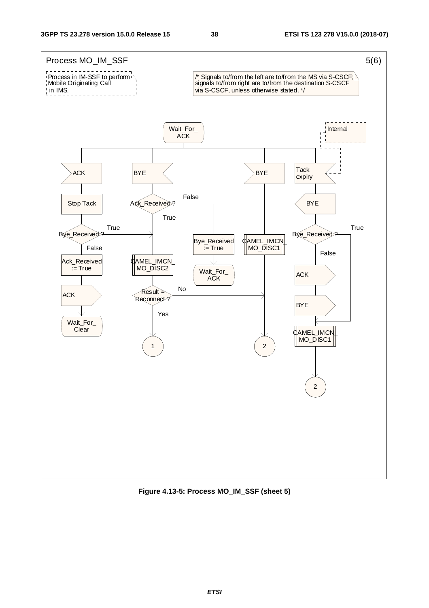

**Figure 4.13-5: Process MO\_IM\_SSF (sheet 5)**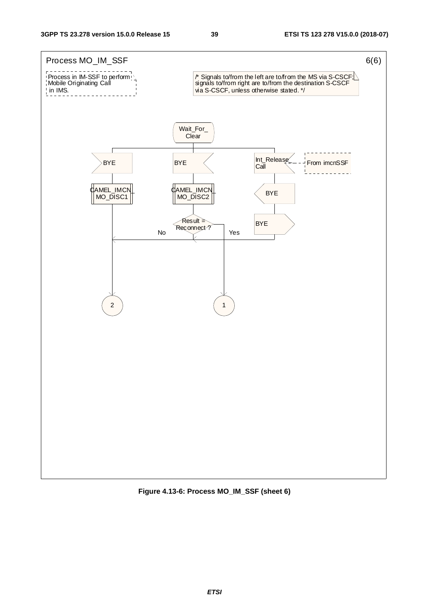

**Figure 4.13-6: Process MO\_IM\_SSF (sheet 6)**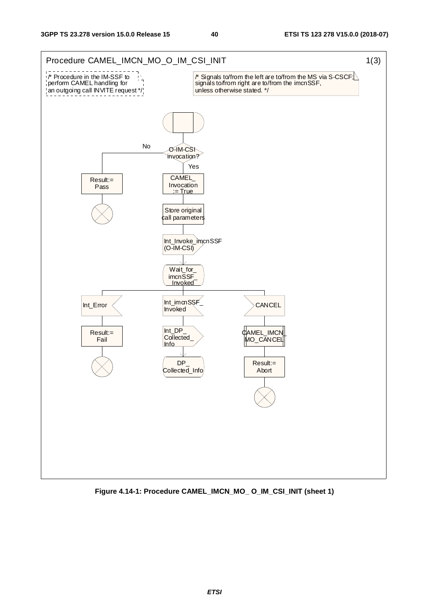

**Figure 4.14-1: Procedure CAMEL\_IMCN\_MO\_ O\_IM\_CSI\_INIT (sheet 1)** 

*ETSI*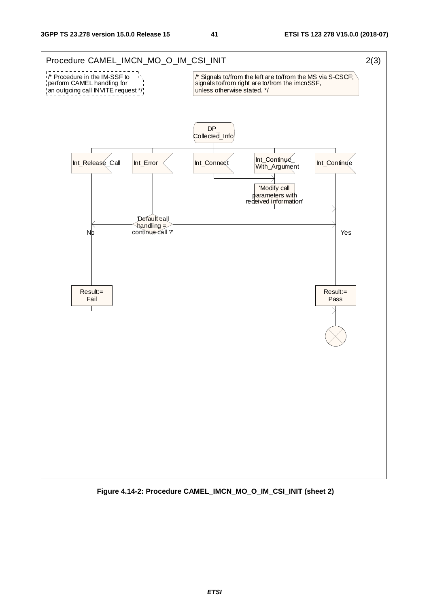

 **Figure 4.14-2: Procedure CAMEL\_IMCN\_MO\_O\_IM\_CSI\_INIT (sheet 2)**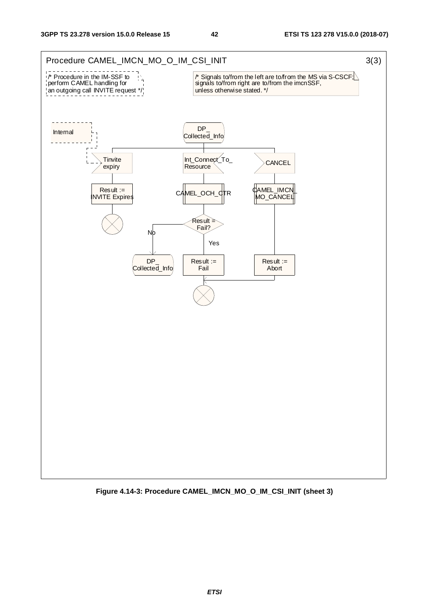

### **Figure 4.14-3: Procedure CAMEL\_IMCN\_MO\_O\_IM\_CSI\_INIT (sheet 3)**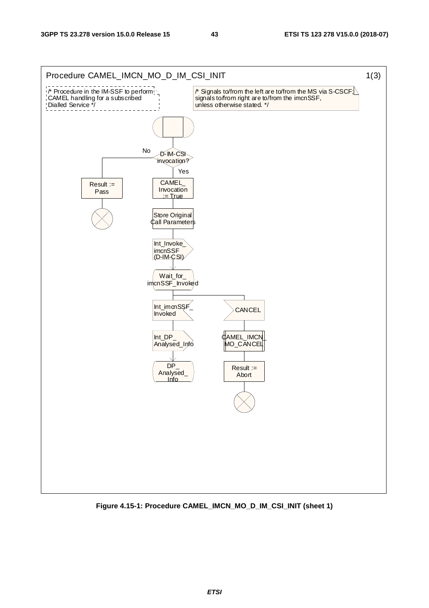

**Figure 4.15-1: Procedure CAMEL\_IMCN\_MO\_D\_IM\_CSI\_INIT (sheet 1)**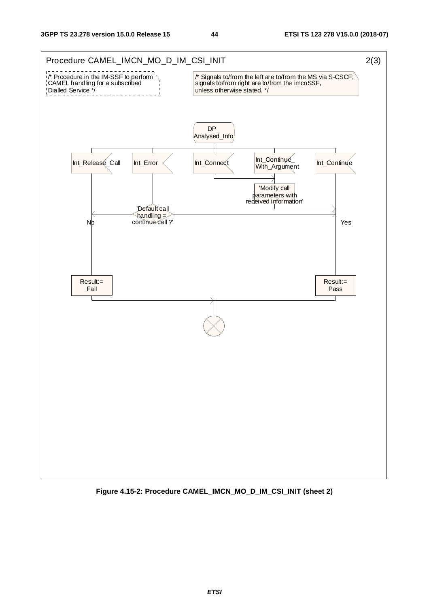

**Figure 4.15-2: Procedure CAMEL\_IMCN\_MO\_D\_IM\_CSI\_INIT (sheet 2)**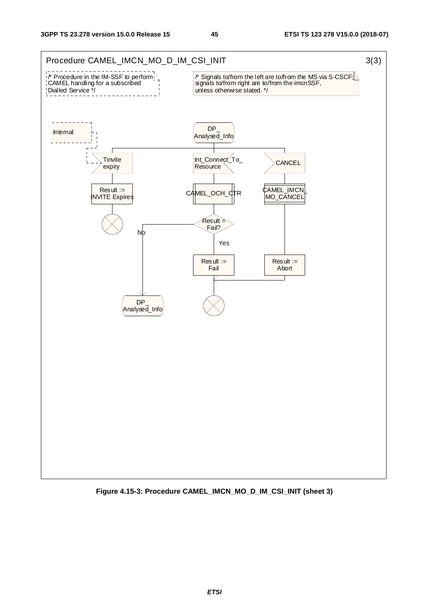

**Figure 4.15-3: Procedure CAMEL\_IMCN\_MO\_D\_IM\_CSI\_INIT (sheet 3)**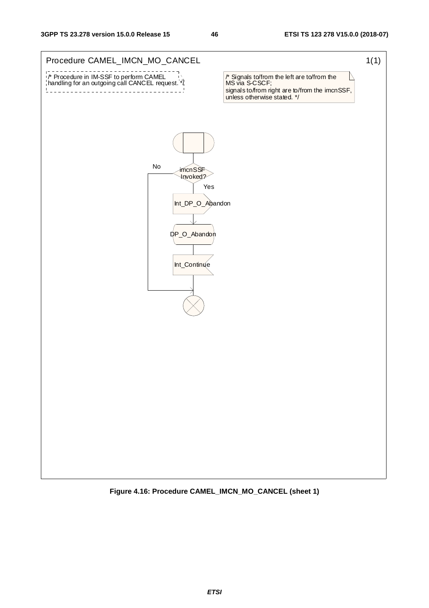

**Figure 4.16: Procedure CAMEL\_IMCN\_MO\_CANCEL (sheet 1)**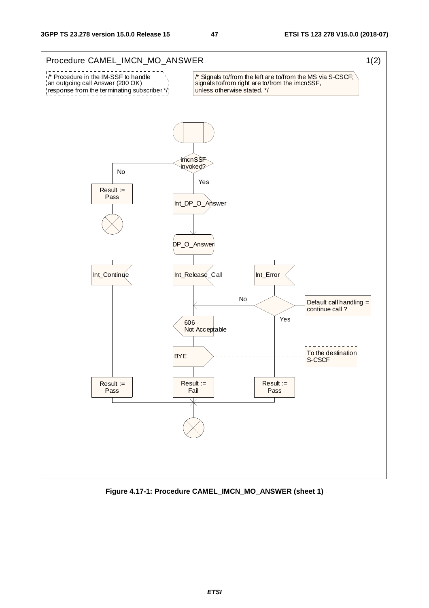

**Figure 4.17-1: Procedure CAMEL\_IMCN\_MO\_ANSWER (sheet 1)**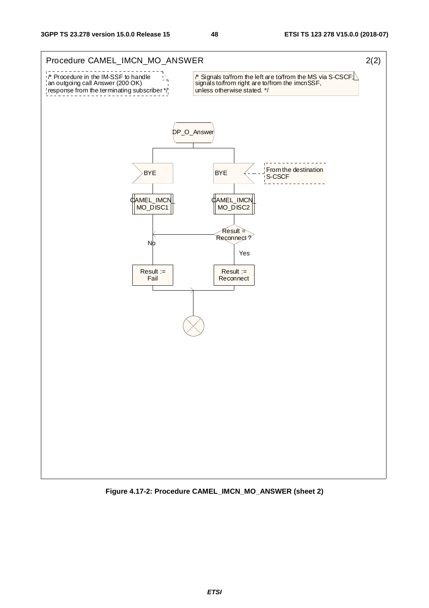

**Figure 4.17-2: Procedure CAMEL\_IMCN\_MO\_ANSWER (sheet 2)**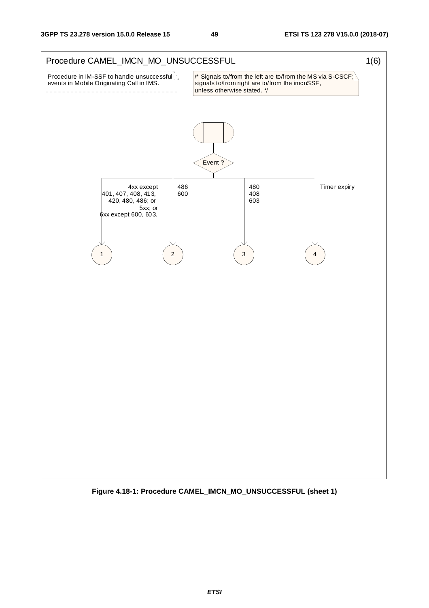

**Figure 4.18-1: Procedure CAMEL\_IMCN\_MO\_UNSUCCESSFUL (sheet 1)**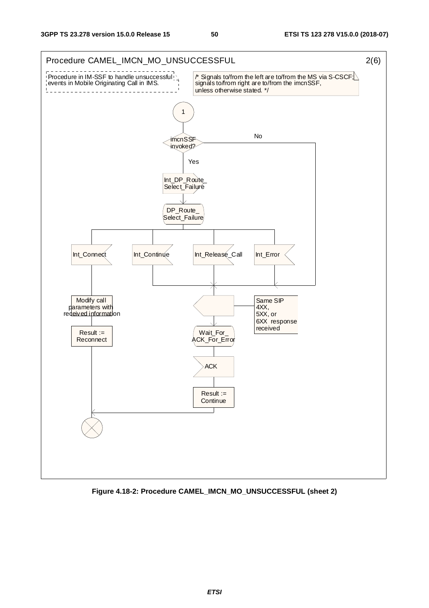

**Figure 4.18-2: Procedure CAMEL\_IMCN\_MO\_UNSUCCESSFUL (sheet 2)**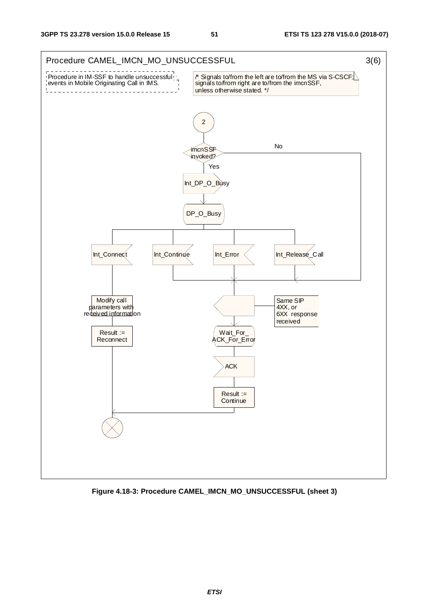

**Figure 4.18-3: Procedure CAMEL\_IMCN\_MO\_UNSUCCESSFUL (sheet 3)**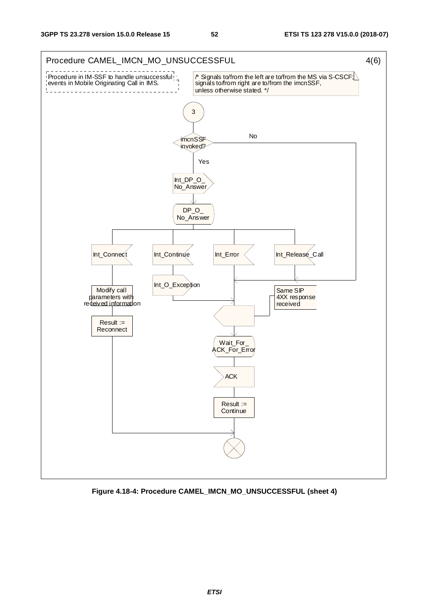

**Figure 4.18-4: Procedure CAMEL\_IMCN\_MO\_UNSUCCESSFUL (sheet 4)**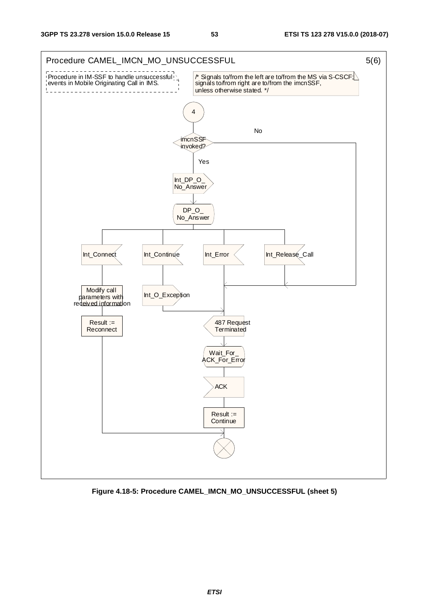

**Figure 4.18-5: Procedure CAMEL\_IMCN\_MO\_UNSUCCESSFUL (sheet 5)**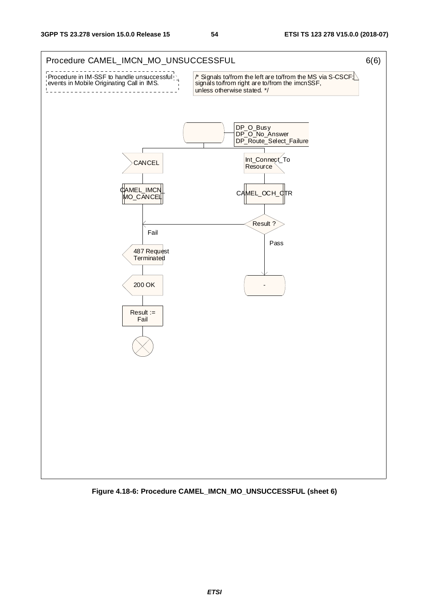

**Figure 4.18-6: Procedure CAMEL\_IMCN\_MO\_UNSUCCESSFUL (sheet 6)**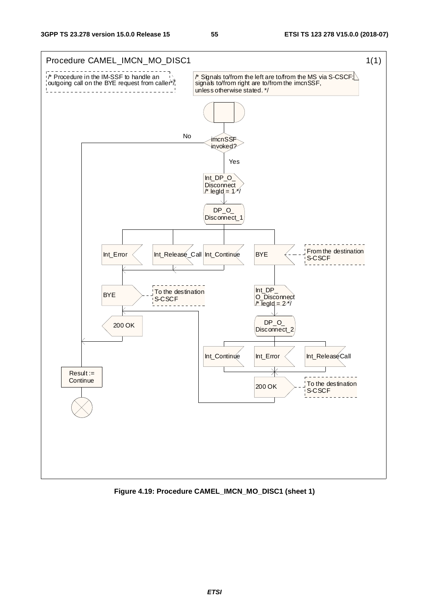

**Figure 4.19: Procedure CAMEL\_IMCN\_MO\_DISC1 (sheet 1)**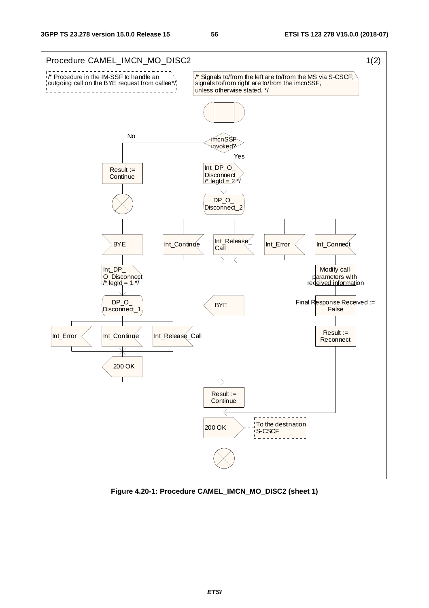

**Figure 4.20-1: Procedure CAMEL\_IMCN\_MO\_DISC2 (sheet 1)**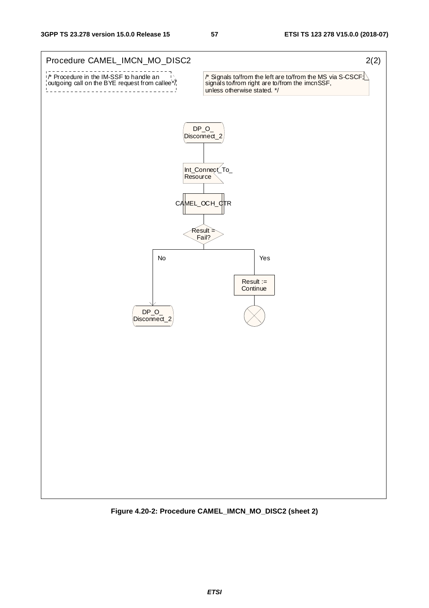

**Figure 4.20-2: Procedure CAMEL\_IMCN\_MO\_DISC2 (sheet 2)**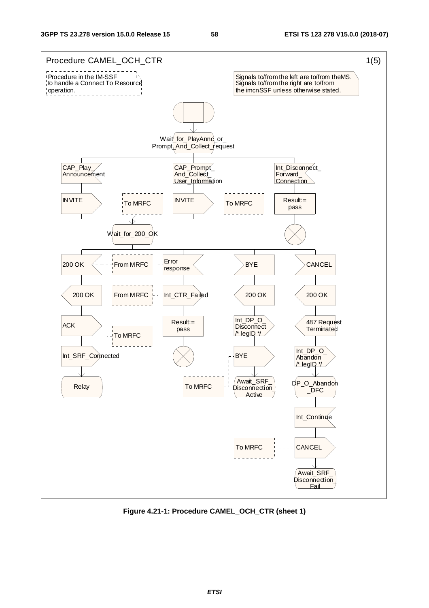

**Figure 4.21-1: Procedure CAMEL\_OCH\_CTR (sheet 1)**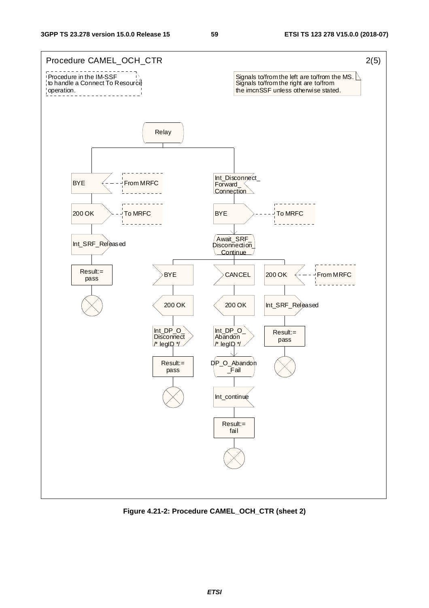

**Figure 4.21-2: Procedure CAMEL\_OCH\_CTR (sheet 2)**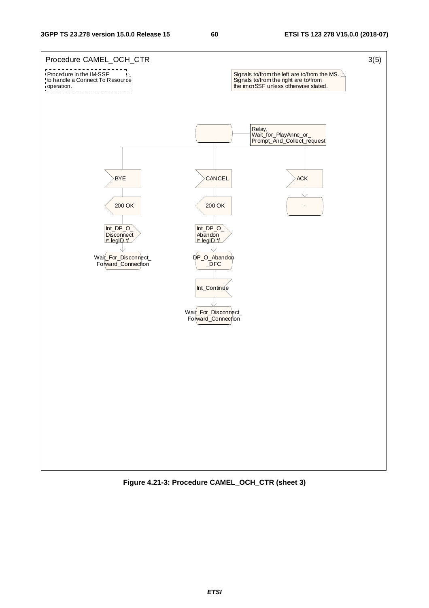

**Figure 4.21-3: Procedure CAMEL\_OCH\_CTR (sheet 3)**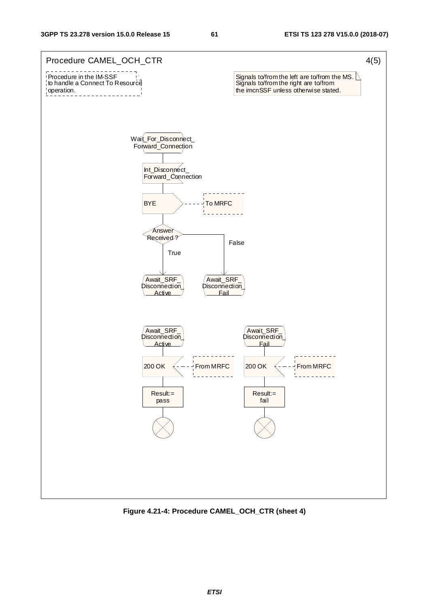

**Figure 4.21-4: Procedure CAMEL\_OCH\_CTR (sheet 4)**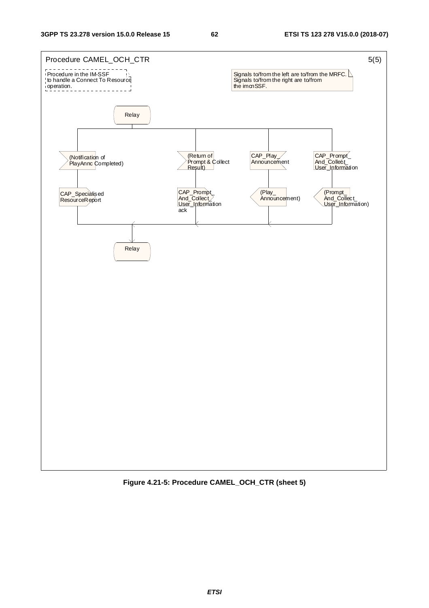

**Figure 4.21-5: Procedure CAMEL\_OCH\_CTR (sheet 5)**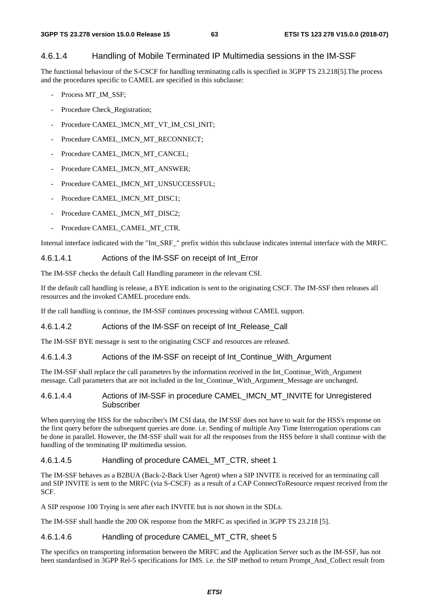# 4.6.1.4 Handling of Mobile Terminated IP Multimedia sessions in the IM-SSF

The functional behaviour of the S-CSCF for handling terminating calls is specified in 3GPP TS 23.218[5].The process and the procedures specific to CAMEL are specified in this subclause:

- Process MT\_IM\_SSF;
- Procedure Check Registration;
- Procedure CAMEL\_IMCN\_MT\_VT\_IM\_CSI\_INIT;
- Procedure CAMEL\_IMCN\_MT\_RECONNECT;
- Procedure CAMEL\_IMCN\_MT\_CANCEL;
- Procedure CAMEL\_IMCN\_MT\_ANSWER;
- Procedure CAMEL\_IMCN\_MT\_UNSUCCESSFUL;
- Procedure CAMEL\_IMCN\_MT\_DISC1;
- Procedure CAMEL\_IMCN\_MT\_DISC2;
- Procedure CAMEL\_CAMEL\_MT\_CTR.

Internal interface indicated with the "Int\_SRF\_" prefix within this subclause indicates internal interface with the MRFC.

# 4.6.1.4.1 Actions of the IM-SSF on receipt of Int\_Error

The IM-SSF checks the default Call Handling parameter in the relevant CSI.

If the default call handling is release, a BYE indication is sent to the originating CSCF. The IM-SSF then releases all resources and the invoked CAMEL procedure ends.

If the call handling is continue, the IM-SSF continues processing without CAMEL support.

# 4.6.1.4.2 Actions of the IM-SSF on receipt of Int\_Release\_Call

The IM-SSF BYE message is sent to the originating CSCF and resources are released.

### 4.6.1.4.3 Actions of the IM-SSF on receipt of Int\_Continue\_With\_Argument

The IM-SSF shall replace the call parameters by the information received in the Int\_Continue\_With\_Argument message. Call parameters that are not included in the Int\_Continue\_With\_Argument\_Message are unchanged.

### 4.6.1.4.4 Actions of IM-SSF in procedure CAMEL\_IMCN\_MT\_INVITE for Unregistered Subscriber

When querying the HSS for the subscriber's IM CSI data, the IM SSF does not have to wait for the HSS's response on the first query before the subsequent queries are done. i.e. Sending of multiple Any Time Interrogation operations can be done in parallel. However, the IM-SSF shall wait for all the responses from the HSS before it shall continue with the handling of the terminating IP multimedia session.

# 4.6.1.4.5 Handling of procedure CAMEL\_MT\_CTR, sheet 1

The IM-SSF behaves as a B2BUA (Back-2-Back User Agent) when a SIP INVITE is received for an terminating call and SIP INVITE is sent to the MRFC (via S-CSCF) as a result of a CAP ConnectToResource request received from the SCF.

A SIP response 100 Trying is sent after each INVITE but is not shown in the SDLs.

The IM-SSF shall handle the 200 OK response from the MRFC as specified in 3GPP TS 23.218 [5].

# 4.6.1.4.6 Handling of procedure CAMEL\_MT\_CTR, sheet 5

The specifics on transporting information between the MRFC and the Application Server such as the IM-SSF, has not been standardised in 3GPP Rel-5 specifications for IMS. i.e. the SIP method to return Prompt\_And\_Collect result from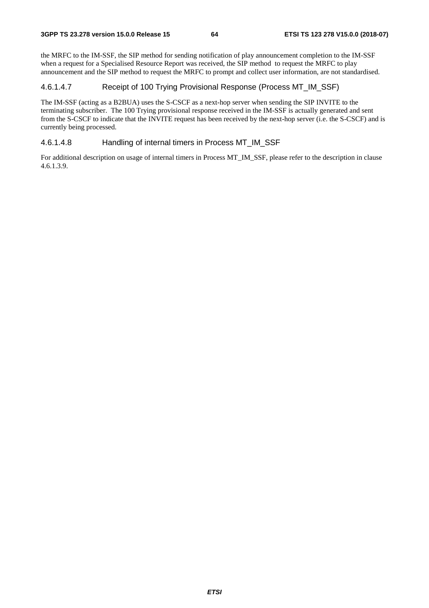the MRFC to the IM-SSF, the SIP method for sending notification of play announcement completion to the IM-SSF when a request for a Specialised Resource Report was received, the SIP method to request the MRFC to play announcement and the SIP method to request the MRFC to prompt and collect user information, are not standardised.

### 4.6.1.4.7 Receipt of 100 Trying Provisional Response (Process MT\_IM\_SSF)

The IM-SSF (acting as a B2BUA) uses the S-CSCF as a next-hop server when sending the SIP INVITE to the terminating subscriber. The 100 Trying provisional response received in the IM-SSF is actually generated and sent from the S-CSCF to indicate that the INVITE request has been received by the next-hop server (i.e. the S-CSCF) and is currently being processed.

### 4.6.1.4.8 Handling of internal timers in Process MT\_IM\_SSF

For additional description on usage of internal timers in Process MT\_IM\_SSF, please refer to the description in clause 4.6.1.3.9.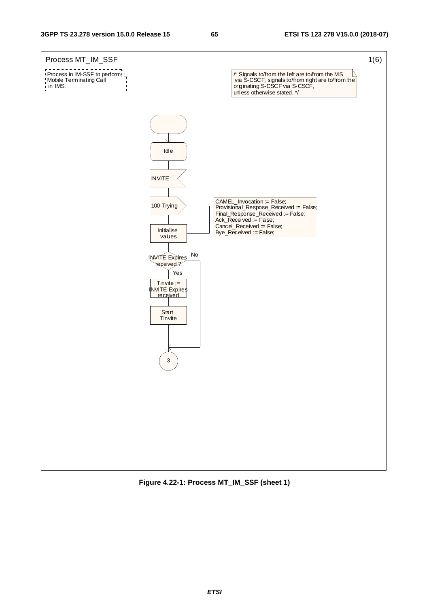

**Figure 4.22-1: Process MT\_IM\_SSF (sheet 1)**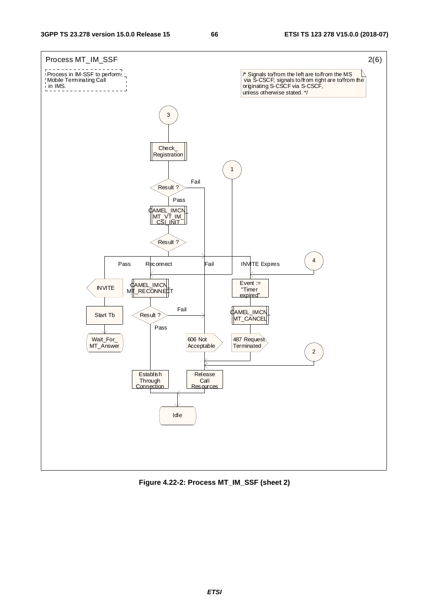

**Figure 4.22-2: Process MT\_IM\_SSF (sheet 2)**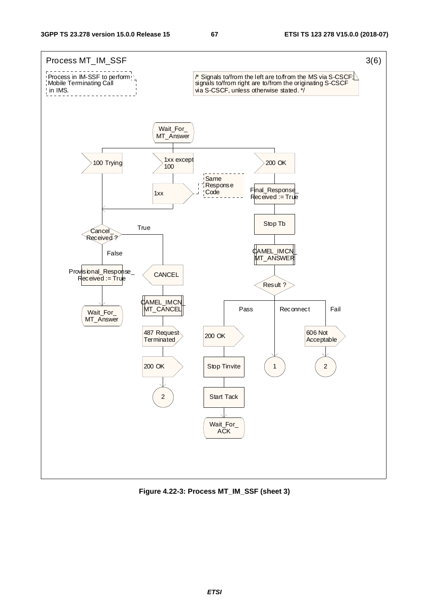

**Figure 4.22-3: Process MT\_IM\_SSF (sheet 3)**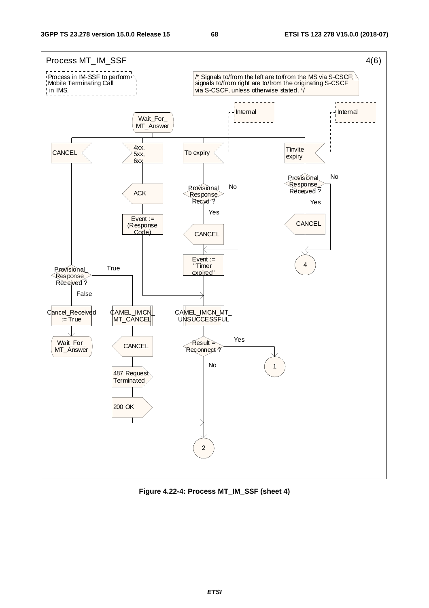

**Figure 4.22-4: Process MT\_IM\_SSF (sheet 4)**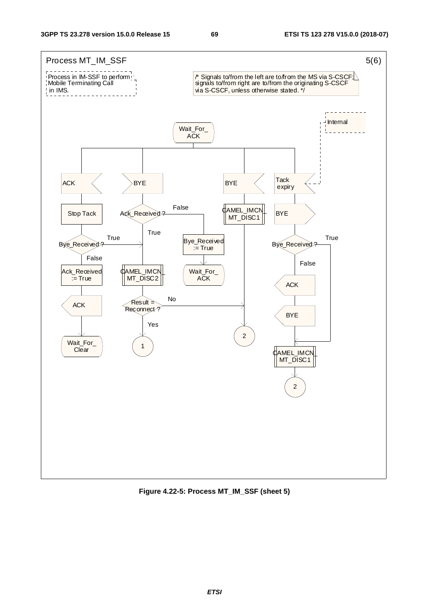

**Figure 4.22-5: Process MT\_IM\_SSF (sheet 5)**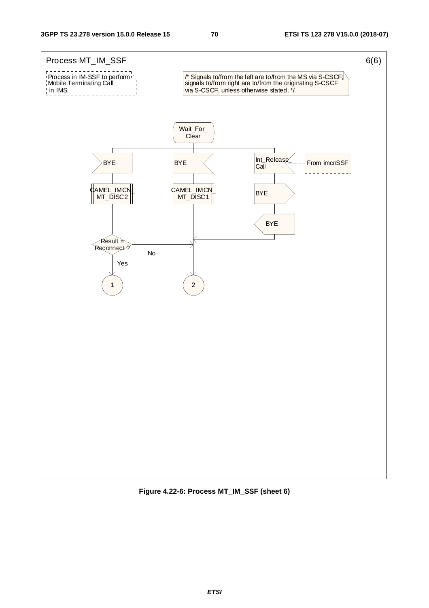

**Figure 4.22-6: Process MT\_IM\_SSF (sheet 6)**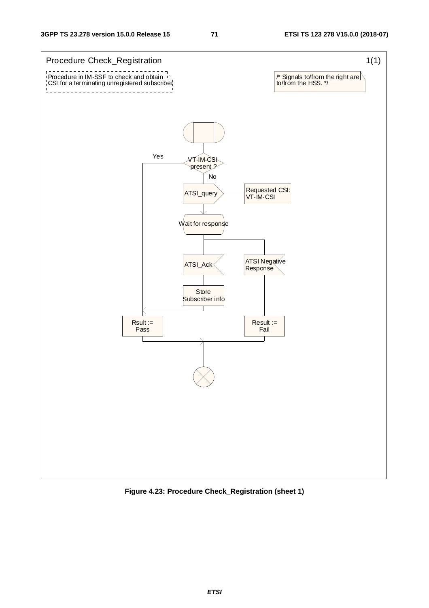

**Figure 4.23: Procedure Check\_Registration (sheet 1)**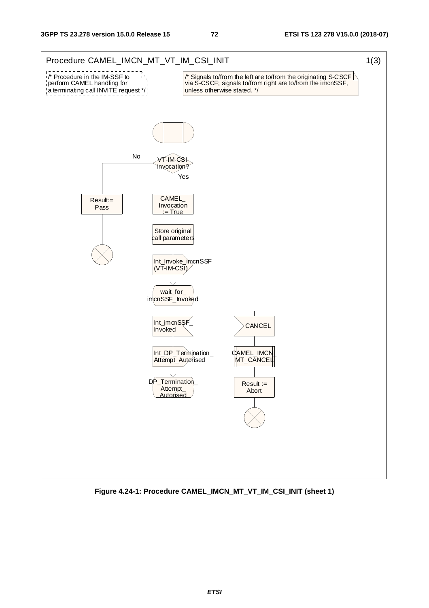

**Figure 4.24-1: Procedure CAMEL\_IMCN\_MT\_VT\_IM\_CSI\_INIT (sheet 1)**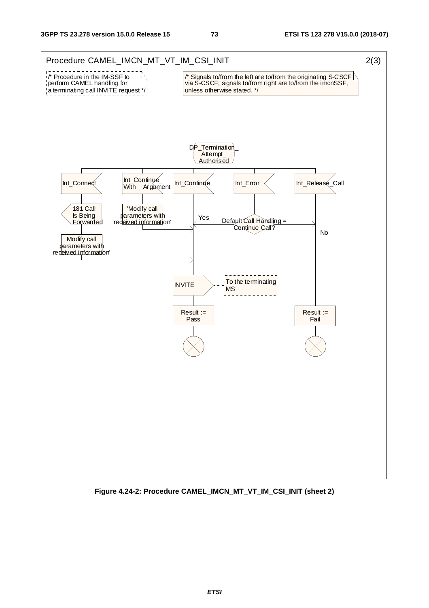## **3GPP TS 23.278 version 15.0.0 Release 15 73 ETSI TS 123 278 V15.0.0 (2018-07)**



**Figure 4.24-2: Procedure CAMEL\_IMCN\_MT\_VT\_IM\_CSI\_INIT (sheet 2)** 

*ETSI*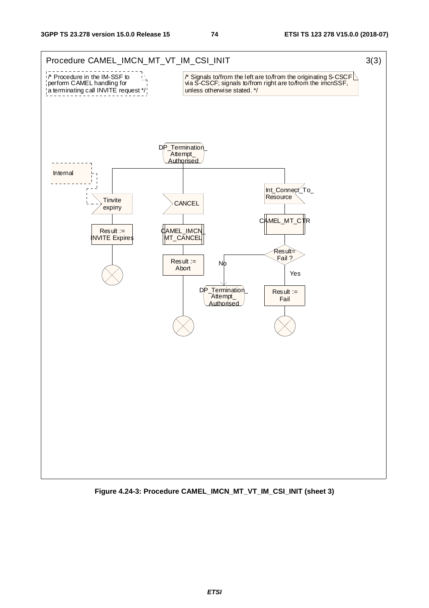## **3GPP TS 23.278 version 15.0.0 Release 15 74 ETSI TS 123 278 V15.0.0 (2018-07)**



**Figure 4.24-3: Procedure CAMEL\_IMCN\_MT\_VT\_IM\_CSI\_INIT (sheet 3)** 

*ETSI*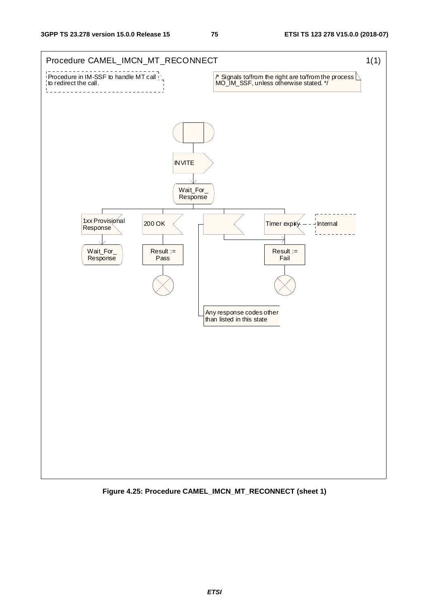

**Figure 4.25: Procedure CAMEL\_IMCN\_MT\_RECONNECT (sheet 1)**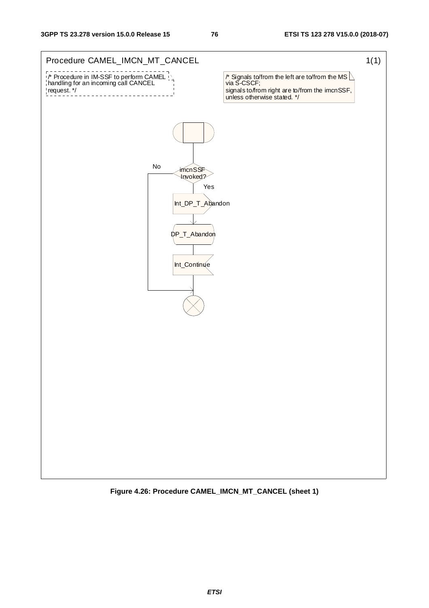

**Figure 4.26: Procedure CAMEL\_IMCN\_MT\_CANCEL (sheet 1)**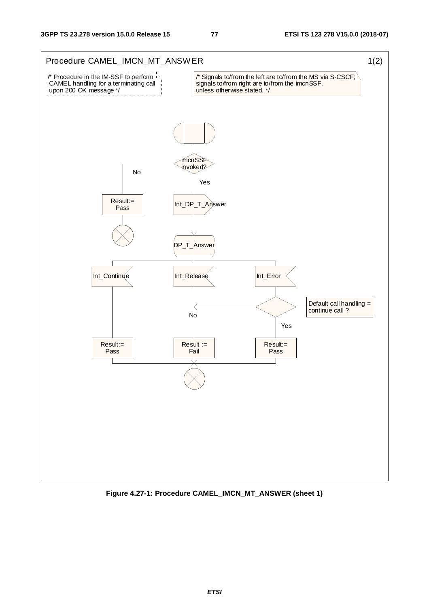

**Figure 4.27-1: Procedure CAMEL\_IMCN\_MT\_ANSWER (sheet 1)**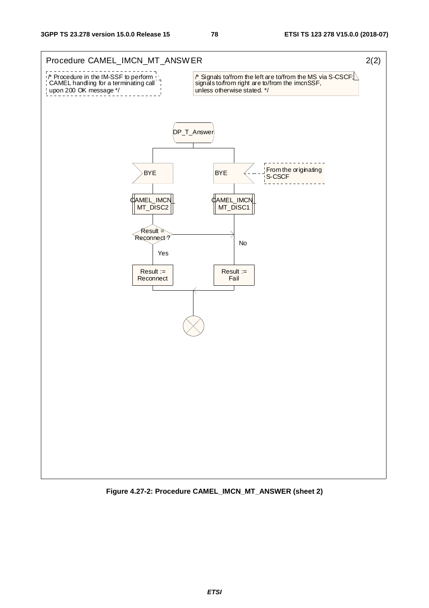

**Figure 4.27-2: Procedure CAMEL\_IMCN\_MT\_ANSWER (sheet 2)**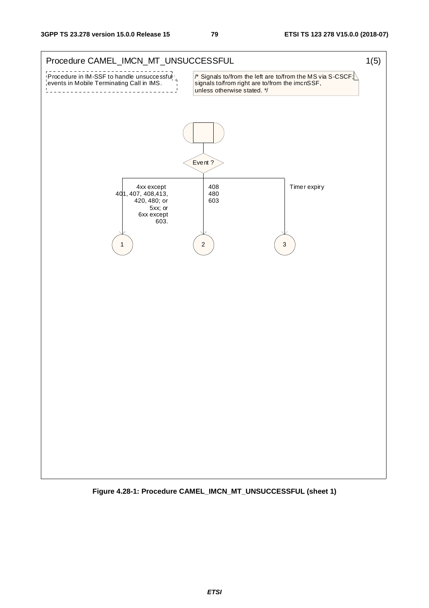

**Figure 4.28-1: Procedure CAMEL\_IMCN\_MT\_UNSUCCESSFUL (sheet 1)**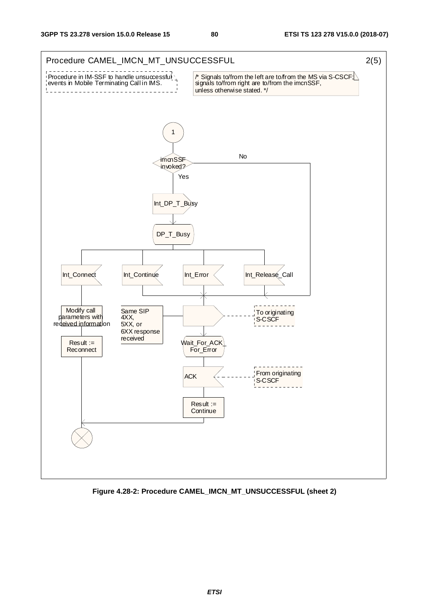



**Figure 4.28-2: Procedure CAMEL\_IMCN\_MT\_UNSUCCESSFUL (sheet 2)**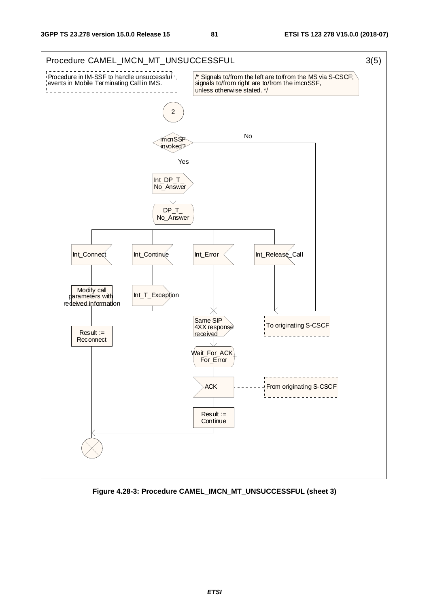

**Figure 4.28-3: Procedure CAMEL\_IMCN\_MT\_UNSUCCESSFUL (sheet 3)**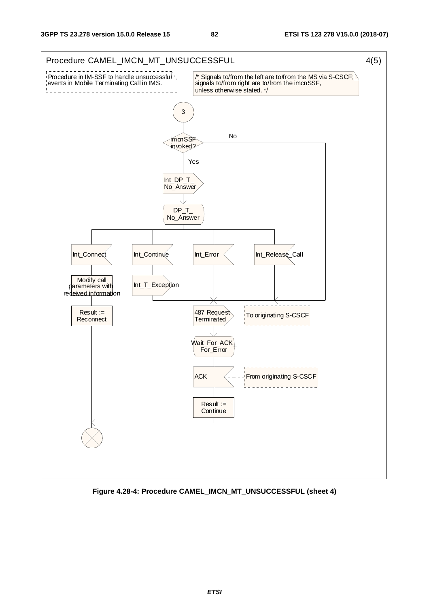

**Figure 4.28-4: Procedure CAMEL\_IMCN\_MT\_UNSUCCESSFUL (sheet 4)**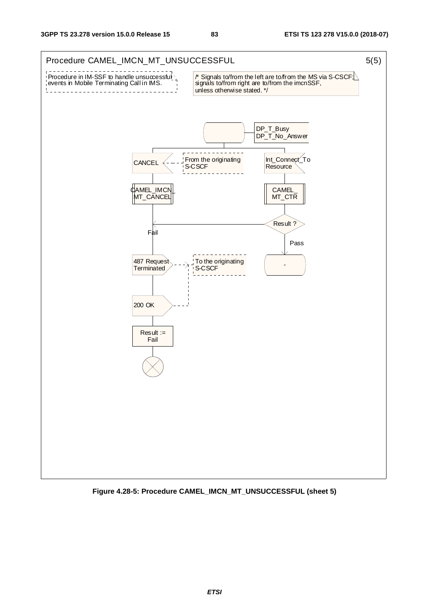

**Figure 4.28-5: Procedure CAMEL\_IMCN\_MT\_UNSUCCESSFUL (sheet 5)**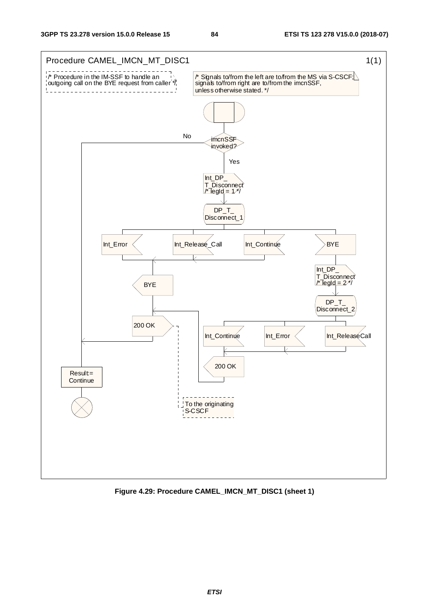

**Figure 4.29: Procedure CAMEL\_IMCN\_MT\_DISC1 (sheet 1)**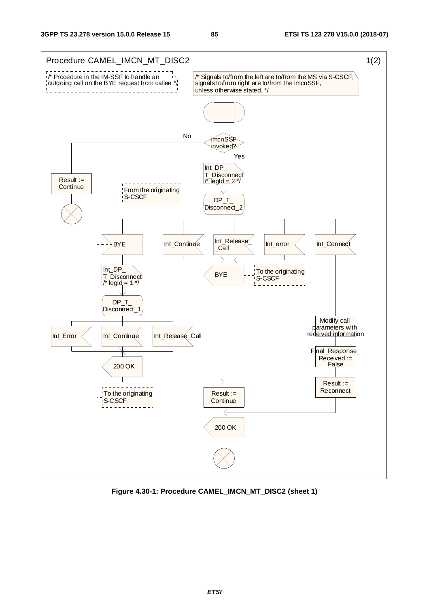

**Figure 4.30-1: Procedure CAMEL\_IMCN\_MT\_DISC2 (sheet 1)**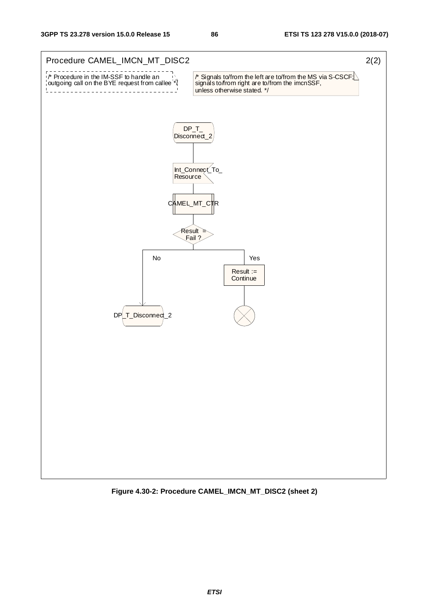

**Figure 4.30-2: Procedure CAMEL\_IMCN\_MT\_DISC2 (sheet 2)**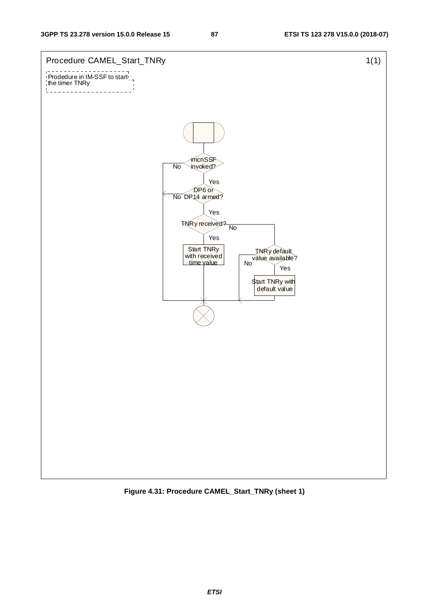

**Figure 4.31: Procedure CAMEL\_Start\_TNRy (sheet 1)**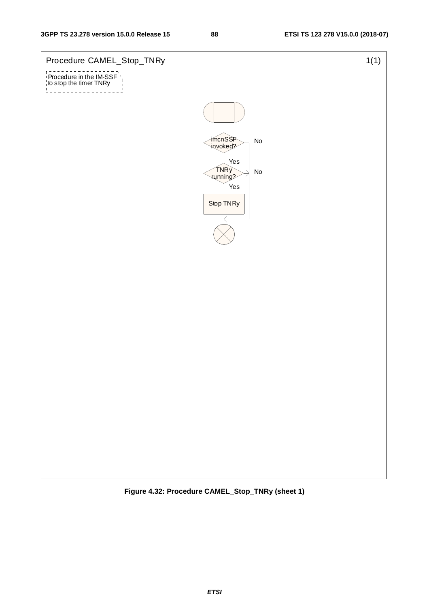

**Figure 4.32: Procedure CAMEL\_Stop\_TNRy (sheet 1)**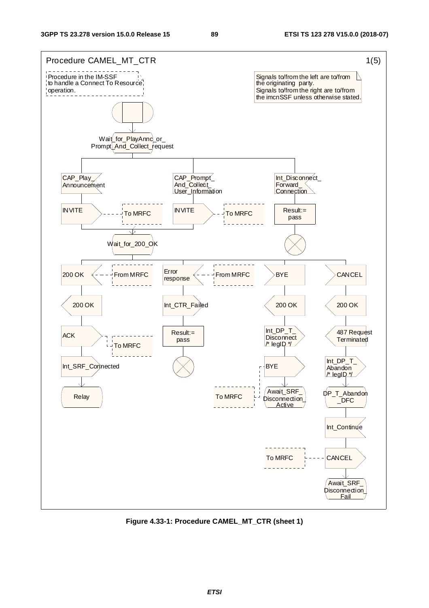

**Figure 4.33-1: Procedure CAMEL\_MT\_CTR (sheet 1)**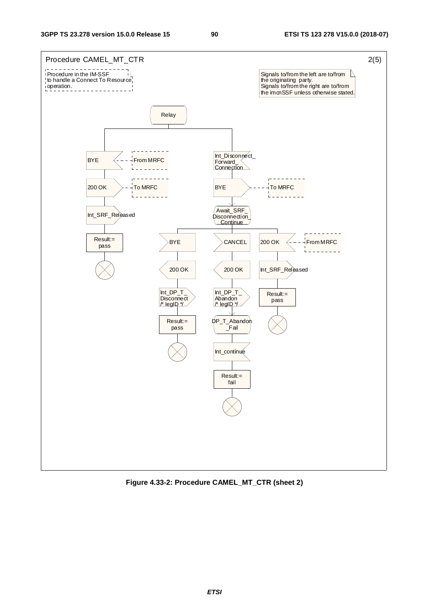

**Figure 4.33-2: Procedure CAMEL\_MT\_CTR (sheet 2)**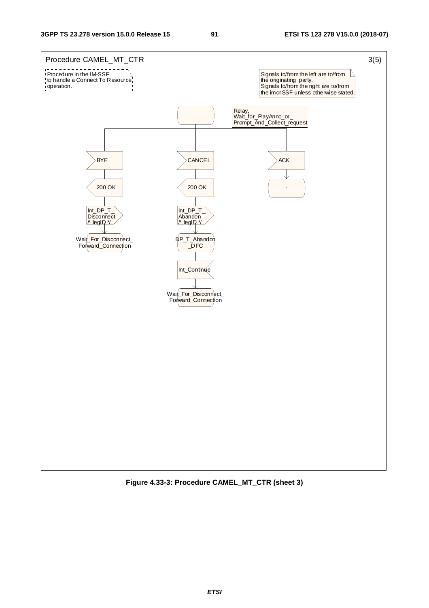

**Figure 4.33-3: Procedure CAMEL\_MT\_CTR (sheet 3)**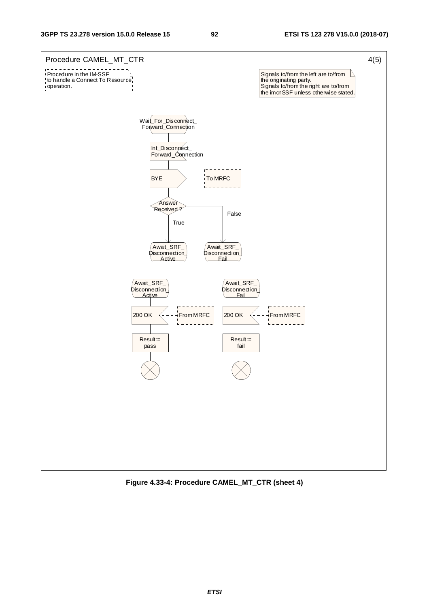

**Figure 4.33-4: Procedure CAMEL\_MT\_CTR (sheet 4)**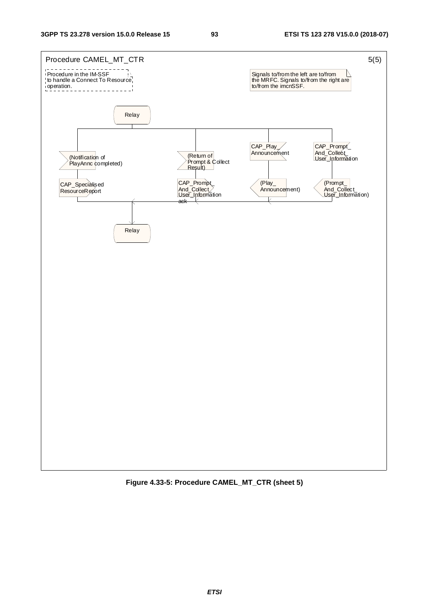

**Figure 4.33-5: Procedure CAMEL\_MT\_CTR (sheet 5)**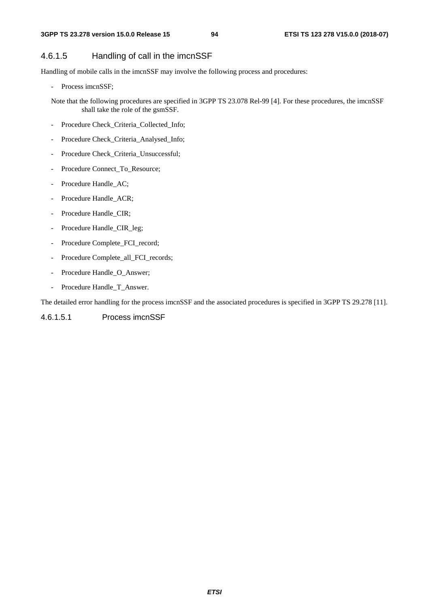# 4.6.1.5 Handling of call in the imcnSSF

Handling of mobile calls in the imcnSSF may involve the following process and procedures:

- Process imcnSSF;

Note that the following procedures are specified in 3GPP TS 23.078 Rel-99 [4]. For these procedures, the imcnSSF shall take the role of the gsmSSF.

- Procedure Check Criteria Collected Info;
- Procedure Check\_Criteria\_Analysed\_Info;
- Procedure Check\_Criteria\_Unsuccessful;
- Procedure Connect\_To\_Resource;
- Procedure Handle\_AC;
- Procedure Handle\_ACR;
- Procedure Handle CIR;
- Procedure Handle\_CIR\_leg;
- Procedure Complete\_FCI\_record;
- Procedure Complete all FCI records;
- Procedure Handle\_O\_Answer;
- Procedure Handle\_T\_Answer.

The detailed error handling for the process imcnSSF and the associated procedures is specified in 3GPP TS 29.278 [11].

4.6.1.5.1 Process imcnSSF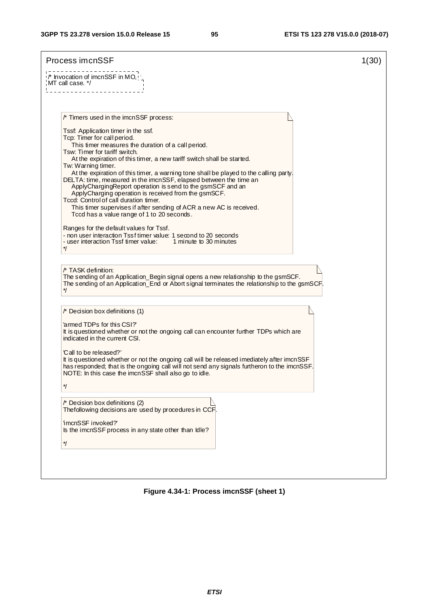| Process imcnSSF                                                                                                                                                                                                                                                                                                                                       | 1(30) |
|-------------------------------------------------------------------------------------------------------------------------------------------------------------------------------------------------------------------------------------------------------------------------------------------------------------------------------------------------------|-------|
| /* Invocation of imcnSSF in MO,<br>MT call case. */<br>_ _ _ _ _ _ _ _ _ _ _ _ _ _ _                                                                                                                                                                                                                                                                  |       |
|                                                                                                                                                                                                                                                                                                                                                       |       |
| /* Timers used in the imcnSSF process:                                                                                                                                                                                                                                                                                                                |       |
| Tssf: Application timer in the ssf.<br>Tcp: Timer for call period.<br>This timer measures the duration of a call period.<br>Tsw: Timer for tariff switch.<br>At the expiration of this timer, a new tariff switch shall be started.<br>Tw: Warning timer.<br>At the expiration of this timer, a warning tone shall be played to the calling party.    |       |
| DELTA: time, measured in the imcnSSF, elapsed between the time an<br>ApplyChargingReport operation is send to the gsmSCF and an<br>ApplyCharging operation is received from the gsmSCF.<br>Tccd: Control of call duration timer.<br>This timer supervises if after sending of ACR a new AC is received.<br>Tccd has a value range of 1 to 20 seconds. |       |
|                                                                                                                                                                                                                                                                                                                                                       |       |
| Ranges for the default values for Tssf.<br>- non user interaction Tssf timer value: 1 second to 20 seconds<br>- user interaction Tssf timer value: 1 minute to 30 minutes<br>*/<br>/* TASK definition:                                                                                                                                                |       |
| The sending of an Application_Begin signal opens a new relationship to the gsmSCF.<br>The sending of an Application_End or Abort signal terminates the relationship to the gsmSCF.<br>*/                                                                                                                                                              |       |
| /* Decision box definitions (1)                                                                                                                                                                                                                                                                                                                       |       |
| 'armed TDPs for this CSI?'<br>It is questioned whether or not the ongoing call can encounter further TDPs which are<br>indicated in the current CSI.                                                                                                                                                                                                  |       |
| 'Call to be released?'<br>It is questioned whether or not the ongoing call will be released imediately after imcnSSF<br>has responded; that is the ongoing call will not send any signals furtheron to the imcnSSF.<br>NOTE: In this case the imcnSSF shall also go to idle.                                                                          |       |
| */                                                                                                                                                                                                                                                                                                                                                    |       |
| <i>/*</i> Decision box definitions (2)<br>Thefollowing decisions are used by procedures in CCF                                                                                                                                                                                                                                                        |       |
| 'imcnSSF invoked?'<br>Is the imcnSSF process in any state other than Idle?                                                                                                                                                                                                                                                                            |       |

**Figure 4.34-1: Process imcnSSF (sheet 1)**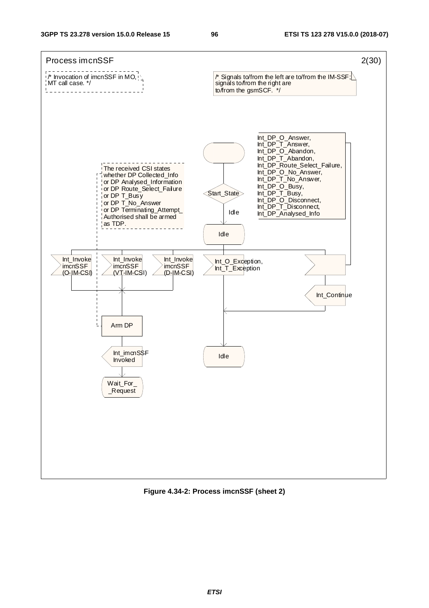

**Figure 4.34-2: Process imcnSSF (sheet 2)**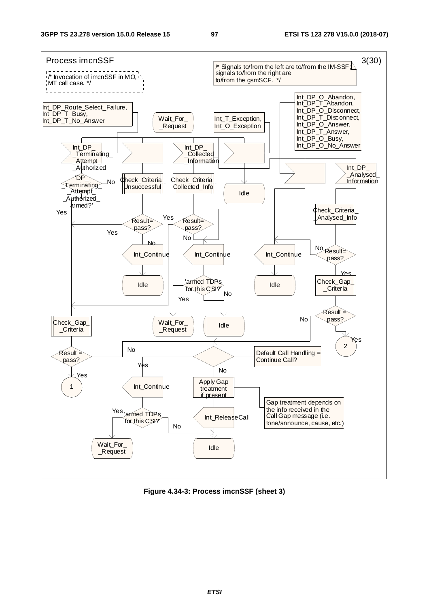

**Figure 4.34-3: Process imcnSSF (sheet 3)**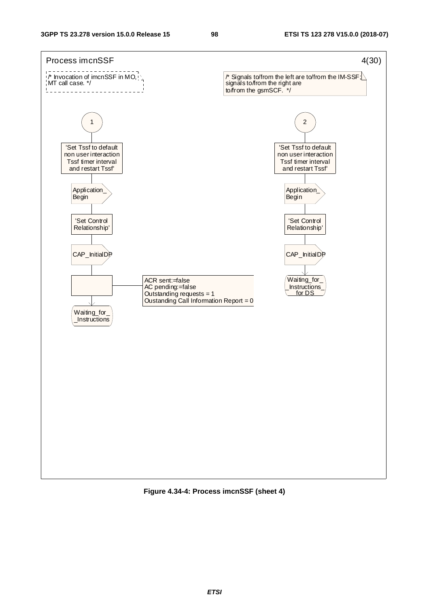

**Figure 4.34-4: Process imcnSSF (sheet 4)**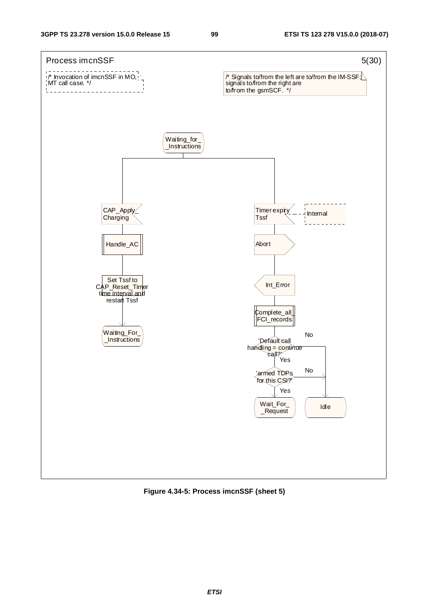

**Figure 4.34-5: Process imcnSSF (sheet 5)**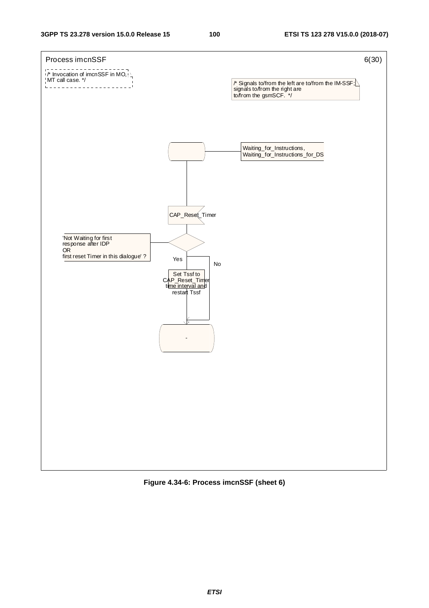

**Figure 4.34-6: Process imcnSSF (sheet 6)**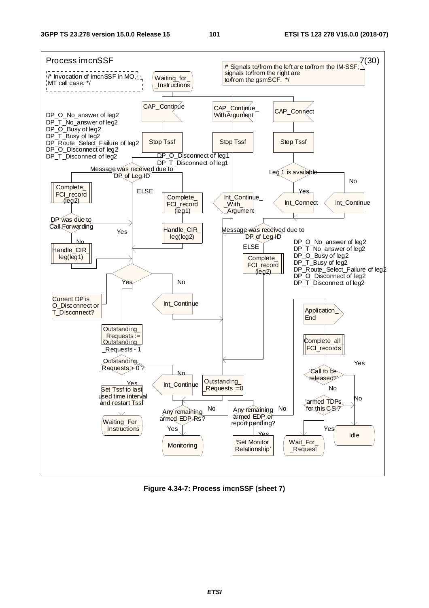

**Figure 4.34-7: Process imcnSSF (sheet 7)**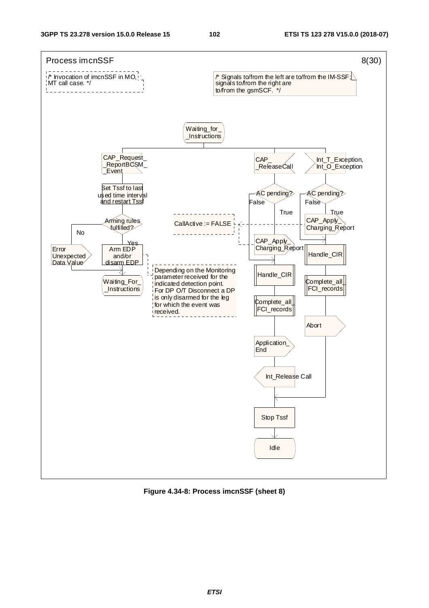

**Figure 4.34-8: Process imcnSSF (sheet 8)**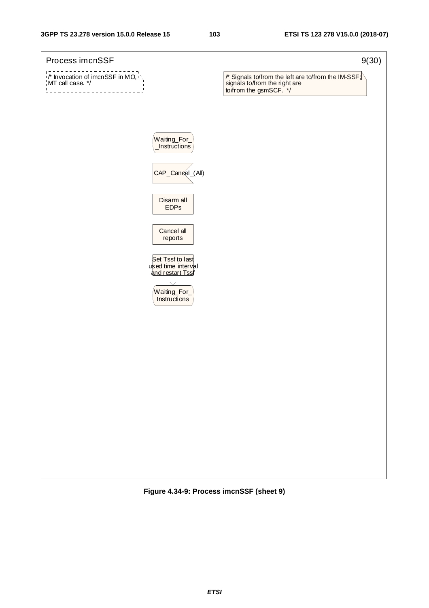

**Figure 4.34-9: Process imcnSSF (sheet 9)**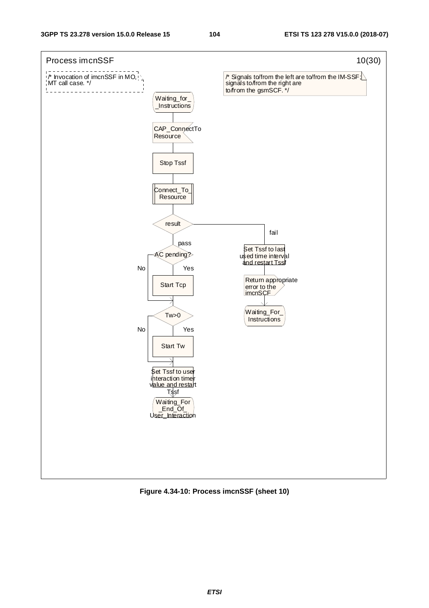

**Figure 4.34-10: Process imcnSSF (sheet 10)**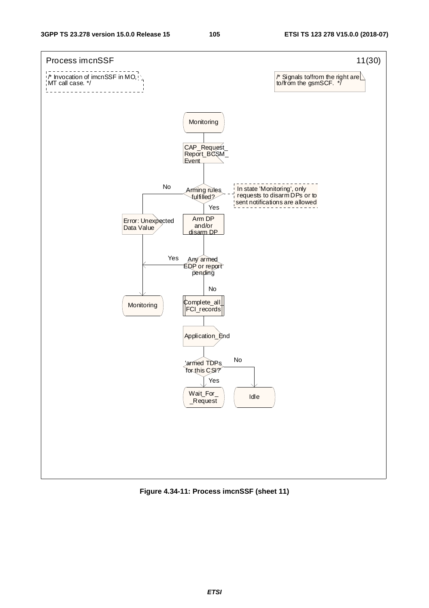

**Figure 4.34-11: Process imcnSSF (sheet 11)**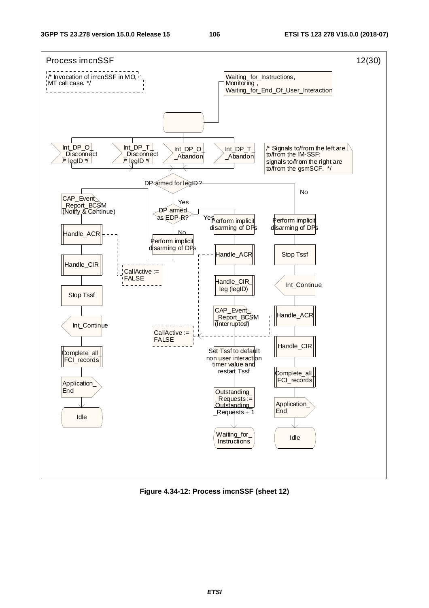

**Figure 4.34-12: Process imcnSSF (sheet 12)**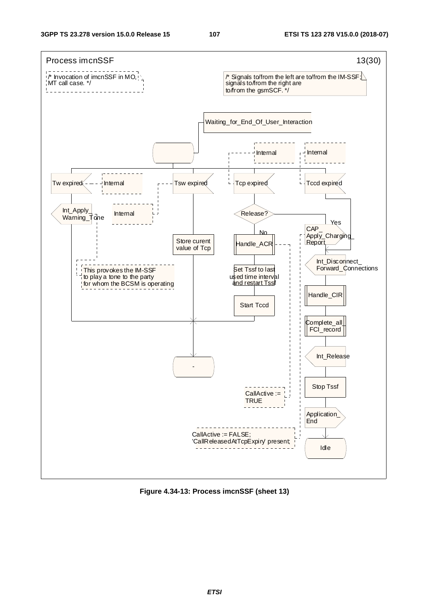

**Figure 4.34-13: Process imcnSSF (sheet 13)**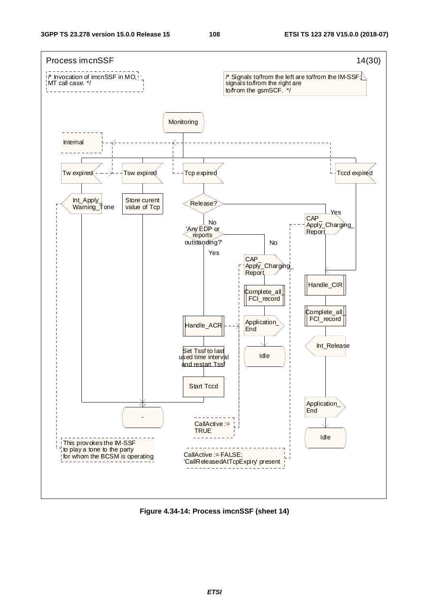

**Figure 4.34-14: Process imcnSSF (sheet 14)**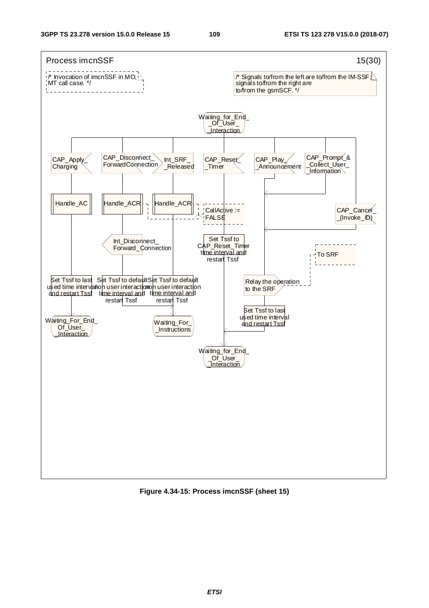

**Figure 4.34-15: Process imcnSSF (sheet 15)**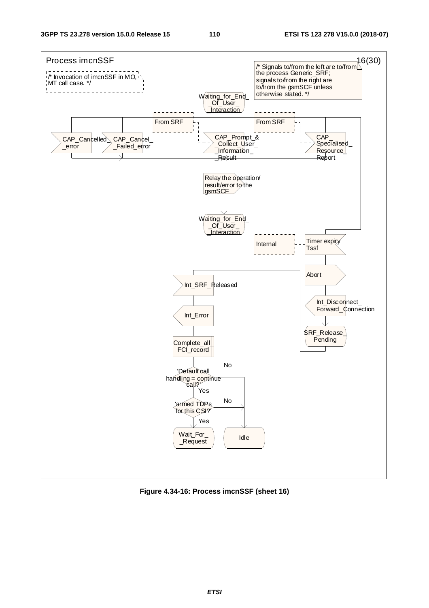

**Figure 4.34-16: Process imcnSSF (sheet 16)**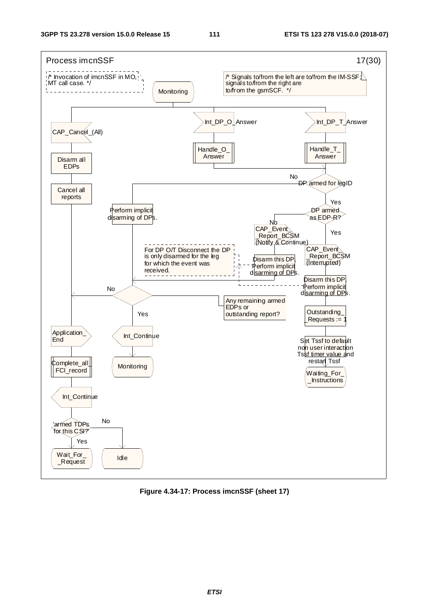

**Figure 4.34-17: Process imcnSSF (sheet 17)**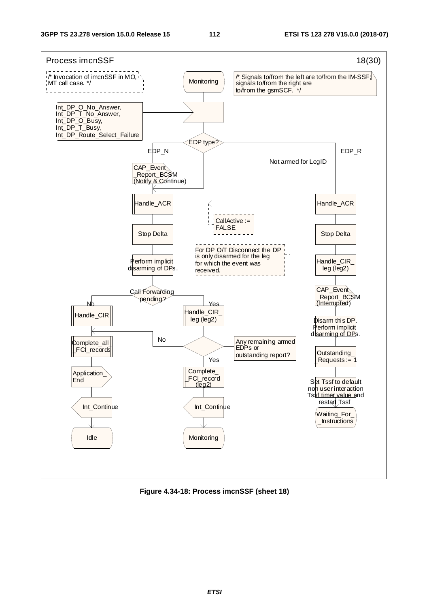

**Figure 4.34-18: Process imcnSSF (sheet 18)**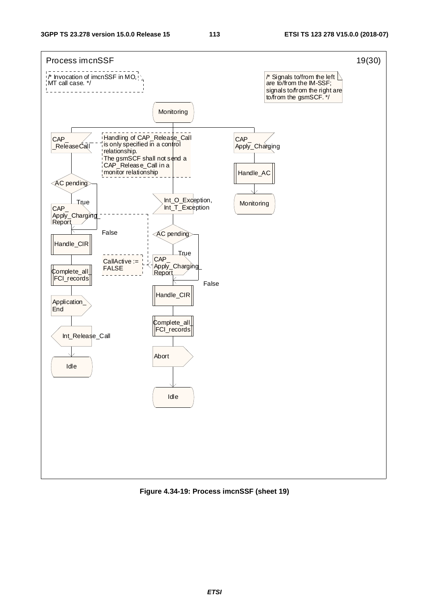

**Figure 4.34-19: Process imcnSSF (sheet 19)**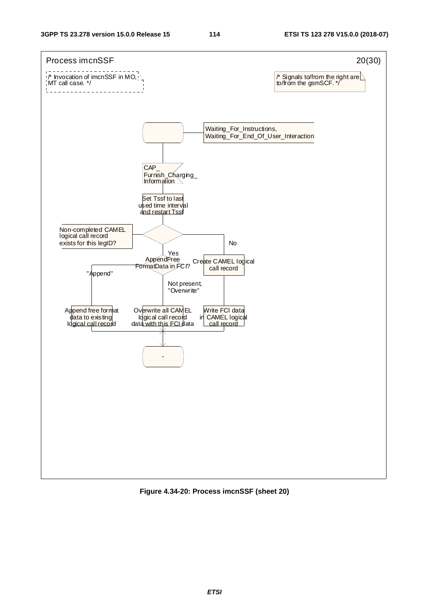

**Figure 4.34-20: Process imcnSSF (sheet 20)**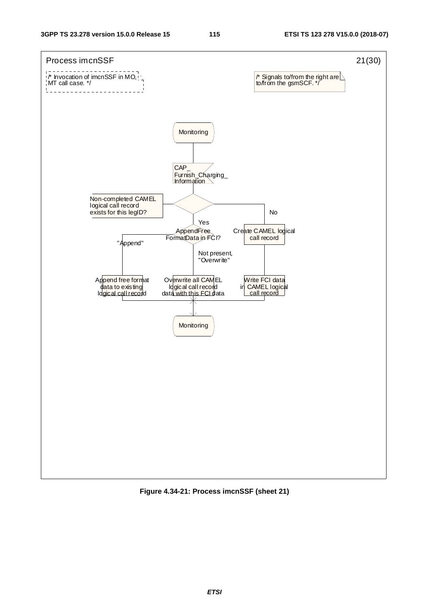

**Figure 4.34-21: Process imcnSSF (sheet 21)**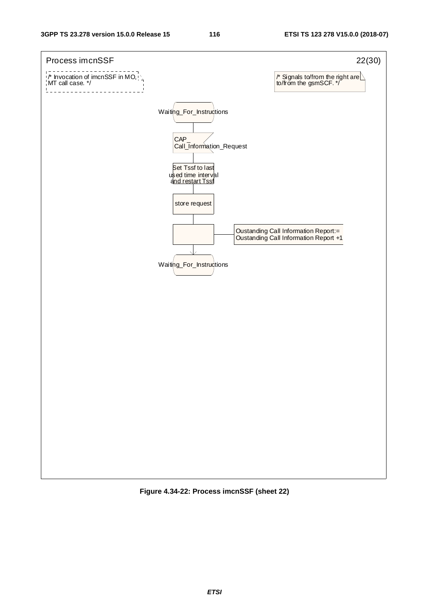

**Figure 4.34-22: Process imcnSSF (sheet 22)**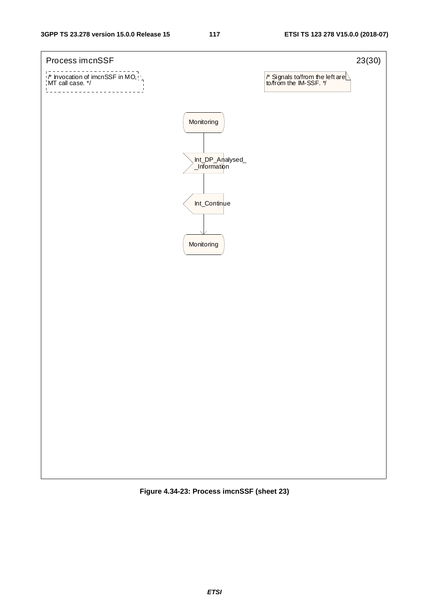

**Figure 4.34-23: Process imcnSSF (sheet 23)**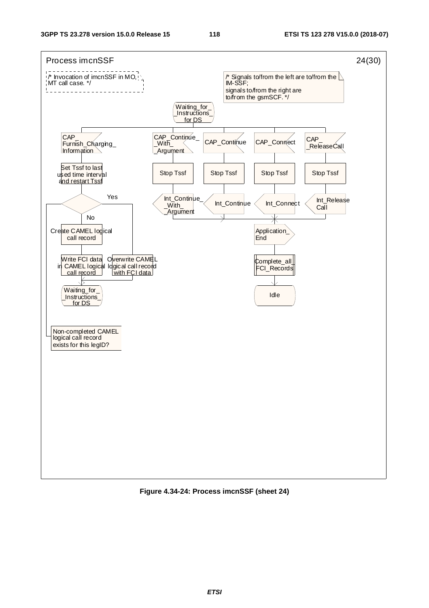

**Figure 4.34-24: Process imcnSSF (sheet 24)**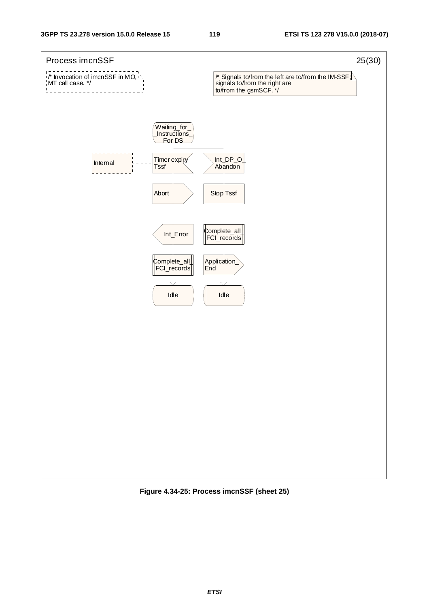

**Figure 4.34-25: Process imcnSSF (sheet 25)**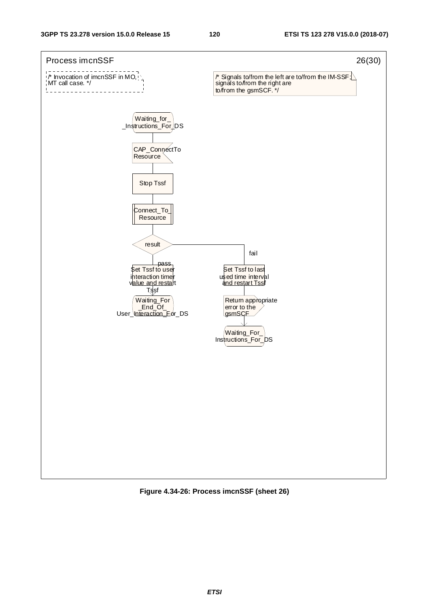

**Figure 4.34-26: Process imcnSSF (sheet 26)**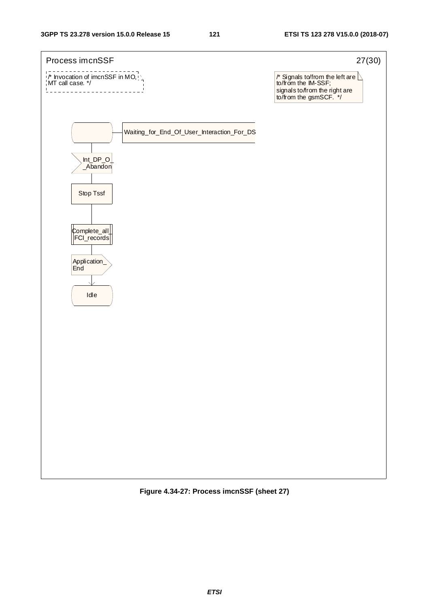

**Figure 4.34-27: Process imcnSSF (sheet 27)**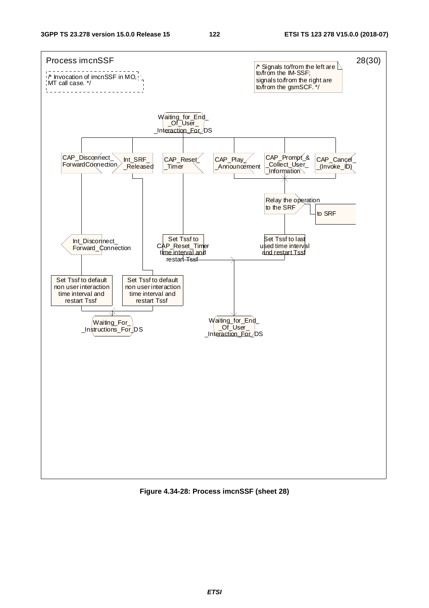

**Figure 4.34-28: Process imcnSSF (sheet 28)**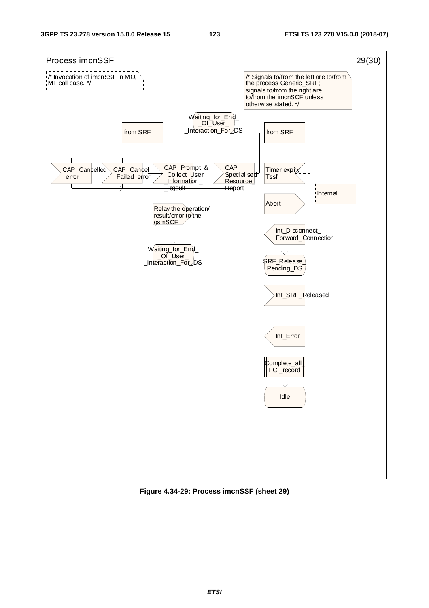

**Figure 4.34-29: Process imcnSSF (sheet 29)**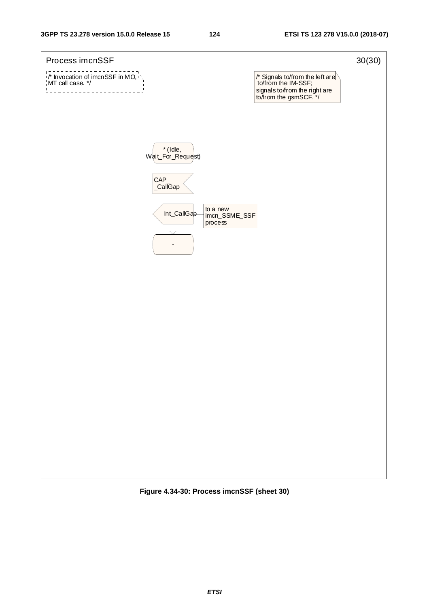

**Figure 4.34-30: Process imcnSSF (sheet 30)**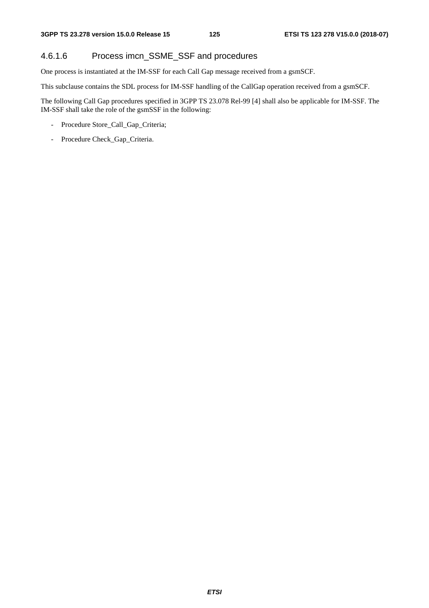# 4.6.1.6 Process imcn\_SSME\_SSF and procedures

One process is instantiated at the IM-SSF for each Call Gap message received from a gsmSCF.

This subclause contains the SDL process for IM-SSF handling of the CallGap operation received from a gsmSCF.

The following Call Gap procedures specified in 3GPP TS 23.078 Rel-99 [4] shall also be applicable for IM-SSF. The IM-SSF shall take the role of the gsmSSF in the following:

- Procedure Store\_Call\_Gap\_Criteria;
- Procedure Check\_Gap\_Criteria.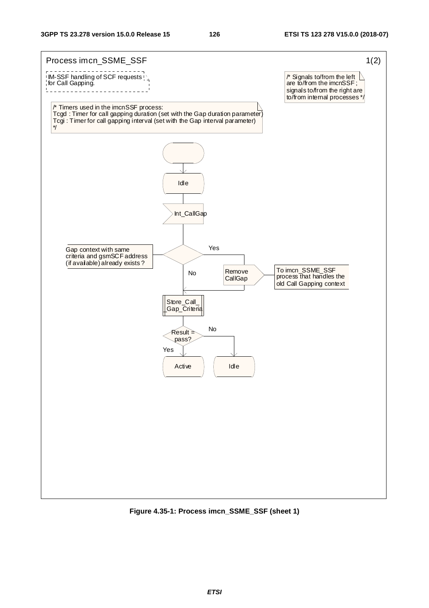

**Figure 4.35-1: Process imcn\_SSME\_SSF (sheet 1)**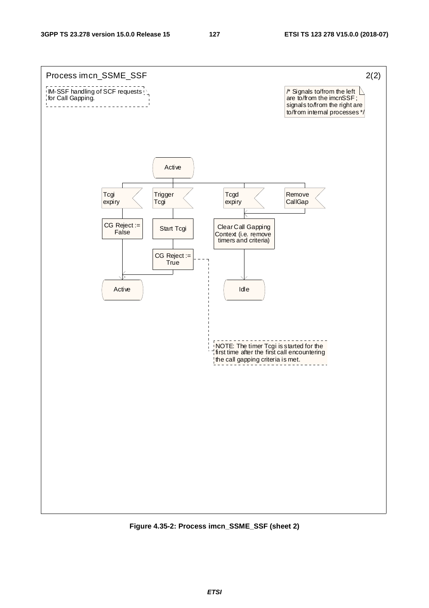

**Figure 4.35-2: Process imcn\_SSME\_SSF (sheet 2)**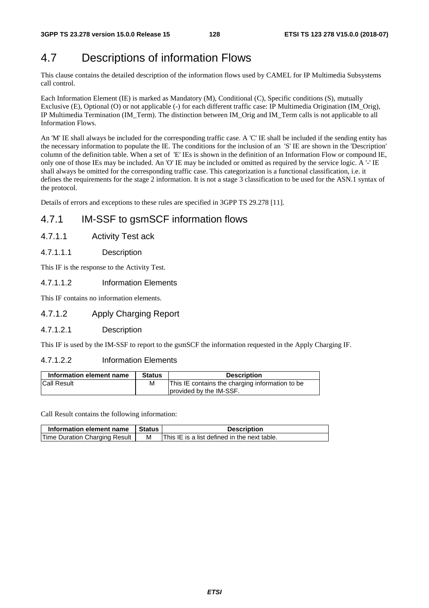# 4.7 Descriptions of information Flows

This clause contains the detailed description of the information flows used by CAMEL for IP Multimedia Subsystems call control.

Each Information Element (IE) is marked as Mandatory (M), Conditional (C), Specific conditions (S), mutually Exclusive (E), Optional (O) or not applicable (-) for each different traffic case: IP Multimedia Origination (IM\_Orig), IP Multimedia Termination (IM\_Term). The distinction between IM\_Orig and IM\_Term calls is not applicable to all Information Flows.

An 'M' IE shall always be included for the corresponding traffic case. A 'C' IE shall be included if the sending entity has the necessary information to populate the IE. The conditions for the inclusion of an 'S' IE are shown in the 'Description' column of the definition table. When a set of 'E' IEs is shown in the definition of an Information Flow or compound IE, only one of those IEs may be included. An 'O' IE may be included or omitted as required by the service logic. A '-' IE shall always be omitted for the corresponding traffic case. This categorization is a functional classification, i.e. it defines the requirements for the stage 2 information. It is not a stage 3 classification to be used for the ASN.1 syntax of the protocol.

Details of errors and exceptions to these rules are specified in 3GPP TS 29.278 [11].

# 4.7.1 IM-SSF to gsmSCF information flows

4.7.1.1 Activity Test ack

### 4.7.1.1.1 Description

This IF is the response to the Activity Test.

### 4.7.1.1.2 Information Elements

This IF contains no information elements.

## 4.7.1.2 Apply Charging Report

#### 4.7.1.2.1 Description

This IF is used by the IM-SSF to report to the gsmSCF the information requested in the Apply Charging IF.

#### 4.7.1.2.2 Information Elements

| Information element name | <b>Status</b> | <b>Description</b>                                                         |
|--------------------------|---------------|----------------------------------------------------------------------------|
| <b>Call Result</b>       | М             | This IE contains the charging information to be<br>provided by the IM-SSF. |

Call Result contains the following information:

| Information element name      | ∣ Status | <b>Description</b>                           |
|-------------------------------|----------|----------------------------------------------|
| Time Duration Charging Result | М        | This IE is a list defined in the next table. |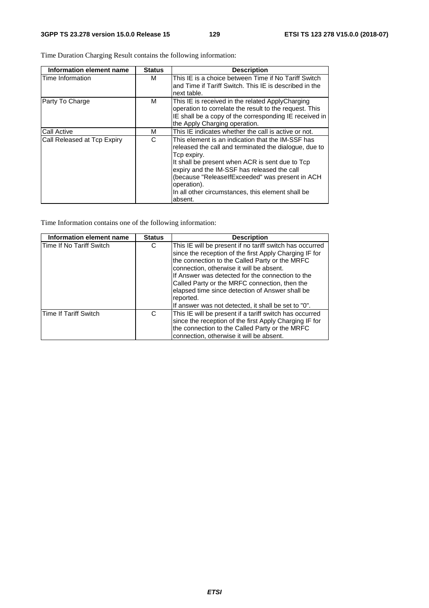| Information element name    | <b>Status</b> | <b>Description</b>                                     |
|-----------------------------|---------------|--------------------------------------------------------|
| Time Information            | м             | This IE is a choice between Time if No Tariff Switch   |
|                             |               | and Time if Tariff Switch. This IE is described in the |
|                             |               | next table.                                            |
| Party To Charge             | м             | This IE is received in the related ApplyCharging       |
|                             |               | operation to correlate the result to the request. This |
|                             |               | IE shall be a copy of the corresponding IE received in |
|                             |               | the Apply Charging operation.                          |
| <b>Call Active</b>          | M             | This IE indicates whether the call is active or not.   |
| Call Released at Tcp Expiry | C             | This element is an indication that the IM-SSF has      |
|                             |               | released the call and terminated the dialogue, due to  |
|                             |               | Tcp expiry.                                            |
|                             |               | It shall be present when ACR is sent due to Tcp        |
|                             |               | expiry and the IM-SSF has released the call            |
|                             |               | (because "ReleaselfExceeded" was present in ACH        |
|                             |               | operation).                                            |
|                             |               | In all other circumstances, this element shall be      |
|                             |               | absent.                                                |

Time Duration Charging Result contains the following information:

Time Information contains one of the following information:

| Information element name     | <b>Status</b> | <b>Description</b>                                                                                                                                                                                                                                                                                                                                                                                                                           |
|------------------------------|---------------|----------------------------------------------------------------------------------------------------------------------------------------------------------------------------------------------------------------------------------------------------------------------------------------------------------------------------------------------------------------------------------------------------------------------------------------------|
| Time If No Tariff Switch     | С             | This IE will be present if no tariff switch has occurred<br>since the reception of the first Apply Charging IF for<br>the connection to the Called Party or the MRFC<br>connection, otherwise it will be absent.<br>If Answer was detected for the connection to the<br>Called Party or the MRFC connection, then the<br>elapsed time since detection of Answer shall be<br>reported.<br>If answer was not detected, it shall be set to "0". |
| <b>Time If Tariff Switch</b> | C             | This IE will be present if a tariff switch has occurred<br>since the reception of the first Apply Charging IF for<br>the connection to the Called Party or the MRFC<br>connection, otherwise it will be absent.                                                                                                                                                                                                                              |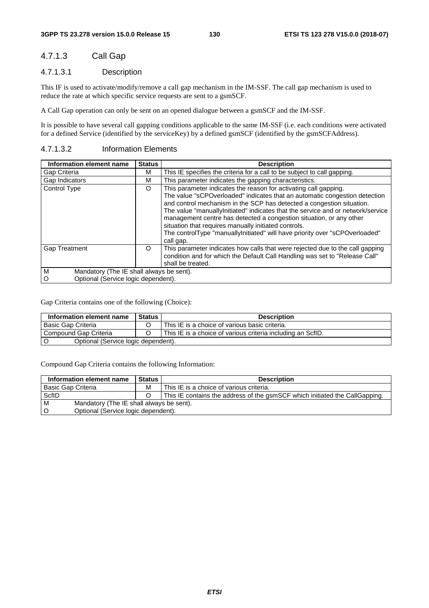# 4.7.1.3 Call Gap

### 4.7.1.3.1 Description

This IF is used to activate/modify/remove a call gap mechanism in the IM-SSF. The call gap mechanism is used to reduce the rate at which specific service requests are sent to a gsmSCF.

A Call Gap operation can only be sent on an opened dialogue between a gsmSCF and the IM-SSF.

It is possible to have several call gapping conditions applicable to the same IM-SSF (i.e. each conditions were activated for a defined Service (identified by the serviceKey) by a defined gsmSCF (identified by the gsmSCFAddress).

| Information element name                                                                  | <b>Status</b> | <b>Description</b>                                                                                                                                                                                                                                                                                                                                                                                                                                                                                                                    |
|-------------------------------------------------------------------------------------------|---------------|---------------------------------------------------------------------------------------------------------------------------------------------------------------------------------------------------------------------------------------------------------------------------------------------------------------------------------------------------------------------------------------------------------------------------------------------------------------------------------------------------------------------------------------|
| Gap Criteria                                                                              | м             | This IE specifies the criteria for a call to be subject to call gapping.                                                                                                                                                                                                                                                                                                                                                                                                                                                              |
| Gap Indicators                                                                            | м             | This parameter indicates the gapping characteristics.                                                                                                                                                                                                                                                                                                                                                                                                                                                                                 |
| <b>Control Type</b>                                                                       | O             | This parameter indicates the reason for activating call gapping.<br>The value "sCPOverloaded" indicates that an automatic congestion detection<br>and control mechanism in the SCP has detected a congestion situation.<br>The value "manuallyInitiated" indicates that the service and or network/service<br>management centre has detected a congestion situation, or any other<br>situation that requires manually initiated controls.<br>The controlType "manuallyInitiated" will have priority over "sCPOverloaded"<br>call gap. |
| Gap Treatment                                                                             | O             | This parameter indicates how calls that were rejected due to the call gapping<br>condition and for which the Default Call Handling was set to "Release Call"<br>shall be treated.                                                                                                                                                                                                                                                                                                                                                     |
| M<br>Mandatory (The IE shall always be sent).<br>Optional (Service logic dependent).<br>O |               |                                                                                                                                                                                                                                                                                                                                                                                                                                                                                                                                       |

### 4.7.1.3.2 Information Elements

Gap Criteria contains one of the following (Choice):

| Information element name            | <b>Status</b> | <b>Description</b>                                          |
|-------------------------------------|---------------|-------------------------------------------------------------|
| Basic Gap Criteria                  |               | This IE is a choice of various basic criteria.              |
| Compound Gap Criteria               |               | This IE is a choice of various criteria including an ScfID. |
| Optional (Service logic dependent). |               |                                                             |

Compound Gap Criteria contains the following Information:

| Information element name                      | <b>Status</b>                       | <b>Description</b>                                                          |
|-----------------------------------------------|-------------------------------------|-----------------------------------------------------------------------------|
| Basic Gap Criteria                            | м                                   | This IE is a choice of various criteria.                                    |
| ScfID                                         |                                     | This IE contains the address of the gsmSCF which initiated the CallGapping. |
| м<br>Mandatory (The IE shall always be sent). |                                     |                                                                             |
| O                                             | Optional (Service logic dependent). |                                                                             |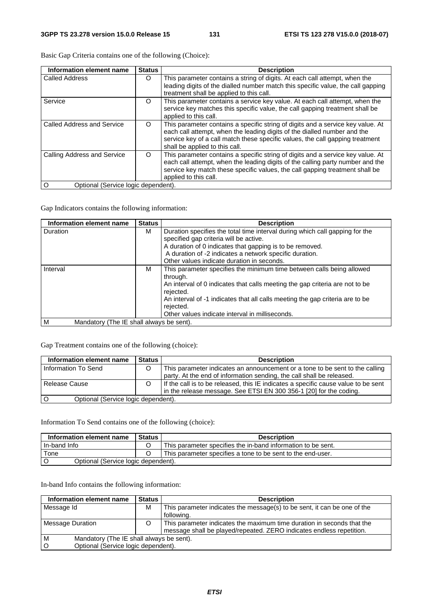| Information element name                 | <b>Status</b> | <b>Description</b>                                                                                                                                                                                                                                                             |
|------------------------------------------|---------------|--------------------------------------------------------------------------------------------------------------------------------------------------------------------------------------------------------------------------------------------------------------------------------|
| <b>Called Address</b>                    | O             | This parameter contains a string of digits. At each call attempt, when the<br>leading digits of the dialled number match this specific value, the call gapping<br>treatment shall be applied to this call.                                                                     |
| Service                                  | O             | This parameter contains a service key value. At each call attempt, when the<br>service key matches this specific value, the call gapping treatment shall be<br>applied to this call.                                                                                           |
| Called Address and Service               | ∩             | This parameter contains a specific string of digits and a service key value. At<br>each call attempt, when the leading digits of the dialled number and the<br>service key of a call match these specific values, the call gapping treatment<br>shall be applied to this call. |
| Calling Address and Service              | ∩             | This parameter contains a specific string of digits and a service key value. At<br>each call attempt, when the leading digits of the calling party number and the<br>service key match these specific values, the call gapping treatment shall be<br>applied to this call.     |
| Ω<br>Optional (Service logic dependent). |               |                                                                                                                                                                                                                                                                                |

Basic Gap Criteria contains one of the following (Choice):

Gap Indicators contains the following information:

| Information element name                      | <b>Status</b> | <b>Description</b>                                                            |
|-----------------------------------------------|---------------|-------------------------------------------------------------------------------|
| <b>Duration</b>                               | м             | Duration specifies the total time interval during which call gapping for the  |
|                                               |               | specified gap criteria will be active.                                        |
|                                               |               | A duration of 0 indicates that gapping is to be removed.                      |
|                                               |               | A duration of -2 indicates a network specific duration.                       |
|                                               |               | Other values indicate duration in seconds.                                    |
| Interval                                      | м             | This parameter specifies the minimum time between calls being allowed         |
|                                               |               | through.                                                                      |
|                                               |               | An interval of 0 indicates that calls meeting the gap criteria are not to be  |
|                                               |               | rejected.                                                                     |
|                                               |               | An interval of -1 indicates that all calls meeting the gap criteria are to be |
|                                               |               | rejected.                                                                     |
|                                               |               | Other values indicate interval in milliseconds.                               |
| Mandatory (The IE shall always be sent).<br>м |               |                                                                               |

Gap Treatment contains one of the following (choice):

| Information element name            | <b>Status</b> | <b>Description</b>                                                                                                                                       |
|-------------------------------------|---------------|----------------------------------------------------------------------------------------------------------------------------------------------------------|
| Information To Send                 |               | This parameter indicates an announcement or a tone to be sent to the calling<br>party. At the end of information sending, the call shall be released.    |
| Release Cause                       |               | If the call is to be released, this IE indicates a specific cause value to be sent<br>in the release message. See ETSI EN 300 356-1 [20] for the coding. |
| Optional (Service logic dependent). |               |                                                                                                                                                          |

Information To Send contains one of the following (choice):

| Information element name            | <b>Status</b> | <b>Description</b>                                           |
|-------------------------------------|---------------|--------------------------------------------------------------|
| In-band Info                        |               | This parameter specifies the in-band information to be sent. |
| Tone                                |               | This parameter specifies a tone to be sent to the end-user.  |
| Optional (Service logic dependent). |               |                                                              |

In-band Info contains the following information:

| Information element name                      | <b>Status</b>                       | <b>Description</b>                                                                                                                             |
|-----------------------------------------------|-------------------------------------|------------------------------------------------------------------------------------------------------------------------------------------------|
| Message Id                                    | М                                   | This parameter indicates the message(s) to be sent, it can be one of the<br>following.                                                         |
| Message Duration                              |                                     | This parameter indicates the maximum time duration in seconds that the<br>message shall be played/repeated. ZERO indicates endless repetition. |
| м<br>Mandatory (The IE shall always be sent). |                                     |                                                                                                                                                |
| $\circ$                                       | Optional (Service logic dependent). |                                                                                                                                                |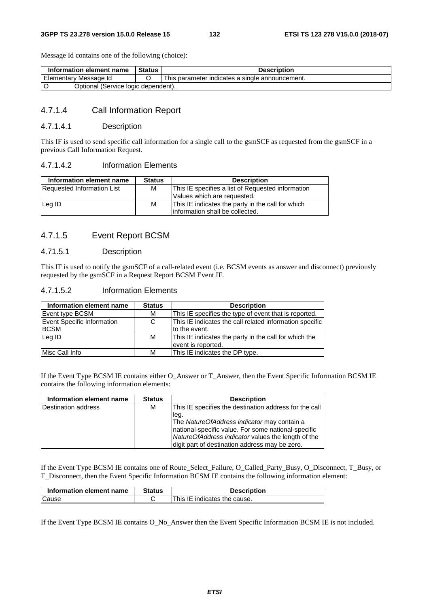Message Id contains one of the following (choice):

| Information element name            | Status | Description                                     |  |  |
|-------------------------------------|--------|-------------------------------------------------|--|--|
| Elementary Message Id               |        | This parameter indicates a single announcement. |  |  |
| Optional (Service logic dependent). |        |                                                 |  |  |

### 4.7.1.4 Call Information Report

#### 4.7.1.4.1 Description

This IF is used to send specific call information for a single call to the gsmSCF as requested from the gsmSCF in a previous Call Information Request.

#### 4.7.1.4.2 Information Elements

| Information element name   | <b>Status</b> | <b>Description</b>                                |
|----------------------------|---------------|---------------------------------------------------|
| Requested Information List | M             | This IE specifies a list of Requested information |
|                            |               | Values which are requested.                       |
| Leg ID                     | м             | This IE indicates the party in the call for which |
|                            |               | information shall be collected.                   |

#### 4.7.1.5 Event Report BCSM

#### 4.71.5.1 Description

This IF is used to notify the gsmSCF of a call-related event (i.e. BCSM events as answer and disconnect) previously requested by the gsmSCF in a Request Report BCSM Event IF.

#### 4.7.1.5.2 Information Elements

| Information element name                  | <b>Status</b> | <b>Description</b>                                                          |
|-------------------------------------------|---------------|-----------------------------------------------------------------------------|
| Event type BCSM                           | м             | This IE specifies the type of event that is reported.                       |
| Event Specific Information<br><b>BCSM</b> | C.            | This IE indicates the call related information specific<br>to the event.    |
| Leg ID                                    | м             | This IE indicates the party in the call for which the<br>event is reported. |
| Misc Call Info                            | м             | This IE indicates the DP type.                                              |

If the Event Type BCSM IE contains either O\_Answer or T\_Answer, then the Event Specific Information BCSM IE contains the following information elements:

| Information element name | <b>Status</b> | <b>Description</b>                                     |
|--------------------------|---------------|--------------------------------------------------------|
| Destination address      | м             | This IE specifies the destination address for the call |
|                          |               | leg.                                                   |
|                          |               | The NatureOfAddress indicator may contain a            |
|                          |               | national-specific value. For some national-specific    |
|                          |               | NatureOfAddress indicator values the length of the     |
|                          |               | digit part of destination address may be zero.         |

If the Event Type BCSM IE contains one of Route\_Select\_Failure, O\_Called\_Party\_Busy, O\_Disconnect, T\_Busy, or T\_Disconnect, then the Event Specific Information BCSM IE contains the following information element:

| Information element name | Status | <b>Description</b>           |
|--------------------------|--------|------------------------------|
| <b>Cause</b>             |        | This IE indicates the cause. |

If the Event Type BCSM IE contains O\_No\_Answer then the Event Specific Information BCSM IE is not included.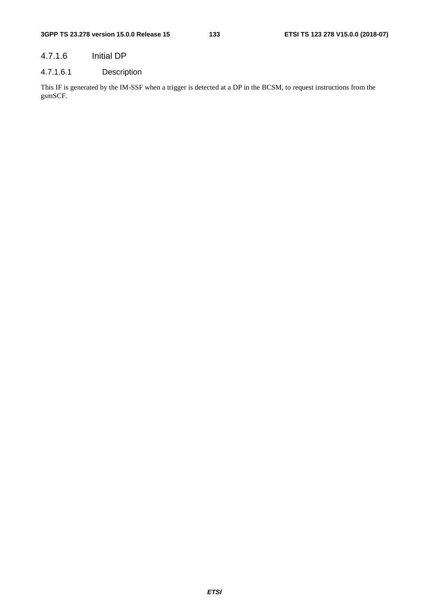### 4.7.1.6 Initial DP

### 4.7.1.6.1 Description

This IF is generated by the IM-SSF when a trigger is detected at a DP in the BCSM, to request instructions from the gsmSCF.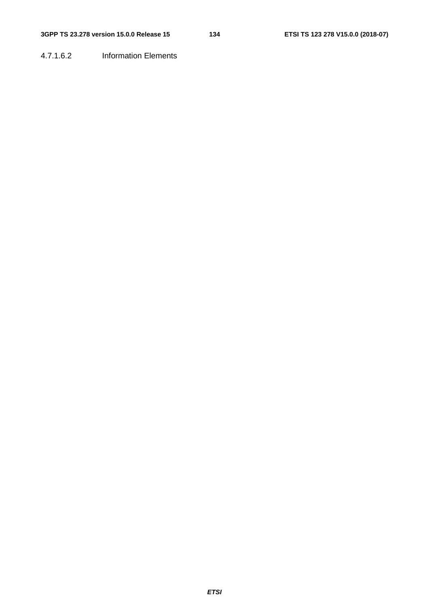4.7.1.6.2 Information Elements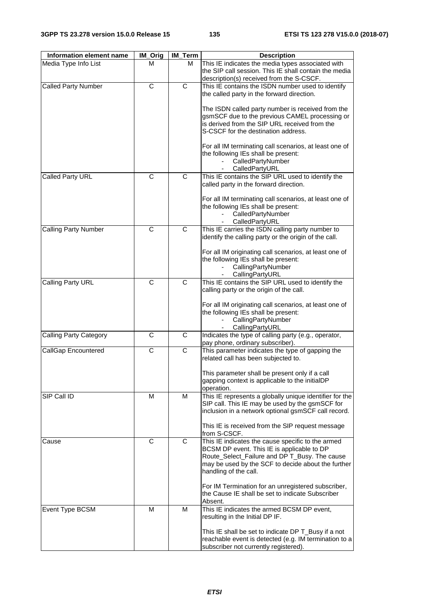| Information element name      | IM_Orig        | <b>IM Term</b> | <b>Description</b>                                                                                                                                                                                                              |
|-------------------------------|----------------|----------------|---------------------------------------------------------------------------------------------------------------------------------------------------------------------------------------------------------------------------------|
| Media Type Info List          | м              | M              | This IE indicates the media types associated with<br>the SIP call session. This IE shall contain the media<br>description(s) received from the S-CSCF.                                                                          |
| <b>Called Party Number</b>    | $\overline{C}$ | C              | This IE contains the ISDN number used to identify<br>the called party in the forward direction.                                                                                                                                 |
|                               |                |                | The ISDN called party number is received from the<br>gsmSCF due to the previous CAMEL processing or<br>is derived from the SIP URL received from the<br>S-CSCF for the destination address.                                     |
|                               |                |                | For all IM terminating call scenarios, at least one of<br>the following IEs shall be present:<br>CalledPartyNumber<br>$\blacksquare$<br>CalledPartyURL                                                                          |
| Called Party URL              | C              | $\mathsf{C}$   | This IE contains the SIP URL used to identify the<br>called party in the forward direction.                                                                                                                                     |
|                               |                |                | For all IM terminating call scenarios, at least one of<br>the following IEs shall be present:<br>CalledPartyNumber<br>CalledPartyURL<br>$\sim$                                                                                  |
| <b>Calling Party Number</b>   | C              | C              | This IE carries the ISDN calling party number to<br>identify the calling party or the origin of the call.                                                                                                                       |
|                               |                |                | For all IM originating call scenarios, at least one of<br>the following IEs shall be present:<br>CallingPartyNumber<br>CallingPartyURL                                                                                          |
| Calling Party URL             | C              | C              | This IE contains the SIP URL used to identify the<br>calling party or the origin of the call.                                                                                                                                   |
|                               |                |                | For all IM originating call scenarios, at least one of<br>the following IEs shall be present:<br>CallingPartyNumber<br>CallingPartyURL                                                                                          |
| <b>Calling Party Category</b> | C              | C              | Indicates the type of calling party (e.g., operator,<br>pay phone, ordinary subscriber).                                                                                                                                        |
| CallGap Encountered           | C              | C              | This parameter indicates the type of gapping the<br>related call has been subjected to.<br>This parameter shall be present only if a call                                                                                       |
|                               |                |                | gapping context is applicable to the initialDP<br>operation.                                                                                                                                                                    |
| SIP Call ID                   | M              | м              | This IE represents a globally unique identifier for the<br>SIP call. This IE may be used by the gsmSCF for<br>inclusion in a network optional gsmSCF call record.                                                               |
|                               |                |                | This IE is received from the SIP request message<br>from S-CSCF.                                                                                                                                                                |
| Cause                         | C              | C              | This IE indicates the cause specific to the armed<br>BCSM DP event. This IE is applicable to DP<br>Route_Select_Failure and DP T_Busy. The cause<br>may be used by the SCF to decide about the further<br>handling of the call. |
|                               |                |                | For IM Termination for an unregistered subscriber,<br>the Cause IE shall be set to indicate Subscriber<br>Absent.                                                                                                               |
| Event Type BCSM               | м              | м              | This IE indicates the armed BCSM DP event,<br>resulting in the Initial DP IF.                                                                                                                                                   |
|                               |                |                | This IE shall be set to indicate DP T_Busy if a not<br>reachable event is detected (e.g. IM termination to a<br>subscriber not currently registered).                                                                           |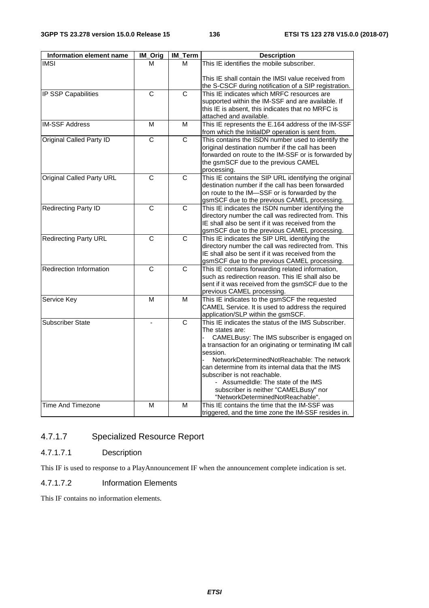| Information element name         | IM_Orig               | IM_Term               | <b>Description</b>                                                                                     |
|----------------------------------|-----------------------|-----------------------|--------------------------------------------------------------------------------------------------------|
| <b>IMSI</b>                      | м                     | м                     | This IE identifies the mobile subscriber.                                                              |
|                                  |                       |                       |                                                                                                        |
|                                  |                       |                       | This IE shall contain the IMSI value received from                                                     |
|                                  |                       |                       | the S-CSCF during notification of a SIP registration.                                                  |
| IP SSP Capabilities              | C                     | $\overline{\text{c}}$ | This IE indicates which MRFC resources are                                                             |
|                                  |                       |                       | supported within the IM-SSF and are available. If                                                      |
|                                  |                       |                       | this IE is absent, this indicates that no MRFC is                                                      |
|                                  |                       |                       | attached and available.                                                                                |
| <b>IM-SSF Address</b>            | M                     | M                     | This IE represents the E.164 address of the IM-SSF                                                     |
|                                  |                       |                       | from which the InitialDP operation is sent from.                                                       |
| Original Called Party ID         | $\overline{\text{c}}$ | C                     | This contains the ISDN number used to identify the                                                     |
|                                  |                       |                       | original destination number if the call has been                                                       |
|                                  |                       |                       | forwarded on route to the IM-SSF or is forwarded by                                                    |
|                                  |                       |                       | the gsmSCF due to the previous CAMEL                                                                   |
|                                  |                       |                       | processing.                                                                                            |
| <b>Original Called Party URL</b> | C                     | C                     | This IE contains the SIP URL identifying the original                                                  |
|                                  |                       |                       | destination number if the call has been forwarded                                                      |
|                                  |                       |                       | on route to the IM-SSF or is forwarded by the                                                          |
|                                  |                       |                       | gsmSCF due to the previous CAMEL processing.                                                           |
| Redirecting Party ID             | C                     | C                     | This IE indicates the ISDN number identifying the                                                      |
|                                  |                       |                       | directory number the call was redirected from. This                                                    |
|                                  |                       |                       | IE shall also be sent if it was received from the                                                      |
|                                  |                       |                       | gsmSCF due to the previous CAMEL processing.                                                           |
| <b>Redirecting Party URL</b>     | $\overline{\text{c}}$ | $\overline{\text{c}}$ | This IE indicates the SIP URL identifying the                                                          |
|                                  |                       |                       | directory number the call was redirected from. This                                                    |
|                                  |                       |                       | IE shall also be sent if it was received from the                                                      |
|                                  |                       |                       | gsmSCF due to the previous CAMEL processing.                                                           |
| Redirection Information          | $\overline{C}$        | $\overline{\text{c}}$ | This IE contains forwarding related information,                                                       |
|                                  |                       |                       | such as redirection reason. This IE shall also be                                                      |
|                                  |                       |                       | sent if it was received from the gsmSCF due to the                                                     |
|                                  |                       |                       | previous CAMEL processing.                                                                             |
| Service Key                      | М                     | м                     | This IE indicates to the gsmSCF the requested                                                          |
|                                  |                       |                       | CAMEL Service. It is used to address the required                                                      |
|                                  |                       |                       | application/SLP within the gsmSCF.                                                                     |
| <b>Subscriber State</b>          |                       | $\overline{C}$        | This IE indicates the status of the IMS Subscriber.                                                    |
|                                  |                       |                       | The states are:                                                                                        |
|                                  |                       |                       |                                                                                                        |
|                                  |                       |                       | CAMELBusy: The IMS subscriber is engaged on<br>a transaction for an originating or terminating IM call |
|                                  |                       |                       | session.                                                                                               |
|                                  |                       |                       | NetworkDeterminedNotReachable: The network                                                             |
|                                  |                       |                       | can determine from its internal data that the IMS                                                      |
|                                  |                       |                       | subscriber is not reachable.                                                                           |
|                                  |                       |                       |                                                                                                        |
|                                  |                       |                       | - AssumedIdle: The state of the IMS                                                                    |
|                                  |                       |                       | subscriber is neither "CAMELBusy" nor                                                                  |
|                                  |                       |                       | "NetworkDeterminedNotReachable".                                                                       |
| Time And Timezone                | M                     | M                     | This IE contains the time that the IM-SSF was                                                          |
|                                  |                       |                       | triggered, and the time zone the IM-SSF resides in.                                                    |

# 4.7.1.7 Specialized Resource Report

# 4.7.1.7.1 Description

This IF is used to response to a PlayAnnouncement IF when the announcement complete indication is set.

### 4.7.1.7.2 Information Elements

This IF contains no information elements.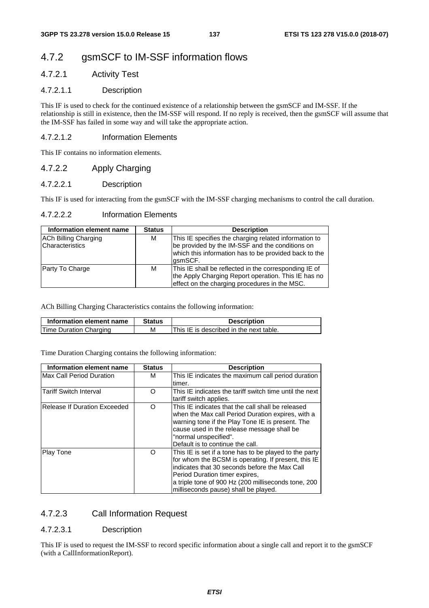# 4.7.2 gsmSCF to IM-SSF information flows

4.7.2.1 Activity Test

## 4.7.2.1.1 Description

This IF is used to check for the continued existence of a relationship between the gsmSCF and IM-SSF. If the relationship is still in existence, then the IM-SSF will respond. If no reply is received, then the gsmSCF will assume that the IM-SSF has failed in some way and will take the appropriate action.

#### 4.7.2.1.2 Information Elements

This IF contains no information elements.

### 4.7.2.2 Apply Charging

#### 4.7.2.2.1 Description

This IF is used for interacting from the gsmSCF with the IM-SSF charging mechanisms to control the call duration.

#### 4.7.2.2.2 Information Elements

| Information element name                       | <b>Status</b> | <b>Description</b>                                                                                                                                                            |
|------------------------------------------------|---------------|-------------------------------------------------------------------------------------------------------------------------------------------------------------------------------|
| <b>ACh Billing Charging</b><br>Characteristics | м             | This IE specifies the charging related information to<br>be provided by the IM-SSF and the conditions on<br>which this information has to be provided back to the<br>lasmSCF. |
| <b>Party To Charge</b>                         | м             | This IE shall be reflected in the corresponding IE of<br>the Apply Charging Report operation. This IE has no<br>effect on the charging procedures in the MSC.                 |

ACh Billing Charging Characteristics contains the following information:

| Information element name | <b>Status</b> | <b>Description</b>                      |
|--------------------------|---------------|-----------------------------------------|
| Time Duration Charging   | м             | This IE is described in the next table. |

Time Duration Charging contains the following information:

| Information element name            | <b>Status</b> | <b>Description</b>                                      |
|-------------------------------------|---------------|---------------------------------------------------------|
| lMax Call Period Duration           | м             | This IE indicates the maximum call period duration      |
|                                     |               | timer.                                                  |
| <b>Tariff Switch Interval</b>       | O             | This IE indicates the tariff switch time until the next |
|                                     |               | tariff switch applies.                                  |
| <b>Release If Duration Exceeded</b> | $\Omega$      | This IE indicates that the call shall be released       |
|                                     |               | when the Max call Period Duration expires, with a       |
|                                     |               | warning tone if the Play Tone IE is present. The        |
|                                     |               | cause used in the release message shall be              |
|                                     |               | "normal unspecified".                                   |
|                                     |               | Default is to continue the call.                        |
| <b>Play Tone</b>                    | O             | This IE is set if a tone has to be played to the party  |
|                                     |               | for whom the BCSM is operating. If present, this IE     |
|                                     |               | lindicates that 30 seconds before the Max Call          |
|                                     |               | Period Duration timer expires,                          |
|                                     |               | a triple tone of 900 Hz (200 milliseconds tone, 200     |
|                                     |               | milliseconds pause) shall be played.                    |

## 4.7.2.3 Call Information Request

#### 4.7.2.3.1 Description

This IF is used to request the IM-SSF to record specific information about a single call and report it to the gsmSCF (with a CallInformationReport).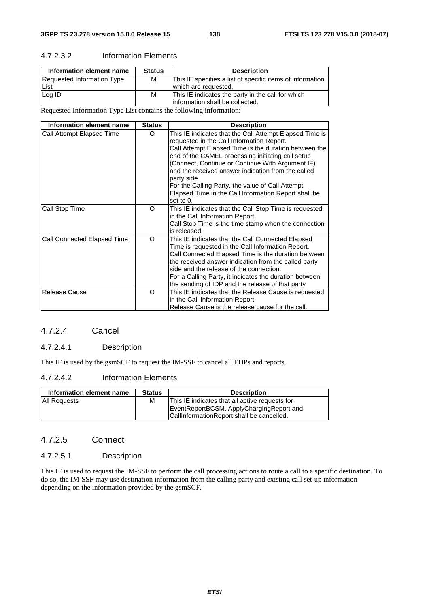# 4.7.2.3.2 Information Elements

| Information element name   | <b>Status</b> | <b>Description</b>                                        |
|----------------------------|---------------|-----------------------------------------------------------|
| Requested Information Type | м             | This IE specifies a list of specific items of information |
| <b>List</b>                |               | which are requested.                                      |
| Leg ID                     | м             | This IE indicates the party in the call for which         |
|                            |               | linformation shall be collected.                          |

Requested Information Type List contains the following information:

| Information element name    | <b>Status</b> | <b>Description</b>                                                                                                                                                                                                                                                                                                                                                                                                                                                   |
|-----------------------------|---------------|----------------------------------------------------------------------------------------------------------------------------------------------------------------------------------------------------------------------------------------------------------------------------------------------------------------------------------------------------------------------------------------------------------------------------------------------------------------------|
| Call Attempt Elapsed Time   | $\Omega$      | This IE indicates that the Call Attempt Elapsed Time is<br>requested in the Call Information Report.<br>Call Attempt Elapsed Time is the duration between the<br>end of the CAMEL processing initiating call setup<br>(Connect, Continue or Continue With Argument IF)<br>and the received answer indication from the called<br>party side.<br>For the Calling Party, the value of Call Attempt<br>Elapsed Time in the Call Information Report shall be<br>set to 0. |
| Call Stop Time              | $\Omega$      | This IE indicates that the Call Stop Time is requested<br>in the Call Information Report.<br>Call Stop Time is the time stamp when the connection<br>is released.                                                                                                                                                                                                                                                                                                    |
| Call Connected Elapsed Time | O             | This IE indicates that the Call Connected Elapsed<br>Time is requested in the Call Information Report.<br>Call Connected Elapsed Time is the duration between<br>the received answer indication from the called party<br>side and the release of the connection.<br>For a Calling Party, it indicates the duration between<br>the sending of IDP and the release of that party                                                                                       |
| Release Cause               | $\circ$       | This IE indicates that the Release Cause is requested<br>in the Call Information Report.<br>Release Cause is the release cause for the call.                                                                                                                                                                                                                                                                                                                         |

# 4.7.2.4 Cancel

#### 4.7.2.4.1 Description

This IF is used by the gsmSCF to request the IM-SSF to cancel all EDPs and reports.

#### 4.7.2.4.2 Information Elements

| Information element name | <b>Status</b> | <b>Description</b>                                                                                                                      |
|--------------------------|---------------|-----------------------------------------------------------------------------------------------------------------------------------------|
| <b>All Requests</b>      | M             | This IE indicates that all active requests for<br>EventReportBCSM, ApplyChargingReport and<br>CallInformationReport shall be cancelled. |

# 4.7.2.5 Connect

#### 4.7.2.5.1 Description

This IF is used to request the IM-SSF to perform the call processing actions to route a call to a specific destination. To do so, the IM-SSF may use destination information from the calling party and existing call set-up information depending on the information provided by the gsmSCF.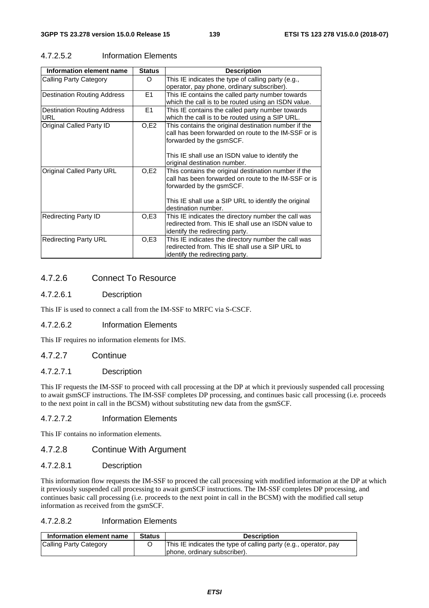| Information element name                                                                 | <b>Status</b>         | <b>Description</b>                                                                                                                                                                                                                                                                                                                                                                                                                                                                                                                                                                                       |
|------------------------------------------------------------------------------------------|-----------------------|----------------------------------------------------------------------------------------------------------------------------------------------------------------------------------------------------------------------------------------------------------------------------------------------------------------------------------------------------------------------------------------------------------------------------------------------------------------------------------------------------------------------------------------------------------------------------------------------------------|
| Calling Party Category                                                                   | O                     | This IE indicates the type of calling party (e.g.,                                                                                                                                                                                                                                                                                                                                                                                                                                                                                                                                                       |
|                                                                                          |                       | operator, pay phone, ordinary subscriber).                                                                                                                                                                                                                                                                                                                                                                                                                                                                                                                                                               |
| <b>Destination Routing Address</b>                                                       | E1                    | This IE contains the called party number towards                                                                                                                                                                                                                                                                                                                                                                                                                                                                                                                                                         |
|                                                                                          |                       | which the call is to be routed using an ISDN value.                                                                                                                                                                                                                                                                                                                                                                                                                                                                                                                                                      |
| <b>Destination Routing Address</b>                                                       | E1                    | This IE contains the called party number towards                                                                                                                                                                                                                                                                                                                                                                                                                                                                                                                                                         |
| <b>URL</b>                                                                               |                       | which the call is to be routed using a SIP URL.                                                                                                                                                                                                                                                                                                                                                                                                                                                                                                                                                          |
| Original Called Party ID                                                                 | O, E2                 | This contains the original destination number if the                                                                                                                                                                                                                                                                                                                                                                                                                                                                                                                                                     |
|                                                                                          |                       | call has been forwarded on route to the IM-SSF or is                                                                                                                                                                                                                                                                                                                                                                                                                                                                                                                                                     |
|                                                                                          |                       | forwarded by the gsmSCF.                                                                                                                                                                                                                                                                                                                                                                                                                                                                                                                                                                                 |
|                                                                                          |                       |                                                                                                                                                                                                                                                                                                                                                                                                                                                                                                                                                                                                          |
|                                                                                          |                       |                                                                                                                                                                                                                                                                                                                                                                                                                                                                                                                                                                                                          |
|                                                                                          |                       |                                                                                                                                                                                                                                                                                                                                                                                                                                                                                                                                                                                                          |
|                                                                                          |                       |                                                                                                                                                                                                                                                                                                                                                                                                                                                                                                                                                                                                          |
|                                                                                          |                       |                                                                                                                                                                                                                                                                                                                                                                                                                                                                                                                                                                                                          |
|                                                                                          |                       |                                                                                                                                                                                                                                                                                                                                                                                                                                                                                                                                                                                                          |
|                                                                                          |                       |                                                                                                                                                                                                                                                                                                                                                                                                                                                                                                                                                                                                          |
|                                                                                          |                       |                                                                                                                                                                                                                                                                                                                                                                                                                                                                                                                                                                                                          |
|                                                                                          |                       |                                                                                                                                                                                                                                                                                                                                                                                                                                                                                                                                                                                                          |
|                                                                                          |                       |                                                                                                                                                                                                                                                                                                                                                                                                                                                                                                                                                                                                          |
|                                                                                          |                       |                                                                                                                                                                                                                                                                                                                                                                                                                                                                                                                                                                                                          |
|                                                                                          |                       |                                                                                                                                                                                                                                                                                                                                                                                                                                                                                                                                                                                                          |
|                                                                                          |                       |                                                                                                                                                                                                                                                                                                                                                                                                                                                                                                                                                                                                          |
|                                                                                          |                       |                                                                                                                                                                                                                                                                                                                                                                                                                                                                                                                                                                                                          |
| Original Called Party URL<br><b>Redirecting Party ID</b><br><b>Redirecting Party URL</b> | O, E2<br>O.E3<br>O.E3 | This IE shall use an ISDN value to identify the<br>original destination number.<br>This contains the original destination number if the<br>call has been forwarded on route to the IM-SSF or is<br>forwarded by the gsmSCF.<br>This IE shall use a SIP URL to identify the original<br>destination number.<br>This IE indicates the directory number the call was<br>redirected from. This IE shall use an ISDN value to<br>identify the redirecting party.<br>This IE indicates the directory number the call was<br>redirected from. This IE shall use a SIP URL to<br>identify the redirecting party. |

## 4.7.2.5.2 Information Elements

# 4.7.2.6 Connect To Resource

#### 4.7.2.6.1 Description

This IF is used to connect a call from the IM-SSF to MRFC via S-CSCF.

#### 4.7.2.6.2 Information Elements

This IF requires no information elements for IMS.

#### 4.7.2.7 Continue

#### 4.7.2.7.1 Description

This IF requests the IM-SSF to proceed with call processing at the DP at which it previously suspended call processing to await gsmSCF instructions. The IM-SSF completes DP processing, and continues basic call processing (i.e. proceeds to the next point in call in the BCSM) without substituting new data from the gsmSCF.

#### 4.7.2.7.2 Information Elements

This IF contains no information elements.

#### 4.7.2.8 Continue With Argument

#### 4.7.2.8.1 Description

This information flow requests the IM-SSF to proceed the call processing with modified information at the DP at which it previously suspended call processing to await gsmSCF instructions. The IM-SSF completes DP processing, and continues basic call processing (i.e. proceeds to the next point in call in the BCSM) with the modified call setup information as received from the gsmSCF.

#### 4.7.2.8.2 Information Elements

| Information element name | <b>Status</b> | <b>Description</b>                                               |
|--------------------------|---------------|------------------------------------------------------------------|
| Calling Party Category   |               | This IE indicates the type of calling party (e.g., operator, pay |
|                          |               | (phone, ordinary subscriber).                                    |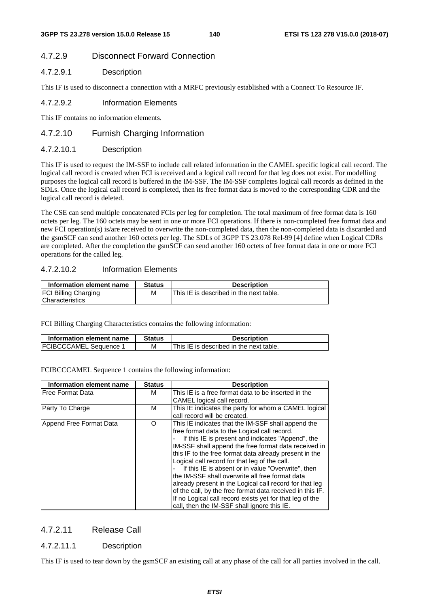# 4.7.2.9 Disconnect Forward Connection

#### 4.7.2.9.1 Description

This IF is used to disconnect a connection with a MRFC previously established with a Connect To Resource IF.

#### 4.7.2.9.2 Information Elements

This IF contains no information elements.

### 4.7.2.10 Furnish Charging Information

#### 4.7.2.10.1 Description

This IF is used to request the IM-SSF to include call related information in the CAMEL specific logical call record. The logical call record is created when FCI is received and a logical call record for that leg does not exist. For modelling purposes the logical call record is buffered in the IM-SSF. The IM-SSF completes logical call records as defined in the SDLs. Once the logical call record is completed, then its free format data is moved to the corresponding CDR and the logical call record is deleted.

The CSE can send multiple concatenated FCIs per leg for completion. The total maximum of free format data is 160 octets per leg. The 160 octets may be sent in one or more FCI operations. If there is non-completed free format data and new FCI operation(s) is/are received to overwrite the non-completed data, then the non-completed data is discarded and the gsmSCF can send another 160 octets per leg. The SDLs of 3GPP TS 23.078 Rel-99 [4] define when Logical CDRs are completed. After the completion the gsmSCF can send another 160 octets of free format data in one or more FCI operations for the called leg.

#### 4.7.2.10.2 Information Elements

| Information element name    | <b>Status</b> | <b>Description</b>                      |
|-----------------------------|---------------|-----------------------------------------|
| <b>FCI Billing Charging</b> | М             | This IE is described in the next table. |
| <b>Characteristics</b>      |               |                                         |

FCI Billing Charging Characteristics contains the following information:

| Information element name       | Status | <b>Description</b>                      |
|--------------------------------|--------|-----------------------------------------|
| <b>IFCIBCCCAMEL Sequence 1</b> | м      | This IE is described in the next table. |

FCIBCCCAMEL Sequence 1 contains the following information:

| Information element name | <b>Status</b> | <b>Description</b>                                        |
|--------------------------|---------------|-----------------------------------------------------------|
| <b>Free Format Data</b>  | м             | This IE is a free format data to be inserted in the       |
|                          |               | CAMEL logical call record.                                |
| Party To Charge          | м             | This IE indicates the party for whom a CAMEL logical      |
|                          |               | call record will be created.                              |
| Append Free Format Data  | Ω             | This IE indicates that the IM-SSF shall append the        |
|                          |               | free format data to the Logical call record.              |
|                          |               | If this IE is present and indicates "Append", the         |
|                          |               | IM-SSF shall append the free format data received in      |
|                          |               | this IF to the free format data already present in the    |
|                          |               | Logical call record for that leg of the call.             |
|                          |               | If this IE is absent or in value "Overwrite", then        |
|                          |               | lthe IM-SSF shall overwrite all free format data          |
|                          |               | already present in the Logical call record for that leg   |
|                          |               | of the call, by the free format data received in this IF. |
|                          |               | If no Logical call record exists yet for that leg of the  |
|                          |               | call, then the IM-SSF shall ignore this IE.               |

## 4.7.2.11 Release Call

#### 4.7.2.11.1 Description

This IF is used to tear down by the gsmSCF an existing call at any phase of the call for all parties involved in the call.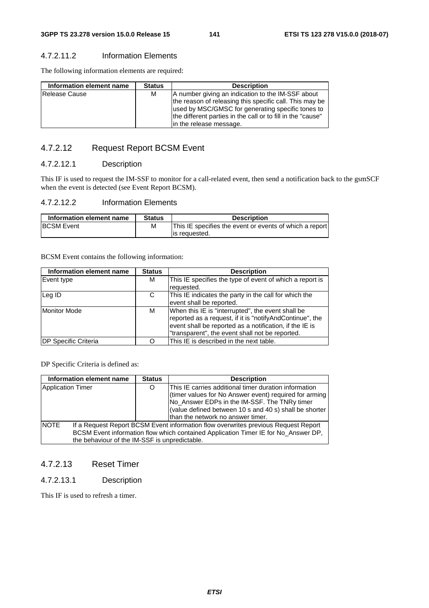#### 4.7.2.11.2 Information Elements

The following information elements are required:

| Information element name | <b>Status</b> | <b>Description</b>                                                                                                                                                                                                               |
|--------------------------|---------------|----------------------------------------------------------------------------------------------------------------------------------------------------------------------------------------------------------------------------------|
| lRelease Cause           | м             | A number giving an indication to the IM-SSF about<br>the reason of releasing this specific call. This may be<br>used by MSC/GMSC for generating specific tones to<br>the different parties in the call or to fill in the "cause" |
|                          |               | in the release message.                                                                                                                                                                                                          |

# 4.7.2.12 Request Report BCSM Event

### 4.7.2.12.1 Description

This IF is used to request the IM-SSF to monitor for a call-related event, then send a notification back to the gsmSCF when the event is detected (see Event Report BCSM).

#### 4.7.2.12.2 Information Elements

| Information element name | <b>Status</b> | <b>Description</b>                                      |
|--------------------------|---------------|---------------------------------------------------------|
| <b>BCSM Event</b>        | М             | This IE specifies the event or events of which a report |
|                          |               | lis requested.                                          |

BCSM Event contains the following information:

| Information element name     | <b>Status</b> | <b>Description</b>                                                                                                                                                                                                          |
|------------------------------|---------------|-----------------------------------------------------------------------------------------------------------------------------------------------------------------------------------------------------------------------------|
| Event type                   | м             | This IE specifies the type of event of which a report is<br>requested.                                                                                                                                                      |
| Leg ID                       | C             | This IE indicates the party in the call for which the<br>event shall be reported.                                                                                                                                           |
| <b>Monitor Mode</b>          | м             | When this IE is "interrupted", the event shall be<br>reported as a request, if it is "notifyAndContinue", the<br>event shall be reported as a notification, if the IE is<br>"transparent", the event shall not be reported. |
| <b>IDP Specific Criteria</b> |               | This IE is described in the next table.                                                                                                                                                                                     |

DP Specific Criteria is defined as:

|                          | Information element name                      | <b>Status</b> | <b>Description</b>                                                                 |
|--------------------------|-----------------------------------------------|---------------|------------------------------------------------------------------------------------|
| <b>Application Timer</b> |                                               | O             | This IE carries additional timer duration information                              |
|                          |                                               |               | (timer values for No Answer event) required for arming                             |
|                          |                                               |               | No_Answer EDPs in the IM-SSF. The TNRy timer                                       |
|                          |                                               |               | (value defined between 10 s and 40 s) shall be shorter                             |
|                          |                                               |               | than the network no answer timer.                                                  |
| <b>NOTE</b>              |                                               |               | If a Request Report BCSM Event information flow overwrites previous Request Report |
|                          |                                               |               | BCSM Event information flow which contained Application Timer IE for No_Answer DP, |
|                          | the behaviour of the IM-SSF is unpredictable. |               |                                                                                    |

# 4.7.2.13 Reset Timer

#### 4.7.2.13.1 Description

This IF is used to refresh a timer.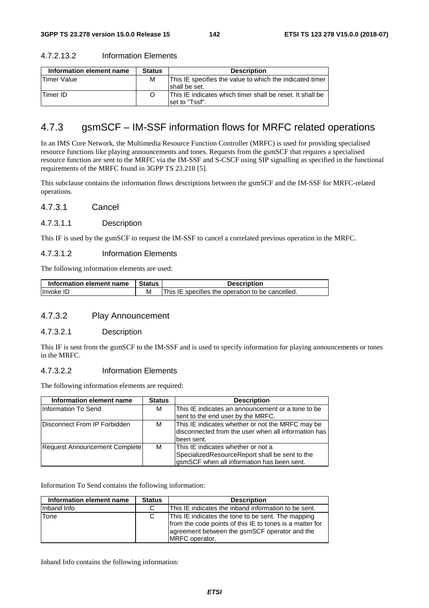| Information element name | <b>Status</b> | <b>Description</b>                                                           |
|--------------------------|---------------|------------------------------------------------------------------------------|
| <b>Timer Value</b>       | м             | This IE specifies the value to which the indicated timer<br>shall be set.    |
| <b>Timer ID</b>          |               | This IE indicates which timer shall be reset. It shall be<br>Iset to "Tssf". |

#### 4.7.2.13.2 Information Elements

# 4.7.3 gsmSCF – IM-SSF information flows for MRFC related operations

In an IMS Core Network, the Multimedia Resource Function Controller (MRFC) is used for providing specialised resource functions like playing announcements and tones. Requests from the gsmSCF that requires a specialised resource function are sent to the MRFC via the IM-SSF and S-CSCF using SIP signalling as specified in the functional requirements of the MRFC found in 3GPP TS 23.218 [5].

This subclause contains the information flows descriptions between the gsmSCF and the IM-SSF for MRFC-related operations.

#### 4.7.3.1 Cancel

#### 4.7.3.1.1 Description

This IF is used by the gsmSCF to request the IM-SSF to cancel a correlated previous operation in the MRFC.

#### 4.7.3.1.2 Information Elements

The following information elements are used:

| Information element name | <b>Status</b> | <b>Description</b>                               |
|--------------------------|---------------|--------------------------------------------------|
| Invoke ID                |               | This IE specifies the operation to be cancelled. |

### 4.7.3.2 Play Announcement

#### 4.7.3.2.1 Description

This IF is sent from the gsmSCF to the IM-SSF and is used to specify information for playing announcements or tones in the MRFC.

#### 4.7.3.2.2 Information Elements

The following information elements are required:

| Information element name      | <b>Status</b> | <b>Description</b>                                                                                                                 |
|-------------------------------|---------------|------------------------------------------------------------------------------------------------------------------------------------|
| <b>Information To Send</b>    | М             | This IE indicates an announcement or a tone to be<br>sent to the end user by the MRFC.                                             |
| Disconnect From IP Forbidden  | м             | This IE indicates whether or not the MRFC may be<br>disconnected from the user when all information has<br>lbeen sent.             |
| Request Announcement Complete | м             | This IE indicates whether or not a<br>SpecializedResourceReport shall be sent to the<br>gsmSCF when all information has been sent. |

Information To Send contains the following information:

| Information element name | <b>Status</b> | <b>Description</b>                                                                                                                                                                        |
|--------------------------|---------------|-------------------------------------------------------------------------------------------------------------------------------------------------------------------------------------------|
| Inband Info              | C             | This IE indicates the inband information to be sent.                                                                                                                                      |
| Tone                     | C             | This IE indicates the tone to be sent. The mapping<br>from the code points of this IE to tones is a matter for<br>agreement between the gsmSCF operator and the<br><b>IMRFC</b> operator. |

Inband Info contains the following information: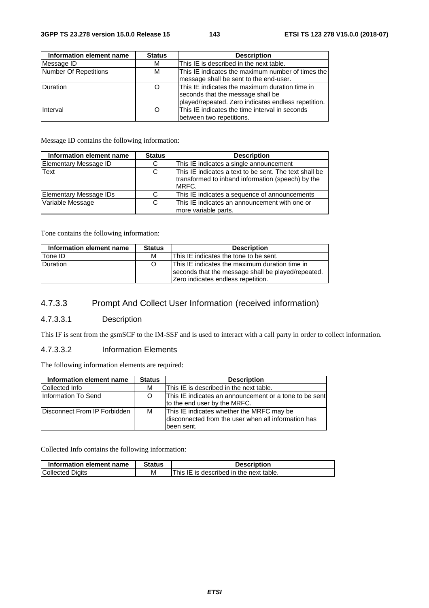| Information element name | <b>Status</b> | <b>Description</b>                                                                                                                         |
|--------------------------|---------------|--------------------------------------------------------------------------------------------------------------------------------------------|
| Message ID               | М             | This IE is described in the next table.                                                                                                    |
| Number Of Repetitions    | M             | This IE indicates the maximum number of times the<br>message shall be sent to the end-user.                                                |
| Duration                 | O             | This IE indicates the maximum duration time in<br>seconds that the message shall be<br>played/repeated. Zero indicates endless repetition. |
| Interval                 | O             | This IE indicates the time interval in seconds<br>between two repetitions.                                                                 |

Message ID contains the following information:

| Information element name | <b>Status</b> | <b>Description</b>                                                                                                    |
|--------------------------|---------------|-----------------------------------------------------------------------------------------------------------------------|
| Elementary Message ID    | C             | This IE indicates a single announcement                                                                               |
| Text                     | C             | This IE indicates a text to be sent. The text shall be<br>transformed to inband information (speech) by the<br>IMRFC. |
| Elementary Message IDs   |               | This IE indicates a sequence of announcements                                                                         |
| Variable Message         | C             | This IE indicates an announcement with one or<br>more variable parts.                                                 |

Tone contains the following information:

| Information element name | <b>Status</b> | <b>Description</b>                                                                                                                         |
|--------------------------|---------------|--------------------------------------------------------------------------------------------------------------------------------------------|
| Tone ID                  | м             | This IE indicates the tone to be sent.                                                                                                     |
| <b>Duration</b>          |               | This IE indicates the maximum duration time in<br>seconds that the message shall be played/repeated.<br>Zero indicates endless repetition. |

# 4.7.3.3 Prompt And Collect User Information (received information)

#### 4.7.3.3.1 Description

This IF is sent from the gsmSCF to the IM-SSF and is used to interact with a call party in order to collect information.

## 4.7.3.3.2 Information Elements

The following information elements are required:

| Information element name     | <b>Status</b> | <b>Description</b>                                     |
|------------------------------|---------------|--------------------------------------------------------|
| Collected Info               | м             | This IE is described in the next table.                |
| Information To Send          | O             | This IE indicates an announcement or a tone to be sent |
|                              |               | to the end user by the MRFC.                           |
| Disconnect From IP Forbidden | м             | This IE indicates whether the MRFC may be              |
|                              |               | disconnected from the user when all information has    |
|                              |               | Ibeen sent.                                            |

Collected Info contains the following information:

| Information element name | Status | <b>Description</b>                      |
|--------------------------|--------|-----------------------------------------|
| <b>Collected Digits</b>  | M      | This IE is described in the next table. |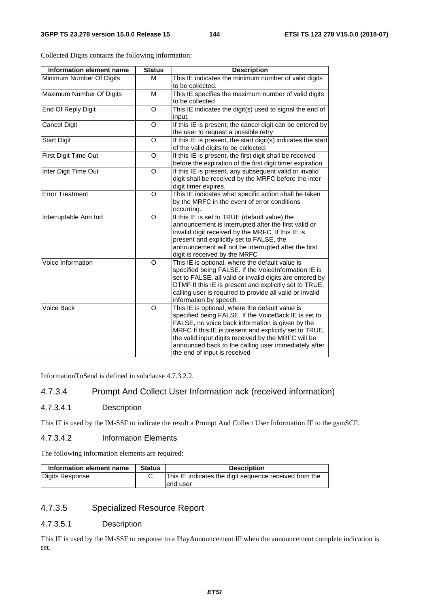| Information element name | <b>Status</b> | <b>Description</b>                                                                                                                                                                                                                                                                                                                                                   |
|--------------------------|---------------|----------------------------------------------------------------------------------------------------------------------------------------------------------------------------------------------------------------------------------------------------------------------------------------------------------------------------------------------------------------------|
| Minimum Number Of Digits | м             | This IE indicates the minimum number of valid digits<br>to be collected.                                                                                                                                                                                                                                                                                             |
| Maximum Number Of Digits | М             | This IE specifies the maximum number of valid digits<br>to be collected                                                                                                                                                                                                                                                                                              |
| End Of Reply Digit       | O             | This IE indicates the digit(s) used to signal the end of<br>input.                                                                                                                                                                                                                                                                                                   |
| <b>Cancel Digit</b>      | O             | If this IE is present, the cancel digit can be entered by<br>the user to request a possible retry                                                                                                                                                                                                                                                                    |
| <b>Start Digit</b>       | O             | If this IE is present, the start digit(s) indicates the start<br>of the valid digits to be collected.                                                                                                                                                                                                                                                                |
| First Digit Time Out     | O             | If this IE is present, the first digit shall be received<br>before the expiration of the first digit timer expiration                                                                                                                                                                                                                                                |
| Inter Digit Time Out     | O             | If this IE is present, any subsequent valid or invalid<br>digit shall be received by the MRFC before the inter<br>digit timer expires.                                                                                                                                                                                                                               |
| <b>Error Treatment</b>   | $\Omega$      | This IE indicates what specific action shall be taken<br>by the MRFC in the event of error conditions<br>occurring.                                                                                                                                                                                                                                                  |
| Interruptable Ann Ind    | O             | If this IE is set to TRUE (default value) the<br>announcement is interrupted after the first valid or<br>invalid digit received by the MRFC. If this IE is<br>present and explicitly set to FALSE, the<br>announcement will not be interrupted after the first<br>digit is received by the MRFC                                                                      |
| Voice Information        | $\Omega$      | This IE is optional, where the default value is<br>specified being FALSE. If the VoiceInformation IE is<br>set to FALSE, all valid or invalid digits are entered by<br>DTMF If this IE is present and explicitly set to TRUE,<br>calling user is required to provide all valid or invalid<br>information by speech                                                   |
| Voice Back               | O             | This IE is optional, where the default value is<br>specified being FALSE. If the VoiceBack IE is set to<br>FALSE, no voice back information is given by the<br>MRFC If this IE is present and explicitly set to TRUE,<br>the valid input digits received by the MRFC will be<br>announced back to the calling user immediately after<br>the end of input is received |

Collected Digits contains the following information:

InformationToSend is defined in subclause 4.7.3.2.2.

#### 4.7.3.4 Prompt And Collect User Information ack (received information)

#### 4.7.3.4.1 Description

This IF is used by the IM-SSF to indicate the result a Prompt And Collect User Information IF to the gsmSCF.

#### 4.7.3.4.2 Information Elements

The following information elements are required:

| Information element name | <b>Status</b> | <b>Description</b>                                     |
|--------------------------|---------------|--------------------------------------------------------|
| Digits Response          |               | This IE indicates the digit sequence received from the |
|                          |               | lend user                                              |

#### 4.7.3.5 Specialized Resource Report

#### 4.7.3.5.1 Description

This IF is used by the IM-SSF to response to a PlayAnnouncement IF when the announcement complete indication is set.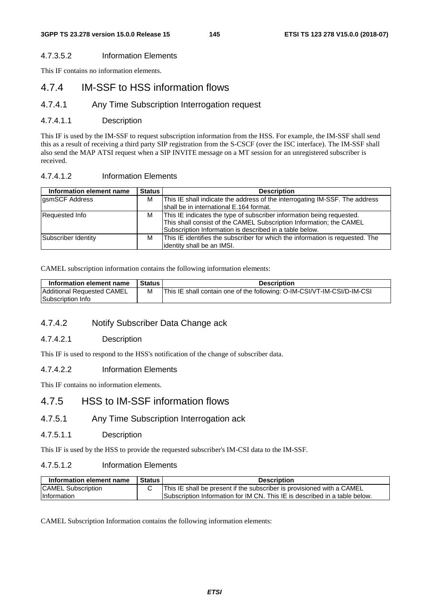#### 4.7.3.5.2 Information Elements

This IF contains no information elements.

### 4.7.4 IM-SSF to HSS information flows

#### 4.7.4.1 Any Time Subscription Interrogation request

#### 4.7.4.1.1 Description

This IF is used by the IM-SSF to request subscription information from the HSS. For example, the IM-SSF shall send this as a result of receiving a third party SIP registration from the S-CSCF (over the ISC interface). The IM-SSF shall also send the MAP ATSI request when a SIP INVITE message on a MT session for an unregistered subscriber is received.

#### 4.7.4.1.2 Information Elements

| Information element name | <b>Status</b> | <b>Description</b>                                                                                                                                                                                      |
|--------------------------|---------------|---------------------------------------------------------------------------------------------------------------------------------------------------------------------------------------------------------|
| gsmSCF Address           | М             | This IE shall indicate the address of the interrogating IM-SSF. The address<br>Ishall be in international E.164 format.                                                                                 |
| Requested Info           | м             | This IE indicates the type of subscriber information being requested.<br>This shall consist of the CAMEL Subscription Information; the CAMEL<br>Subscription Information is described in a table below. |
| Subscriber Identity      | м             | This IE identifies the subscriber for which the information is requested. The<br>lidentity shall be an IMSI.                                                                                            |

CAMEL subscription information contains the following information elements:

| Information element name   | Status | <b>Description</b>                                                      |
|----------------------------|--------|-------------------------------------------------------------------------|
| Additional Requested CAMEL |        | This IE shall contain one of the following: O-IM-CSI/VT-IM-CSI/D-IM-CSI |
| Subscription Info          |        |                                                                         |

### 4.7.4.2 Notify Subscriber Data Change ack

#### 4.7.4.2.1 Description

This IF is used to respond to the HSS's notification of the change of subscriber data.

#### 4.7.4.2.2 Information Elements

This IF contains no information elements.

### 4.7.5 HSS to IM-SSF information flows

#### 4.7.5.1 Any Time Subscription Interrogation ack

#### 4.7.5.1.1 Description

This IF is used by the HSS to provide the requested subscriber's IM-CSI data to the IM-SSF.

#### 4.7.5.1.2 Information Elements

| Information element name  | <b>Status</b> | <b>Description</b>                                                         |
|---------------------------|---------------|----------------------------------------------------------------------------|
| <b>CAMEL Subscription</b> |               | This IE shall be present if the subscriber is provisioned with a CAMEL     |
| <b>Information</b>        |               | Subscription Information for IM CN. This IE is described in a table below. |

CAMEL Subscription Information contains the following information elements: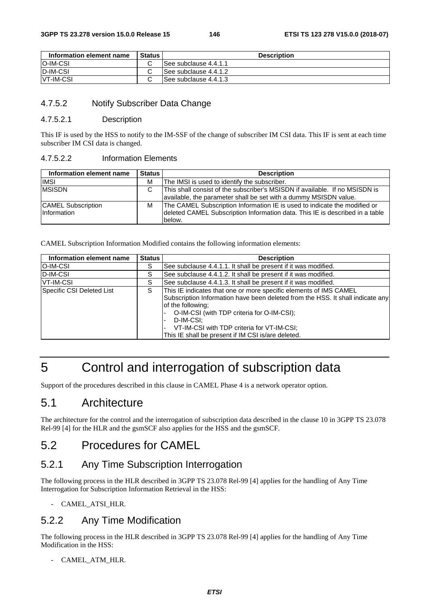| Information element name | <b>Status</b> | <b>Description</b>    |
|--------------------------|---------------|-----------------------|
| <b>IO-IM-CSI</b>         |               | See subclause 4.4.1.1 |
| <b>ID-IM-CSI</b>         |               | See subclause 4.4.1.2 |
| <b>IVT-IM-CSI</b>        |               | See subclause 4.4.1.3 |

#### 4.7.5.2 Notify Subscriber Data Change

#### 4.7.5.2.1 Description

This IF is used by the HSS to notify to the IM-SSF of the change of subscriber IM CSI data. This IF is sent at each time subscriber IM CSI data is changed.

#### 4.7.5.2.2 Information Elements

| Information element name                 | <b>Status</b> | <b>Description</b>                                                                                                                                                  |
|------------------------------------------|---------------|---------------------------------------------------------------------------------------------------------------------------------------------------------------------|
| <b>IMSI</b>                              | м             | The IMSI is used to identify the subscriber.                                                                                                                        |
| <b>MSISDN</b>                            | C             | This shall consist of the subscriber's MSISDN if available. If no MSISDN is<br>available, the parameter shall be set with a dummy MSISDN value.                     |
| <b>CAMEL Subscription</b><br>Information | м             | The CAMEL Subscription Information IE is used to indicate the modified or<br>deleted CAMEL Subscription Information data. This IE is described in a table<br>below. |

CAMEL Subscription Information Modified contains the following information elements:

| Information element name  | <b>Status</b> | <b>Description</b>                                                                                                                                                                                                                                                                                                                      |
|---------------------------|---------------|-----------------------------------------------------------------------------------------------------------------------------------------------------------------------------------------------------------------------------------------------------------------------------------------------------------------------------------------|
| <b>IO-IM-CSI</b>          | S             | See subclause 4.4.1.1. It shall be present if it was modified.                                                                                                                                                                                                                                                                          |
| D-IM-CSI                  | S             | See subclause 4.4.1.2. It shall be present if it was modified.                                                                                                                                                                                                                                                                          |
| <b>VT-IM-CSI</b>          | S             | See subclause 4.4.1.3. It shall be present if it was modified.                                                                                                                                                                                                                                                                          |
| Specific CSI Deleted List | S.            | This IE indicates that one or more specific elements of IMS CAMEL<br>Subscription Information have been deleted from the HSS. It shall indicate any<br>of the following:<br>O-IM-CSI (with TDP criteria for O-IM-CSI);<br>D-IM-CSI:<br>VT-IM-CSI with TDP criteria for VT-IM-CSI;<br>This IE shall be present if IM CSI is/are deleted. |

# 5 Control and interrogation of subscription data

Support of the procedures described in this clause in CAMEL Phase 4 is a network operator option.

# 5.1 Architecture

The architecture for the control and the interrogation of subscription data described in the clause 10 in 3GPP TS 23.078 Rel-99 [4] for the HLR and the gsmSCF also applies for the HSS and the gsmSCF.

# 5.2 Procedures for CAMEL

# 5.2.1 Any Time Subscription Interrogation

The following process in the HLR described in 3GPP TS 23.078 Rel-99 [4] applies for the handling of Any Time Interrogation for Subscription Information Retrieval in the HSS:

- CAMEL\_ATSI\_HLR.

# 5.2.2 Any Time Modification

The following process in the HLR described in 3GPP TS 23.078 Rel-99 [4] applies for the handling of Any Time Modification in the HSS:

- CAMEL\_ATM\_HLR.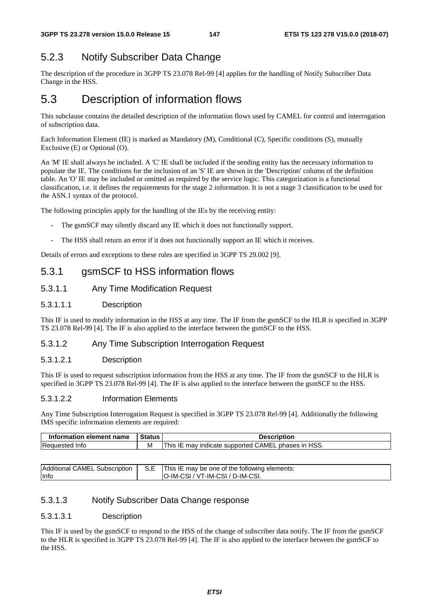# 5.2.3 Notify Subscriber Data Change

The description of the procedure in 3GPP TS 23.078 Rel-99 [4] applies for the handling of Notify Subscriber Data Change in the HSS.

# 5.3 Description of information flows

This subclause contains the detailed description of the information flows used by CAMEL for control and interrogation of subscription data.

Each Information Element (IE) is marked as Mandatory (M), Conditional (C), Specific conditions (S), mutually Exclusive (E) or Optional (O).

An 'M' IE shall always be included. A 'C' IE shall be included if the sending entity has the necessary information to populate the IE. The conditions for the inclusion of an 'S' IE are shown in the 'Description' column of the definition table. An 'O' IE may be included or omitted as required by the service logic. This categorization is a functional classification, i.e. it defines the requirements for the stage 2 information. It is not a stage 3 classification to be used for the ASN.1 syntax of the protocol.

The following principles apply for the handling of the IEs by the receiving entity:

- The gsmSCF may silently discard any IE which it does not functionally support.
- The HSS shall return an error if it does not functionally support an IE which it receives.

Details of errors and exceptions to these rules are specified in 3GPP TS 29.002 [9].

# 5.3.1 gsmSCF to HSS information flows

#### 5.3.1.1 Any Time Modification Request

#### 5.3.1.1.1 Description

This IF is used to modify information in the HSS at any time. The IF from the gsmSCF to the HLR is specified in 3GPP TS 23.078 Rel-99 [4]. The IF is also applied to the interface between the gsmSCF to the HSS.

#### 5.3.1.2 Any Time Subscription Interrogation Request

#### 5.3.1.2.1 Description

This IF is used to request subscription information from the HSS at any time. The IF from the gsmSCF to the HLR is specified in 3GPP TS 23.078 Rel-99 [4]. The IF is also applied to the interface between the gsmSCF to the HSS.

#### 5.3.1.2.2 Information Elements

Any Time Subscription Interrogation Request is specified in 3GPP TS 23.078 Rel-99 [4]. Additionally the following IMS specific information elements are required:

| Information element name | <b>Status</b> | <b>Description</b>                                     |
|--------------------------|---------------|--------------------------------------------------------|
| Requested Info           | М             | ohases in HSS.<br>This IE may indicate supported CAMEL |

| Additional CAMEL Subscription | . S.E | This IE may be one of the following elements: |
|-------------------------------|-------|-----------------------------------------------|
| <b>l</b> Infc                 |       | IO-IM-CSI / VT-IM-CSI / D-IM-CSI.             |

#### 5.3.1.3 Notify Subscriber Data Change response

#### 5.3.1.3.1 Description

This IF is used by the gsmSCF to respond to the HSS of the change of subscriber data notify. The IF from the gsmSCF to the HLR is specified in 3GPP TS 23.078 Rel-99 [4]. The IF is also applied to the interface between the gsmSCF to the HSS.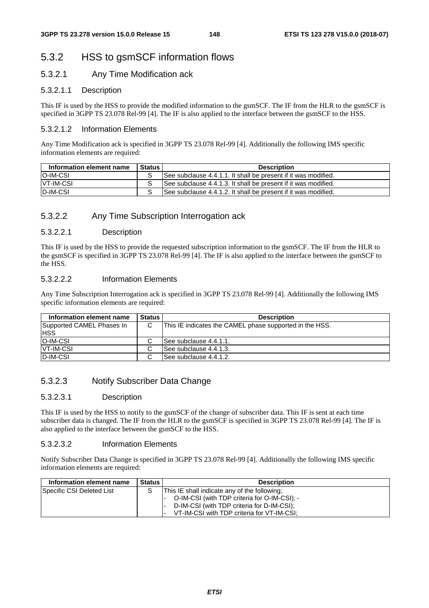# 5.3.2 HSS to gsmSCF information flows

#### 5.3.2.1 Any Time Modification ack

#### 5.3.2.1.1 Description

This IF is used by the HSS to provide the modified information to the gsmSCF. The IF from the HLR to the gsmSCF is specified in 3GPP TS 23.078 Rel-99 [4]. The IF is also applied to the interface between the gsmSCF to the HSS.

#### 5.3.2.1.2 Information Elements

Any Time Modification ack is specified in 3GPP TS 23.078 Rel-99 [4]. Additionally the following IMS specific information elements are required:

| Information element name | <b>Status</b> | <b>Description</b>                                             |
|--------------------------|---------------|----------------------------------------------------------------|
| O-IM-CSI                 |               | See subclause 4.4.1.1. It shall be present if it was modified. |
| <b>VT-IM-CSI</b>         |               | See subclause 4.4.1.3. It shall be present if it was modified. |
| D-IM-CSI                 |               | See subclause 4.4.1.2. It shall be present if it was modified. |

#### 5.3.2.2 Any Time Subscription Interrogation ack

#### 5.3.2.2.1 Description

This IF is used by the HSS to provide the requested subscription information to the gsmSCF. The IF from the HLR to the gsmSCF is specified in 3GPP TS 23.078 Rel-99 [4]. The IF is also applied to the interface between the gsmSCF to the HSS.

#### 5.3.2.2.2 Information Elements

Any Time Subscription Interrogation ack is specified in 3GPP TS 23.078 Rel-99 [4]. Additionally the following IMS specific information elements are required:

| Information element name  | <b>Status</b> | <b>Description</b>                                      |
|---------------------------|---------------|---------------------------------------------------------|
| Supported CAMEL Phases In | C             | This IE indicates the CAMEL phase supported in the HSS. |
| <b>IHSS</b>               |               |                                                         |
| <b>O-IM-CSI</b>           |               | ISee subclause 4.4.1.1.                                 |
| <b>VT-IM-CSI</b>          | С             | See subclause 4.4.1.3.                                  |
| <b>ID-IM-CSI</b>          | ⌒             | See subclause 4.4.1.2.                                  |

#### 5.3.2.3 Notify Subscriber Data Change

#### 5.3.2.3.1 Description

This IF is used by the HSS to notify to the gsmSCF of the change of subscriber data. This IF is sent at each time subscriber data is changed. The IF from the HLR to the gsmSCF is specified in 3GPP TS 23.078 Rel-99 [4]. The IF is also applied to the interface between the gsmSCF to the HSS.

#### 5.3.2.3.2 Information Elements

Notify Subscriber Data Change is specified in 3GPP TS 23.078 Rel-99 [4]. Additionally the following IMS specific information elements are required:

| Information element name  | <b>Status</b> | <b>Description</b>                           |
|---------------------------|---------------|----------------------------------------------|
| Specific CSI Deleted List |               | This IE shall indicate any of the following: |
|                           |               | O-IM-CSI (with TDP criteria for O-IM-CSI): - |
|                           |               | D-IM-CSI (with TDP criteria for D-IM-CSI);   |
|                           |               | VT-IM-CSI with TDP criteria for VT-IM-CSI:   |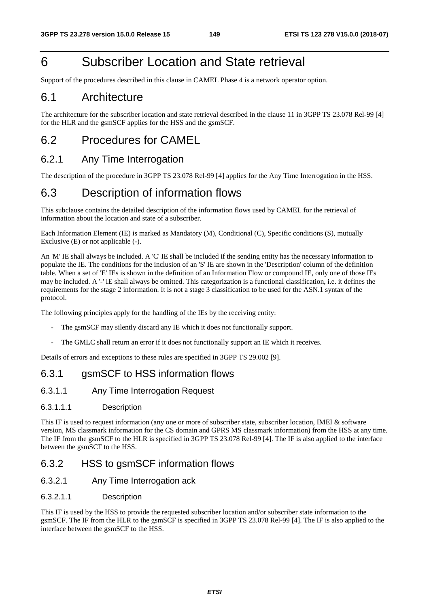# 6 Subscriber Location and State retrieval

Support of the procedures described in this clause in CAMEL Phase 4 is a network operator option.

# 6.1 Architecture

The architecture for the subscriber location and state retrieval described in the clause 11 in 3GPP TS 23.078 Rel-99 [4] for the HLR and the gsmSCF applies for the HSS and the gsmSCF.

# 6.2 Procedures for CAMEL

# 6.2.1 Any Time Interrogation

The description of the procedure in 3GPP TS 23.078 Rel-99 [4] applies for the Any Time Interrogation in the HSS.

# 6.3 Description of information flows

This subclause contains the detailed description of the information flows used by CAMEL for the retrieval of information about the location and state of a subscriber.

Each Information Element (IE) is marked as Mandatory (M), Conditional (C), Specific conditions (S), mutually Exclusive (E) or not applicable (-).

An 'M' IE shall always be included. A 'C' IE shall be included if the sending entity has the necessary information to populate the IE. The conditions for the inclusion of an 'S' IE are shown in the 'Description' column of the definition table. When a set of 'E' IEs is shown in the definition of an Information Flow or compound IE, only one of those IEs may be included. A '-' IE shall always be omitted. This categorization is a functional classification, i.e. it defines the requirements for the stage 2 information. It is not a stage 3 classification to be used for the ASN.1 syntax of the protocol.

The following principles apply for the handling of the IEs by the receiving entity:

- The gsmSCF may silently discard any IE which it does not functionally support.
- The GMLC shall return an error if it does not functionally support an IE which it receives.

Details of errors and exceptions to these rules are specified in 3GPP TS 29.002 [9].

# 6.3.1 gsmSCF to HSS information flows

#### 6.3.1.1 Any Time Interrogation Request

#### 6.3.1.1.1 Description

This IF is used to request information (any one or more of subscriber state, subscriber location, IMEI & software version, MS classmark information for the CS domain and GPRS MS classmark information) from the HSS at any time. The IF from the gsmSCF to the HLR is specified in 3GPP TS 23.078 Rel-99 [4]. The IF is also applied to the interface between the gsmSCF to the HSS.

### 6.3.2 HSS to gsmSCF information flows

#### 6.3.2.1 Any Time Interrogation ack

#### 6.3.2.1.1 Description

This IF is used by the HSS to provide the requested subscriber location and/or subscriber state information to the gsmSCF. The IF from the HLR to the gsmSCF is specified in 3GPP TS 23.078 Rel-99 [4]. The IF is also applied to the interface between the gsmSCF to the HSS.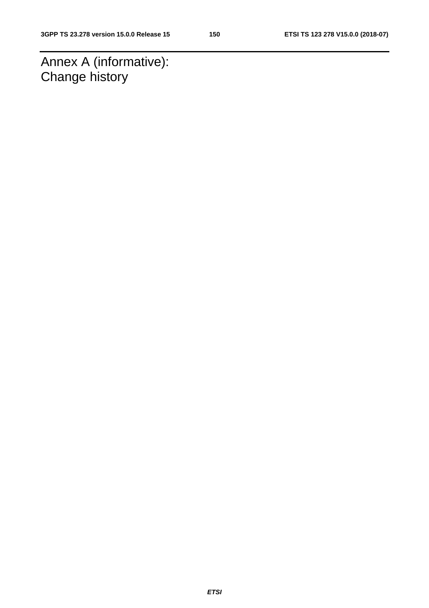Annex A (informative): Change history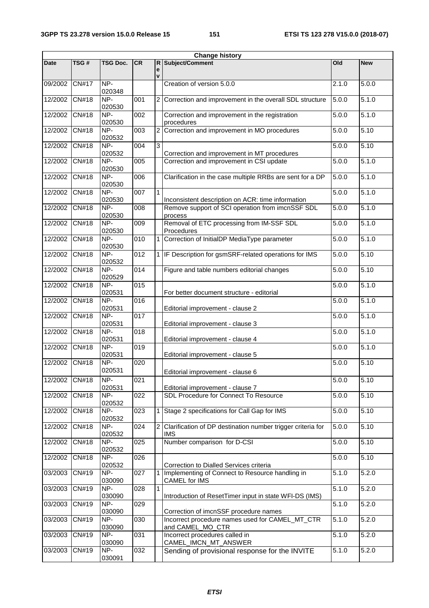|             | <b>Change history</b> |                 |                  |                  |                                                                     |                   |                   |
|-------------|-----------------------|-----------------|------------------|------------------|---------------------------------------------------------------------|-------------------|-------------------|
| <b>Date</b> | TSG#                  | <b>TSG Doc.</b> | CR               | e<br>$\mathbf v$ | R Subject/Comment                                                   | Q                 | <b>New</b>        |
| 09/2002     | <b>CN#17</b>          | NP-<br>020348   |                  |                  | Creation of version 5.0.0                                           | 2.1.0             | 5.0.0             |
| 12/2002     | <b>CN#18</b>          | NP-<br>020530   | 001              |                  | 2 Correction and improvement in the overall SDL structure           | 5.0.0             | 5.1.0             |
| 12/2002     | <b>CN#18</b>          | NP-<br>020530   | 002              |                  | Correction and improvement in the registration<br>procedures        | 5.0.0             | 5.1.0             |
| 12/2002     | CN#18                 | $NP-$<br>020532 | $\overline{003}$ |                  | 2 Correction and improvement in MO procedures                       | 5.0.0             | 5.10              |
| 12/2002     | <b>CN#18</b>          | $NP-$<br>020532 | 004              | $\overline{3}$   | Correction and improvement in MT procedures                         | 5.0.0             | 5.10              |
| 12/2002     | <b>CN#18</b>          | NP-<br>020530   | 005              |                  | Correction and improvement in CSI update                            | 5.0.0             | 5.1.0             |
| 12/2002     | CN#18                 | NP-<br>020530   | $\overline{006}$ |                  | Clarification in the case multiple RRBs are sent for a DP           | 5.0.0             | 5.1.0             |
| 12/2002     | <b>CN#18</b>          | $NP-$<br>020530 | 007              | $\mathbf{1}$     | Inconsistent description on ACR: time information                   | 5.0.0             | 5.1.0             |
| 12/2002     | CN#18                 | $NP-$<br>020530 | $\overline{008}$ |                  | Remove support of SCI operation from imcnSSF SDL<br>process         | 5.0.0             | 5.1.0             |
| 12/2002     | <b>CN#18</b>          | NP-<br>020530   | 009              |                  | Removal of ETC processing from IM-SSF SDL<br>Procedures             | 5.0.0             | 5.1.0             |
| 12/2002     | <b>CN#18</b>          | NP-<br>020530   | 010              | 1                | Correction of InitialDP MediaType parameter                         | 5.0.0             | $\frac{1}{5.1.0}$ |
| 12/2002     | CN#18                 | $NP-$<br>020532 | $\overline{012}$ |                  | 1 IF Description for gsmSRF-related operations for IMS              | 5.0.0             | 5.10              |
| 12/2002     | CN#18                 | $NP-$<br>020529 | $\overline{014}$ |                  | Figure and table numbers editorial changes                          | 5.0.0             | 5.10              |
| 12/2002     | <b>CN#18</b>          | NP-<br>020531   | 015              |                  | For better document structure - editorial                           | 5.0.0             | 5.1.0             |
| 12/2002     | <b>CN#18</b>          | NP-<br>020531   | 016              |                  | Editorial improvement - clause 2                                    | 5.0.0             | 5.1.0             |
| 12/2002     | <b>CN#18</b>          | NP-<br>020531   | $\overline{017}$ |                  | Editorial improvement - clause 3                                    | 5.0.0             | 5.1.0             |
| 12/2002     | <b>CN#18</b>          | NP-<br>020531   | $\overline{018}$ |                  | Editorial improvement - clause 4                                    | 5.0.0             | 5.1.0             |
| 12/2002     | <b>CN#18</b>          | $NP-$<br>020531 | $\overline{019}$ |                  | Editorial improvement - clause 5                                    | 5.0.0             | 5.1.0             |
| 12/2002     | <b>CN#18</b>          | NP-<br>020531   | 020              |                  | Editorial improvement - clause 6                                    | 5.0.0             | 5.10              |
| 12/2002     | <b>CN#18</b>          | NP-<br>020531   | 021              |                  | Editorial improvement - clause 7                                    | 5.0.0             | 5.10              |
| 12/2002     | CN#18                 | NP-<br>020532   | 022              |                  | SDL Procedure for Connect To Resource                               | 5.0.0             | 5.10              |
| 12/2002     | <b>CN#18</b>          | NP-<br>020532   | 023              | $\mathbf{1}$     | Stage 2 specifications for Call Gap for IMS                         | 5.0.0             | 5.10              |
| 12/2002     | CN#18                 | NP-<br>020532   | 024              | $\overline{2}$   | Clarification of DP destination number trigger criteria for<br>IMS. | 5.0.0             | 5.10              |
| 12/2002     | <b>CN#18</b>          | NP-<br>020532   | 025              |                  | Number comparison for D-CSI                                         | $\frac{1}{5.0.0}$ | 5.10              |
| 12/2002     | CN#18                 | NP-<br>020532   | 026              |                  | Correction to Dialled Services criteria                             | 5.0.0             | $\overline{5.10}$ |
| 03/2003     | CN#19                 | NP-<br>030090   | 027              | 1                | Implementing of Connect to Resource handling in<br>CAMEL for IMS    | 5.1.0             | 5.2.0             |
| 03/2003     | CN#19                 | NP-<br>030090   | 028              | $\mathbf{1}$     | Introduction of ResetTimer input in state WFI-DS (IMS)              | 5.1.0             | 5.2.0             |
| 03/2003     | CN#19                 | NP-<br>030090   | 029              |                  | Correction of imcnSSF procedure names                               | 5.1.0             | 5.2.0             |
| 03/2003     | CN#19                 | NP-<br>030090   | 030              |                  | Incorrect procedure names used for CAMEL_MT_CTR<br>and CAMEL_MO_CTR | 5.1.0             | 5.2.0             |
| 03/2003     | CN#19                 | NP-<br>030090   | 031              |                  | Incorrect procedures called in<br>CAMEL_IMCN_MT_ANSWER              | 5.1.0             | 5.2.0             |
| 03/2003     | CN#19                 | NP-<br>030091   | 032              |                  | Sending of provisional response for the INVITE                      | 5.1.0             | 5.2.0             |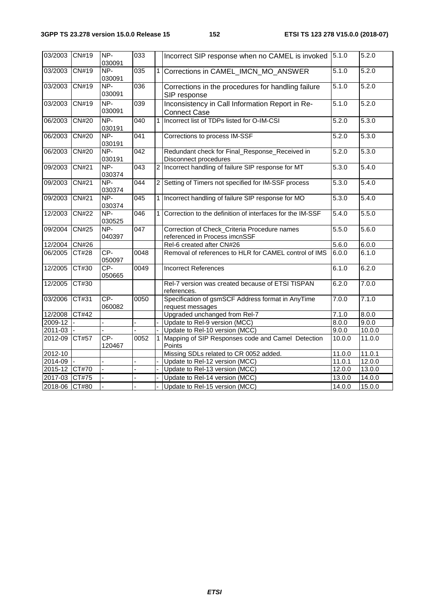| 03/2003       | <b>CN#19</b> | $NP-$<br>030091 | 033              |                | Incorrect SIP response when no CAMEL is invoked                               | 5.1.0              | 5.2.0  |
|---------------|--------------|-----------------|------------------|----------------|-------------------------------------------------------------------------------|--------------------|--------|
| 03/2003       | <b>CN#19</b> | NP-<br>030091   | $\overline{035}$ | $\mathbf{1}$   | Corrections in CAMEL_IMCN_MO_ANSWER                                           | 5.1.0              | 5.2.0  |
| 03/2003       | <b>CN#19</b> | NP-<br>030091   | $\overline{036}$ |                | Corrections in the procedures for handling failure<br>SIP response            | 5.1.0              | 5.2.0  |
| 03/2003       | <b>CN#19</b> | $NP-$<br>030091 | 039              |                | Inconsistency in Call Information Report in Re-<br><b>Connect Case</b>        | 5.1.0              | 5.2.0  |
| 06/2003       | <b>CN#20</b> | $NP-$<br>030191 | $\overline{040}$ | $\mathbf{1}$   | Incorrect list of TDPs listed for O-IM-CSI                                    | $\overline{5.2.0}$ | 5.3.0  |
| 06/2003       | <b>CN#20</b> | $NP-$<br>030191 | 041              |                | Corrections to process IM-SSF                                                 | 5.2.0              | 5.3.0  |
| 06/2003       | <b>CN#20</b> | NP-<br>030191   | 042              |                | Redundant check for Final_Response_Received in<br>Disconnect procedures       | 5.2.0              | 5.3.0  |
| 09/2003       | <b>CN#21</b> | $NP-$<br>030374 | $\overline{043}$ | $\overline{2}$ | Incorrect handling of failure SIP response for MT                             | 5.3.0              | 5.4.0  |
| 09/2003       | <b>CN#21</b> | NP-<br>030374   | 044              |                | 2 Setting of Timers not specified for IM-SSF process                          | 5.3.0              | 5.4.0  |
| 09/2003       | <b>CN#21</b> | $NP-$<br>030374 | $\overline{045}$ |                | 1   Incorrect handling of failure SIP response for MO                         | 5.3.0              | 5.4.0  |
| 12/2003       | <b>CN#22</b> | $NP-$<br>030525 | $\overline{046}$ |                | 1 Correction to the definition of interfaces for the IM-SSF                   | 5.4.0              | 5.5.0  |
| 09/2004       | <b>CN#25</b> | $NP-$<br>040397 | $\overline{047}$ |                | Correction of Check_Criteria Procedure names<br>referenced in Process imcnSSF | 5.5.0              | 5.6.0  |
| 12/2004       | <b>CN#26</b> |                 |                  |                | Rel-6 created after CN#26                                                     | 5.6.0              | 6.0.0  |
| 06/2005       | CT#28        | $CP-$<br>050097 | 0048             |                | Removal of references to HLR for CAMEL control of IMS                         | 6.0.0              | 6.1.0  |
| 12/2005       | CT#30        | CP-<br>050665   | 0049             |                | <b>Incorrect References</b>                                                   | 6.1.0              | 6.2.0  |
| 12/2005       | CT#30        |                 |                  |                | Rel-7 version was created because of ETSI TISPAN<br>references.               | 6.2.0              | 7.0.0  |
| 03/2006       | CT#31        | $CP-$<br>060082 | 0050             |                | Specification of gsmSCF Address format in AnyTime<br>request messages         | 7.0.0              | 7.1.0  |
| 12/2008       | CT#42        |                 |                  |                | Upgraded unchanged from Rel-7                                                 | 7.1.0              | 8.0.0  |
| 2009-12       |              |                 |                  |                | Update to Rel-9 version (MCC)                                                 | 8.0.0              | 9.0.0  |
| 2011-03       |              |                 |                  |                | Update to Rel-10 version (MCC)                                                | 9.0.0              | 10.0.0 |
| 2012-09       | CT#57        | CP-<br>120467   | 0052             | $\overline{1}$ | Mapping of SIP Responses code and Camel Detection<br>Points                   | 10.0.0             | 11.0.0 |
| 2012-10       |              |                 |                  |                | Missing SDLs related to CR 0052 added.                                        | 11.0.0             | 11.0.1 |
| 2014-09       |              |                 |                  |                | Update to Rel-12 version (MCC)                                                | 11.0.1             | 12.0.0 |
| 2015-12 CT#70 |              |                 |                  |                | Update to Rel-13 version (MCC)                                                | 12.0.0             | 13.0.0 |
| 2017-03 CT#75 |              |                 | L.               | $\blacksquare$ | Update to Rel-14 version (MCC)                                                | 13.0.0             | 14.0.0 |
| 2018-06 CT#80 |              |                 |                  | $\blacksquare$ | Update to Rel-15 version (MCC)                                                | 14.0.0             | 15.0.0 |